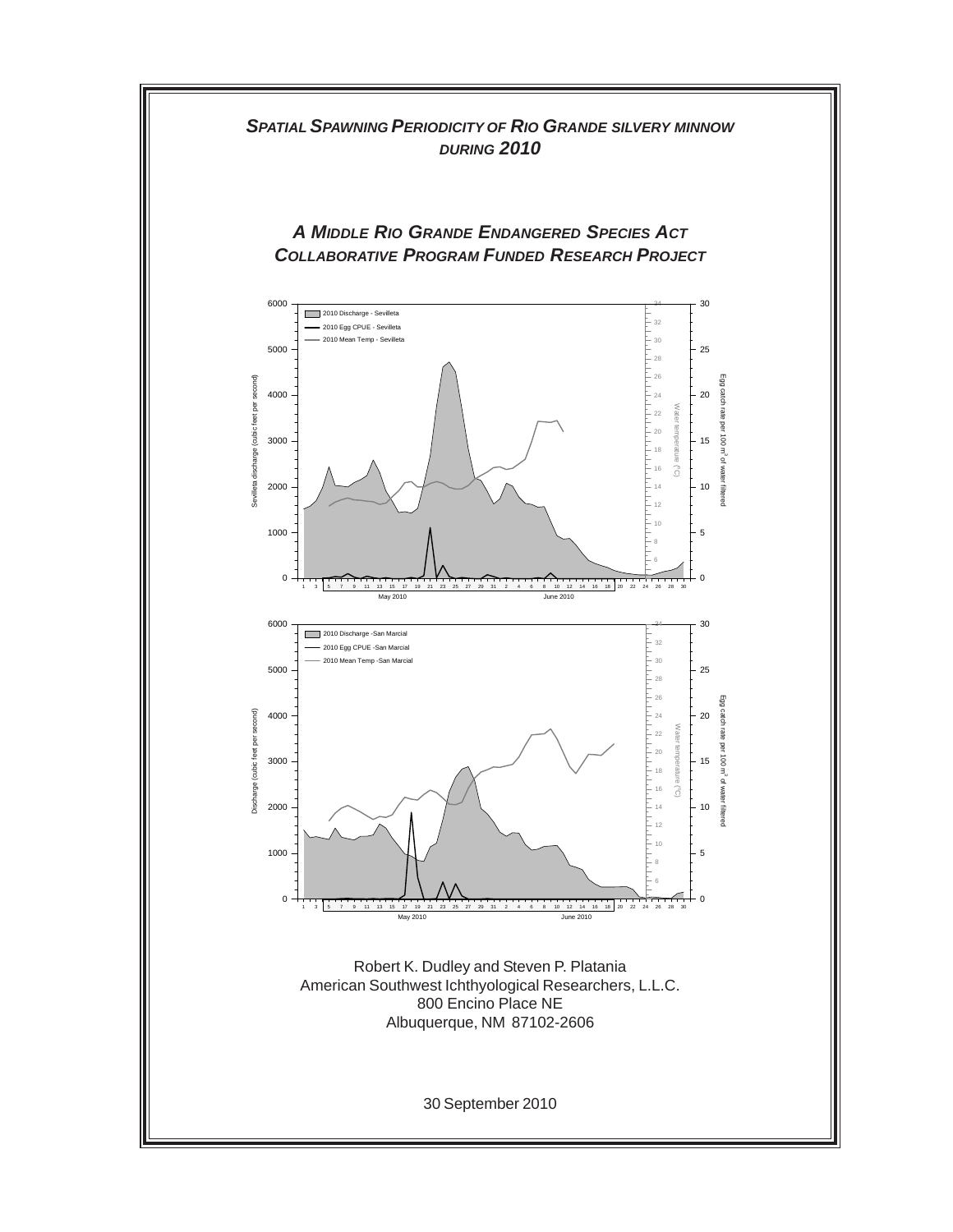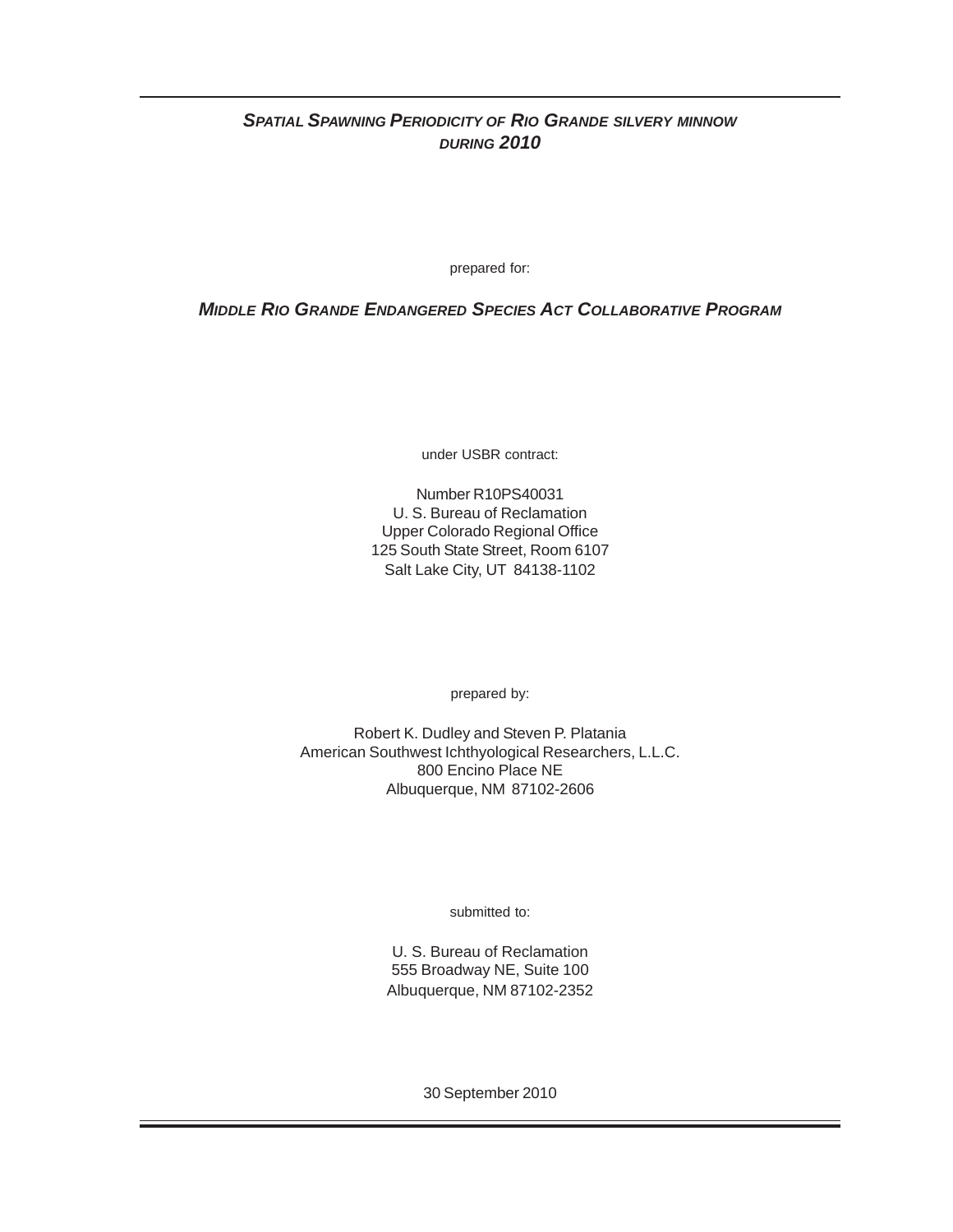# *SPATIAL SPAWNING PERIODICITY OF RIO GRANDE SILVERY MINNOW DURING 2010*

prepared for:

*MIDDLE RIO GRANDE ENDANGERED SPECIES ACT COLLABORATIVE PROGRAM*

under USBR contract:

Number R10PS40031 U. S. Bureau of Reclamation Upper Colorado Regional Office 125 South State Street, Room 6107 Salt Lake City, UT 84138-1102

prepared by:

Robert K. Dudley and Steven P. Platania American Southwest Ichthyological Researchers, L.L.C. 800 Encino Place NE Albuquerque, NM 87102-2606

submitted to:

U. S. Bureau of Reclamation 555 Broadway NE, Suite 100 Albuquerque, NM 87102-2352

30 September 2010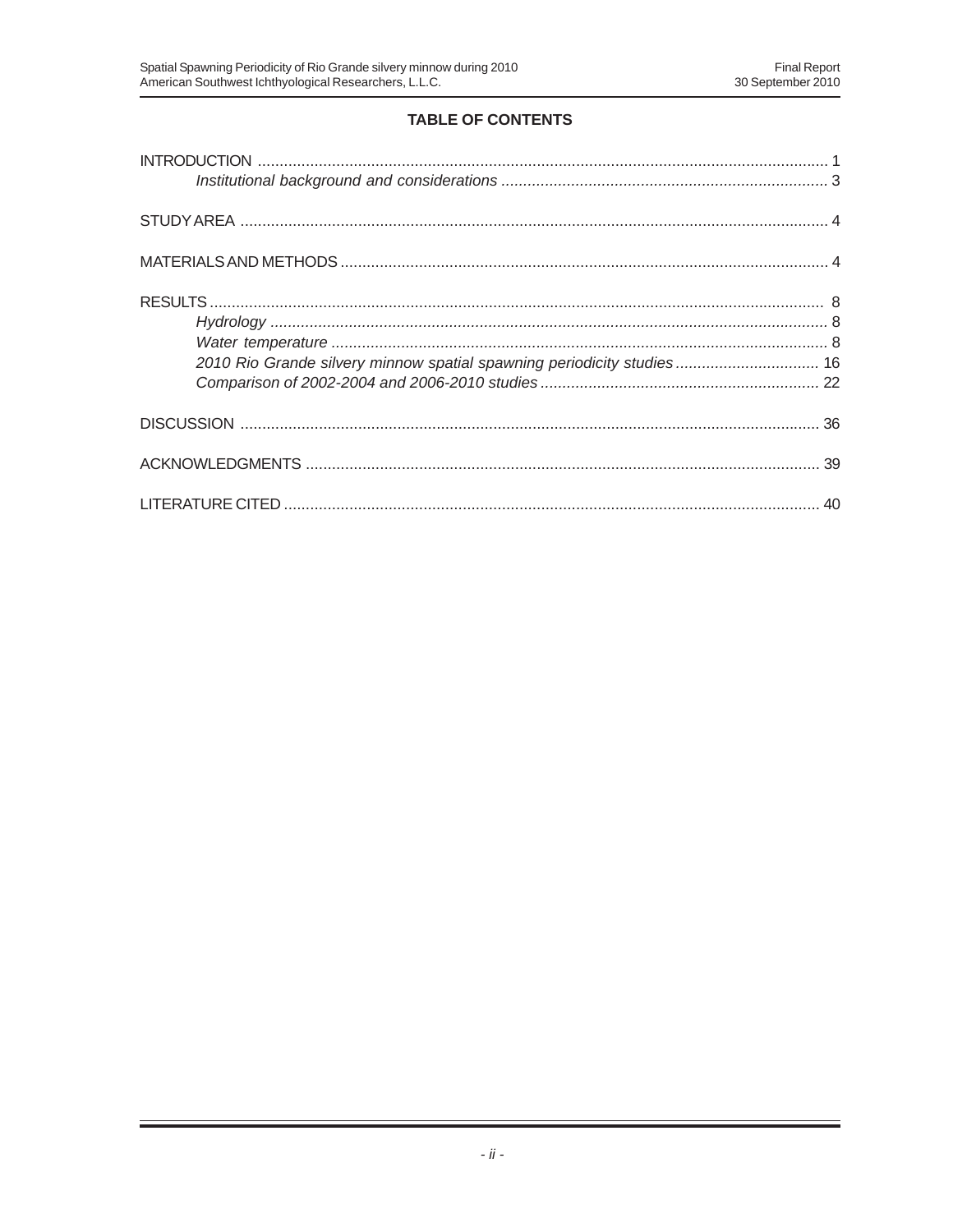# **TABLE OF CONTENTS**

| 2010 Rio Grande silvery minnow spatial spawning periodicity studies 16 |  |
|------------------------------------------------------------------------|--|
|                                                                        |  |
|                                                                        |  |
|                                                                        |  |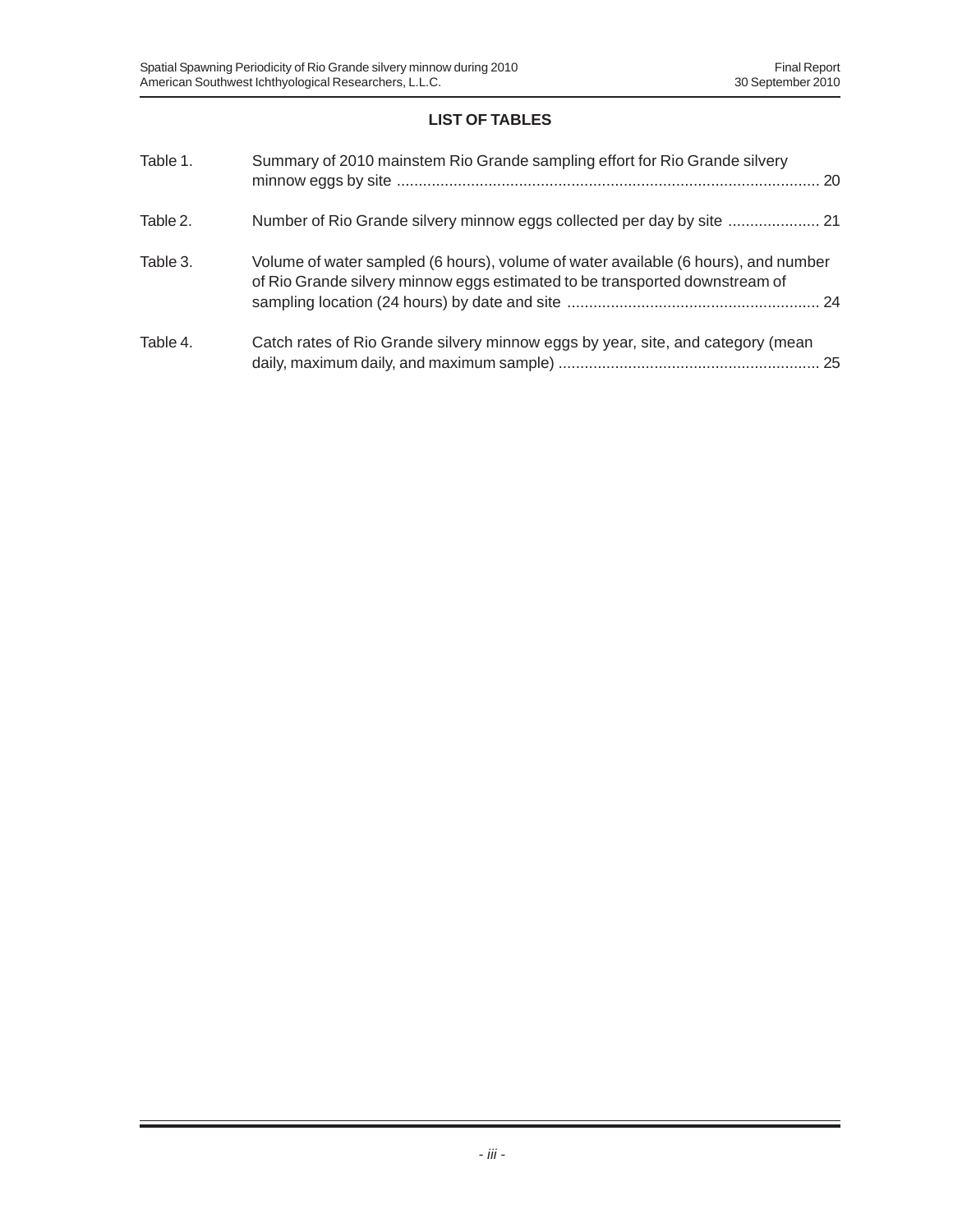# **LIST OF TABLES**

| Table 1. | Summary of 2010 mainstem Rio Grande sampling effort for Rio Grande silvery                                                                                        |
|----------|-------------------------------------------------------------------------------------------------------------------------------------------------------------------|
| Table 2. | Number of Rio Grande silvery minnow eggs collected per day by site  21                                                                                            |
| Table 3. | Volume of water sampled (6 hours), volume of water available (6 hours), and number<br>of Rio Grande silvery minnow eggs estimated to be transported downstream of |
| Table 4. | Catch rates of Rio Grande silvery minnow eggs by year, site, and category (mean                                                                                   |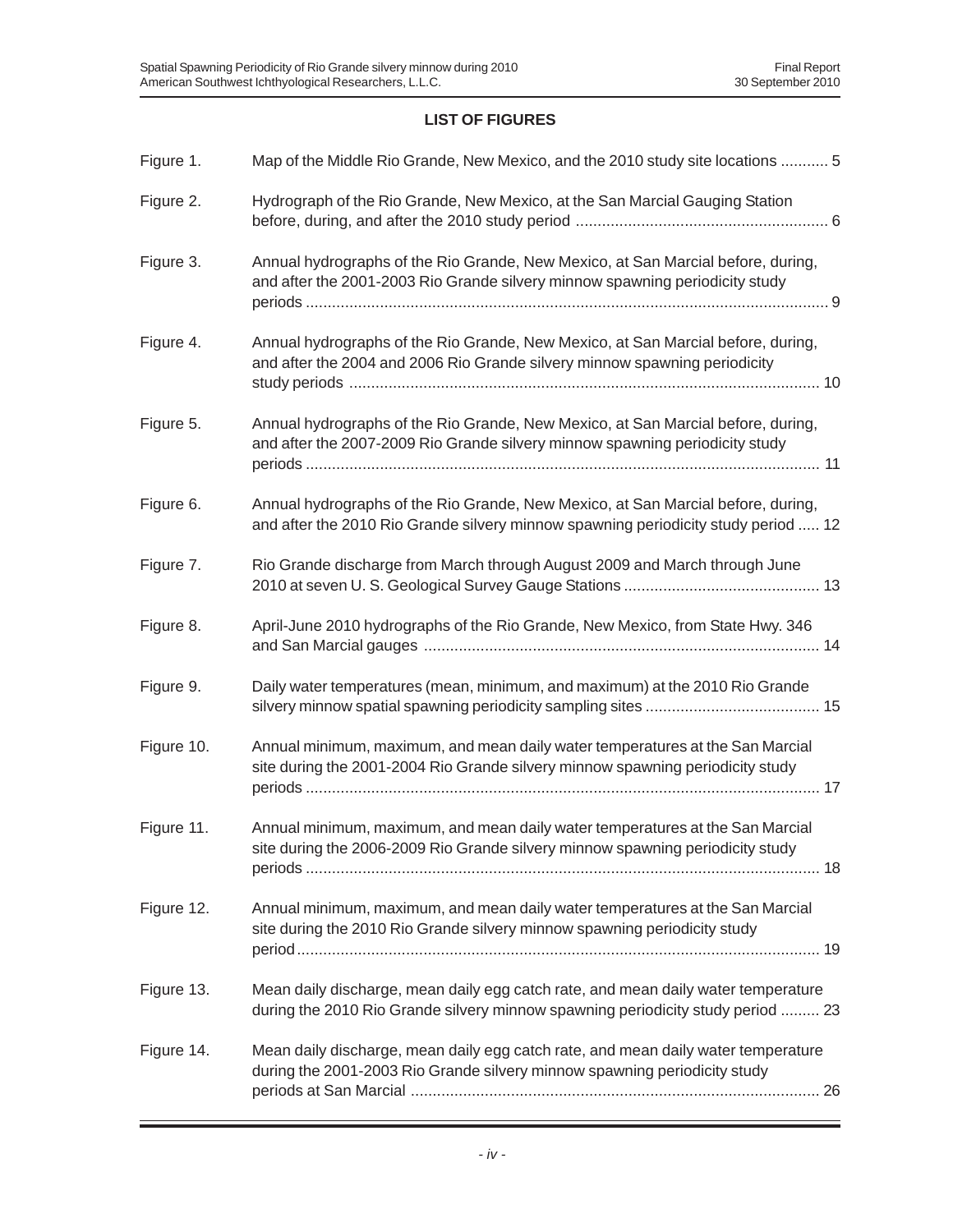# **LIST OF FIGURES**

| Figure 1.  | Map of the Middle Rio Grande, New Mexico, and the 2010 study site locations  5                                                                                         |
|------------|------------------------------------------------------------------------------------------------------------------------------------------------------------------------|
| Figure 2.  | Hydrograph of the Rio Grande, New Mexico, at the San Marcial Gauging Station                                                                                           |
| Figure 3.  | Annual hydrographs of the Rio Grande, New Mexico, at San Marcial before, during,<br>and after the 2001-2003 Rio Grande silvery minnow spawning periodicity study       |
| Figure 4.  | Annual hydrographs of the Rio Grande, New Mexico, at San Marcial before, during,<br>and after the 2004 and 2006 Rio Grande silvery minnow spawning periodicity         |
| Figure 5.  | Annual hydrographs of the Rio Grande, New Mexico, at San Marcial before, during,<br>and after the 2007-2009 Rio Grande silvery minnow spawning periodicity study       |
| Figure 6.  | Annual hydrographs of the Rio Grande, New Mexico, at San Marcial before, during,<br>and after the 2010 Rio Grande silvery minnow spawning periodicity study period  12 |
| Figure 7.  | Rio Grande discharge from March through August 2009 and March through June                                                                                             |
| Figure 8.  | April-June 2010 hydrographs of the Rio Grande, New Mexico, from State Hwy. 346                                                                                         |
| Figure 9.  | Daily water temperatures (mean, minimum, and maximum) at the 2010 Rio Grande                                                                                           |
| Figure 10. | Annual minimum, maximum, and mean daily water temperatures at the San Marcial<br>site during the 2001-2004 Rio Grande silvery minnow spawning periodicity study        |
| Figure 11. | Annual minimum, maximum, and mean daily water temperatures at the San Marcial<br>site during the 2006-2009 Rio Grande silvery minnow spawning periodicity study        |
| Figure 12. | Annual minimum, maximum, and mean daily water temperatures at the San Marcial<br>site during the 2010 Rio Grande silvery minnow spawning periodicity study             |
| Figure 13. | Mean daily discharge, mean daily egg catch rate, and mean daily water temperature<br>during the 2010 Rio Grande silvery minnow spawning periodicity study period  23   |
| Figure 14. | Mean daily discharge, mean daily egg catch rate, and mean daily water temperature<br>during the 2001-2003 Rio Grande silvery minnow spawning periodicity study         |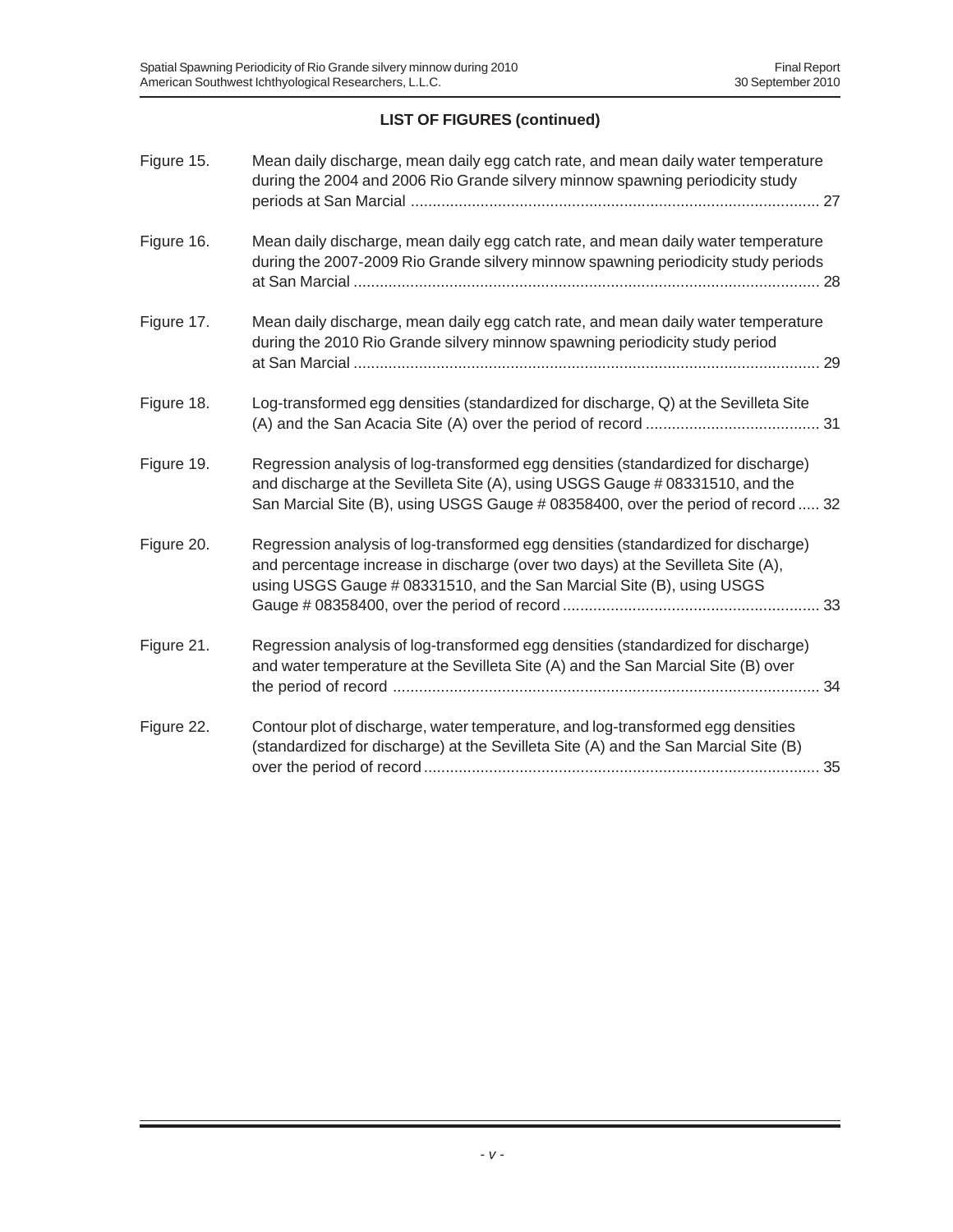# **LIST OF FIGURES (continued)**

| Figure 15. | Mean daily discharge, mean daily egg catch rate, and mean daily water temperature<br>during the 2004 and 2006 Rio Grande silvery minnow spawning periodicity study                                                                                     |
|------------|--------------------------------------------------------------------------------------------------------------------------------------------------------------------------------------------------------------------------------------------------------|
| Figure 16. | Mean daily discharge, mean daily egg catch rate, and mean daily water temperature<br>during the 2007-2009 Rio Grande silvery minnow spawning periodicity study periods                                                                                 |
| Figure 17. | Mean daily discharge, mean daily egg catch rate, and mean daily water temperature<br>during the 2010 Rio Grande silvery minnow spawning periodicity study period                                                                                       |
| Figure 18. | Log-transformed egg densities (standardized for discharge, Q) at the Sevilleta Site                                                                                                                                                                    |
| Figure 19. | Regression analysis of log-transformed egg densities (standardized for discharge)<br>and discharge at the Sevilleta Site (A), using USGS Gauge # 08331510, and the<br>San Marcial Site (B), using USGS Gauge # 08358400, over the period of record  32 |
| Figure 20. | Regression analysis of log-transformed egg densities (standardized for discharge)<br>and percentage increase in discharge (over two days) at the Sevilleta Site (A),<br>using USGS Gauge # 08331510, and the San Marcial Site (B), using USGS          |
| Figure 21. | Regression analysis of log-transformed egg densities (standardized for discharge)<br>and water temperature at the Sevilleta Site (A) and the San Marcial Site (B) over                                                                                 |
| Figure 22. | Contour plot of discharge, water temperature, and log-transformed egg densities<br>(standardized for discharge) at the Sevilleta Site (A) and the San Marcial Site (B)                                                                                 |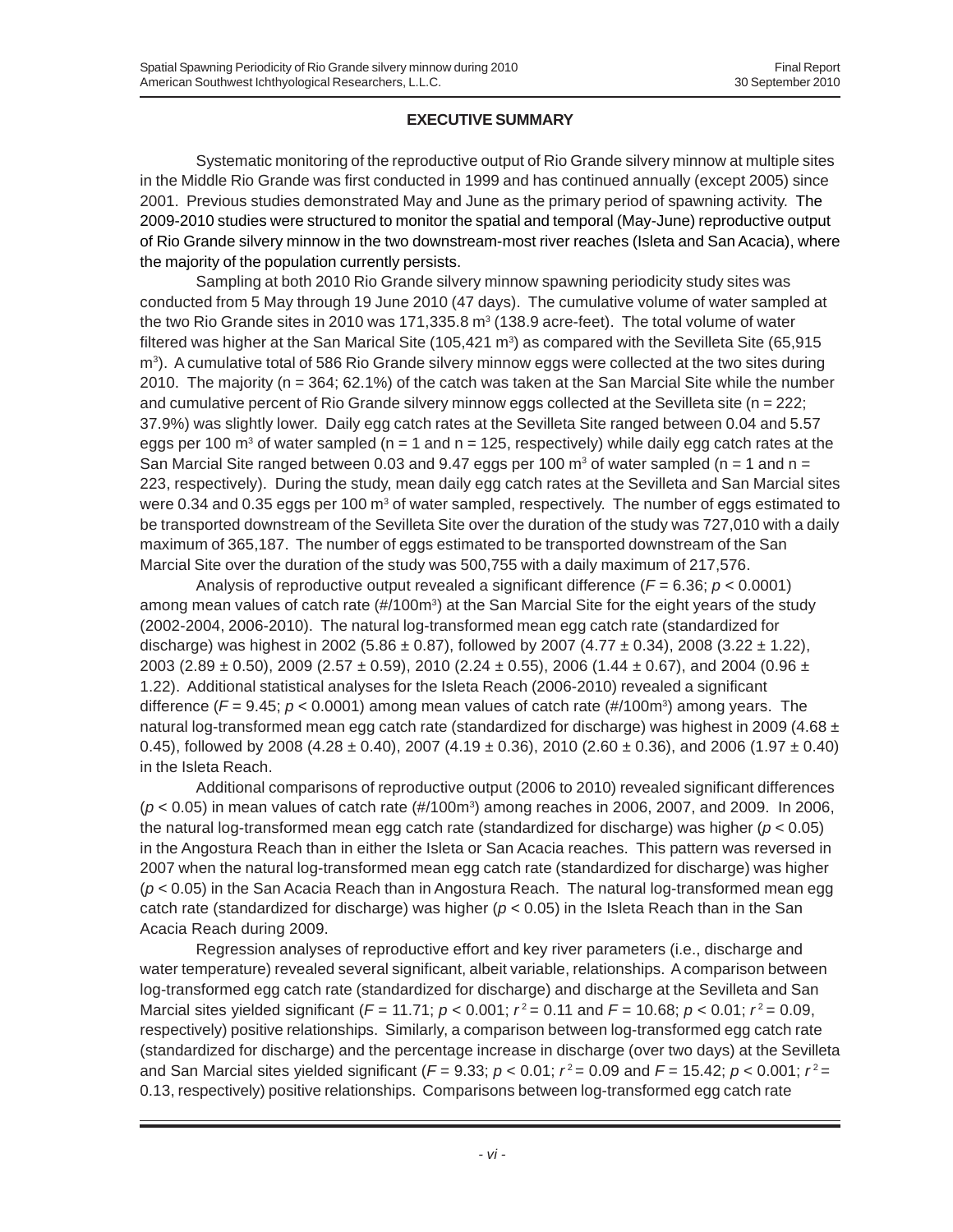# **EXECUTIVE SUMMARY**

Systematic monitoring of the reproductive output of Rio Grande silvery minnow at multiple sites in the Middle Rio Grande was first conducted in 1999 and has continued annually (except 2005) since 2001. Previous studies demonstrated May and June as the primary period of spawning activity. The 2009-2010 studies were structured to monitor the spatial and temporal (May-June) reproductive output of Rio Grande silvery minnow in the two downstream-most river reaches (Isleta and San Acacia), where the majority of the population currently persists.

Sampling at both 2010 Rio Grande silvery minnow spawning periodicity study sites was conducted from 5 May through 19 June 2010 (47 days). The cumulative volume of water sampled at the two Rio Grande sites in 2010 was 171,335.8  $m^3$  (138.9 acre-feet). The total volume of water filtered was higher at the San Marical Site (105,421 m<sup>3</sup>) as compared with the Sevilleta Site (65,915  $\mathsf{m}^3$ ). A cumulative total of 586 Rio Grande silvery minnow eggs were collected at the two sites during 2010. The majority (n = 364; 62.1%) of the catch was taken at the San Marcial Site while the number and cumulative percent of Rio Grande silvery minnow eggs collected at the Sevilleta site ( $n = 222$ ; 37.9%) was slightly lower. Daily egg catch rates at the Sevilleta Site ranged between 0.04 and 5.57 eggs per 100 m<sup>3</sup> of water sampled (n = 1 and n = 125, respectively) while daily egg catch rates at the San Marcial Site ranged between 0.03 and 9.47 eggs per 100  $\text{m}^3$  of water sampled (n = 1 and n = 223, respectively). During the study, mean daily egg catch rates at the Sevilleta and San Marcial sites were 0.34 and 0.35 eggs per 100  $m<sup>3</sup>$  of water sampled, respectively. The number of eggs estimated to be transported downstream of the Sevilleta Site over the duration of the study was 727,010 with a daily maximum of 365,187. The number of eggs estimated to be transported downstream of the San Marcial Site over the duration of the study was 500,755 with a daily maximum of 217,576.

Analysis of reproductive output revealed a significant difference (*F* = 6.36; *p* < 0.0001) among mean values of catch rate (#/100m<sup>3</sup>) at the San Marcial Site for the eight years of the study (2002-2004, 2006-2010). The natural log-transformed mean egg catch rate (standardized for discharge) was highest in 2002 (5.86  $\pm$  0.87), followed by 2007 (4.77  $\pm$  0.34), 2008 (3.22  $\pm$  1.22), 2003 (2.89  $\pm$  0.50), 2009 (2.57  $\pm$  0.59), 2010 (2.24  $\pm$  0.55), 2006 (1.44  $\pm$  0.67), and 2004 (0.96  $\pm$ 1.22). Additional statistical analyses for the Isleta Reach (2006-2010) revealed a significant difference ( $F = 9.45$ ;  $p < 0.0001$ ) among mean values of catch rate (#/100m<sup>3</sup>) among years. The natural log-transformed mean egg catch rate (standardized for discharge) was highest in 2009 (4.68  $\pm$ 0.45), followed by 2008 (4.28  $\pm$  0.40), 2007 (4.19  $\pm$  0.36), 2010 (2.60  $\pm$  0.36), and 2006 (1.97  $\pm$  0.40) in the Isleta Reach.

Additional comparisons of reproductive output (2006 to 2010) revealed significant differences ( $p$  < 0.05) in mean values of catch rate (#/100m<sup>3</sup>) among reaches in 2006, 2007, and 2009. In 2006, the natural log-transformed mean egg catch rate (standardized for discharge) was higher (*p* < 0.05) in the Angostura Reach than in either the Isleta or San Acacia reaches. This pattern was reversed in 2007 when the natural log-transformed mean egg catch rate (standardized for discharge) was higher (*p* < 0.05) in the San Acacia Reach than in Angostura Reach. The natural log-transformed mean egg catch rate (standardized for discharge) was higher ( $p < 0.05$ ) in the Isleta Reach than in the San Acacia Reach during 2009.

Regression analyses of reproductive effort and key river parameters (i.e., discharge and water temperature) revealed several significant, albeit variable, relationships. A comparison between log-transformed egg catch rate (standardized for discharge) and discharge at the Sevilleta and San Marcial sites yielded significant ( $F = 11.71$ ;  $p < 0.001$ ;  $r^2 = 0.11$  and  $F = 10.68$ ;  $p < 0.01$ ;  $r^2 = 0.09$ , respectively) positive relationships. Similarly, a comparison between log-transformed egg catch rate (standardized for discharge) and the percentage increase in discharge (over two days) at the Sevilleta and San Marcial sites yielded significant ( $F = 9.33$ ;  $p < 0.01$ ;  $r^2 = 0.09$  and  $F = 15.42$ ;  $p < 0.001$ ;  $r^2 =$ 0.13, respectively) positive relationships. Comparisons between log-transformed egg catch rate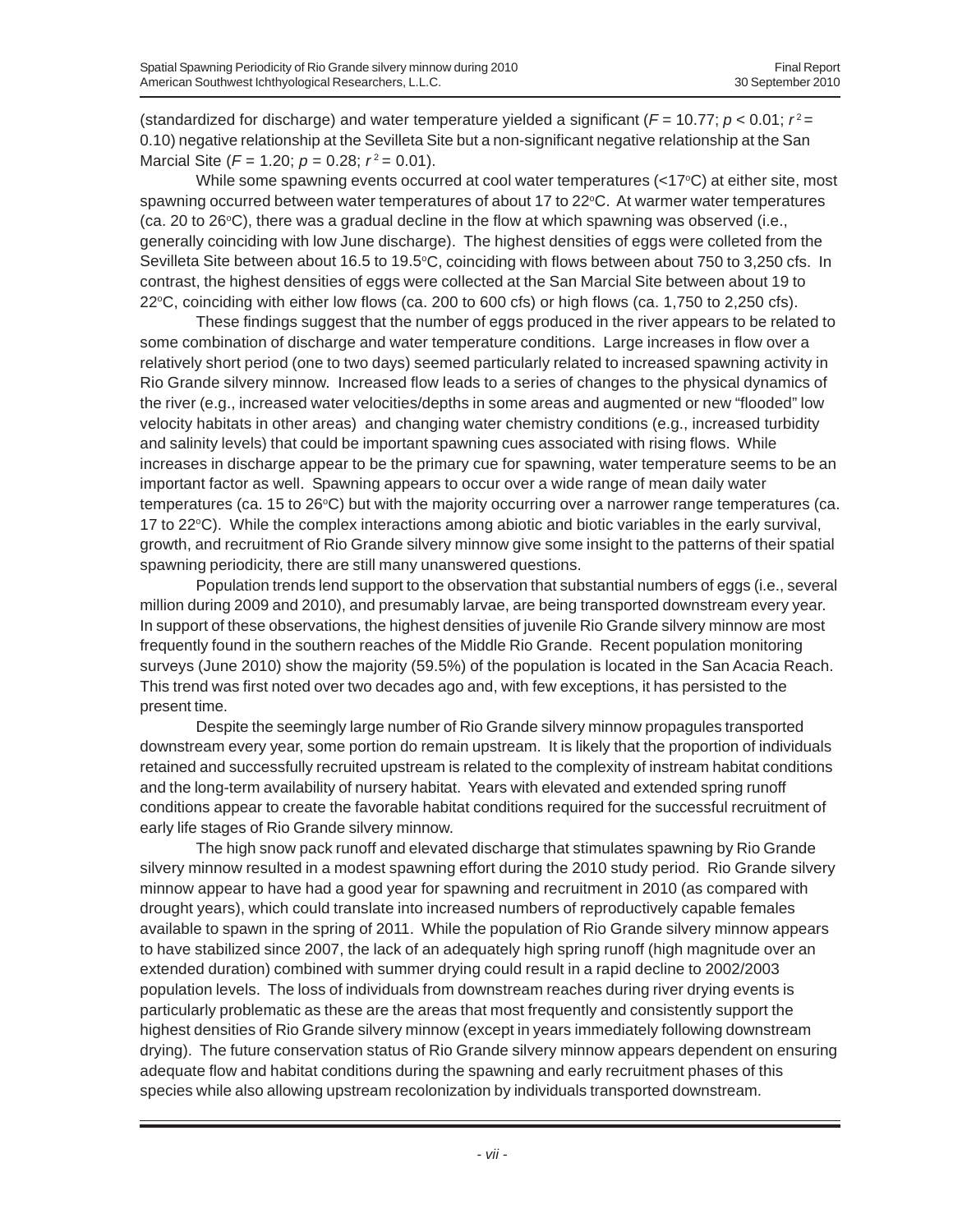(standardized for discharge) and water temperature yielded a significant ( $F = 10.77$ ;  $p < 0.01$ ;  $r^2 =$ 0.10) negative relationship at the Sevilleta Site but a non-significant negative relationship at the San Marcial Site ( $F = 1.20$ ;  $p = 0.28$ ;  $r^2 = 0.01$ ).

While some spawning events occurred at cool water temperatures (<17°C) at either site, most spawning occurred between water temperatures of about 17 to  $22^{\circ}$ C. At warmer water temperatures (ca. 20 to 26°C), there was a gradual decline in the flow at which spawning was observed (i.e., generally coinciding with low June discharge). The highest densities of eggs were colleted from the Sevilleta Site between about 16.5 to 19.5°C, coinciding with flows between about 750 to 3,250 cfs. In contrast, the highest densities of eggs were collected at the San Marcial Site between about 19 to 22°C, coinciding with either low flows (ca. 200 to 600 cfs) or high flows (ca. 1,750 to 2,250 cfs).

These findings suggest that the number of eggs produced in the river appears to be related to some combination of discharge and water temperature conditions. Large increases in flow over a relatively short period (one to two days) seemed particularly related to increased spawning activity in Rio Grande silvery minnow. Increased flow leads to a series of changes to the physical dynamics of the river (e.g., increased water velocities/depths in some areas and augmented or new "flooded" low velocity habitats in other areas) and changing water chemistry conditions (e.g., increased turbidity and salinity levels) that could be important spawning cues associated with rising flows. While increases in discharge appear to be the primary cue for spawning, water temperature seems to be an important factor as well. Spawning appears to occur over a wide range of mean daily water temperatures (ca. 15 to 26°C) but with the majority occurring over a narrower range temperatures (ca. 17 to 22°C). While the complex interactions among abiotic and biotic variables in the early survival, growth, and recruitment of Rio Grande silvery minnow give some insight to the patterns of their spatial spawning periodicity, there are still many unanswered questions.

Population trends lend support to the observation that substantial numbers of eggs (i.e., several million during 2009 and 2010), and presumably larvae, are being transported downstream every year. In support of these observations, the highest densities of juvenile Rio Grande silvery minnow are most frequently found in the southern reaches of the Middle Rio Grande. Recent population monitoring surveys (June 2010) show the majority (59.5%) of the population is located in the San Acacia Reach. This trend was first noted over two decades ago and, with few exceptions, it has persisted to the present time.

Despite the seemingly large number of Rio Grande silvery minnow propagules transported downstream every year, some portion do remain upstream. It is likely that the proportion of individuals retained and successfully recruited upstream is related to the complexity of instream habitat conditions and the long-term availability of nursery habitat. Years with elevated and extended spring runoff conditions appear to create the favorable habitat conditions required for the successful recruitment of early life stages of Rio Grande silvery minnow.

The high snow pack runoff and elevated discharge that stimulates spawning by Rio Grande silvery minnow resulted in a modest spawning effort during the 2010 study period. Rio Grande silvery minnow appear to have had a good year for spawning and recruitment in 2010 (as compared with drought years), which could translate into increased numbers of reproductively capable females available to spawn in the spring of 2011. While the population of Rio Grande silvery minnow appears to have stabilized since 2007, the lack of an adequately high spring runoff (high magnitude over an extended duration) combined with summer drying could result in a rapid decline to 2002/2003 population levels. The loss of individuals from downstream reaches during river drying events is particularly problematic as these are the areas that most frequently and consistently support the highest densities of Rio Grande silvery minnow (except in years immediately following downstream drying). The future conservation status of Rio Grande silvery minnow appears dependent on ensuring adequate flow and habitat conditions during the spawning and early recruitment phases of this species while also allowing upstream recolonization by individuals transported downstream.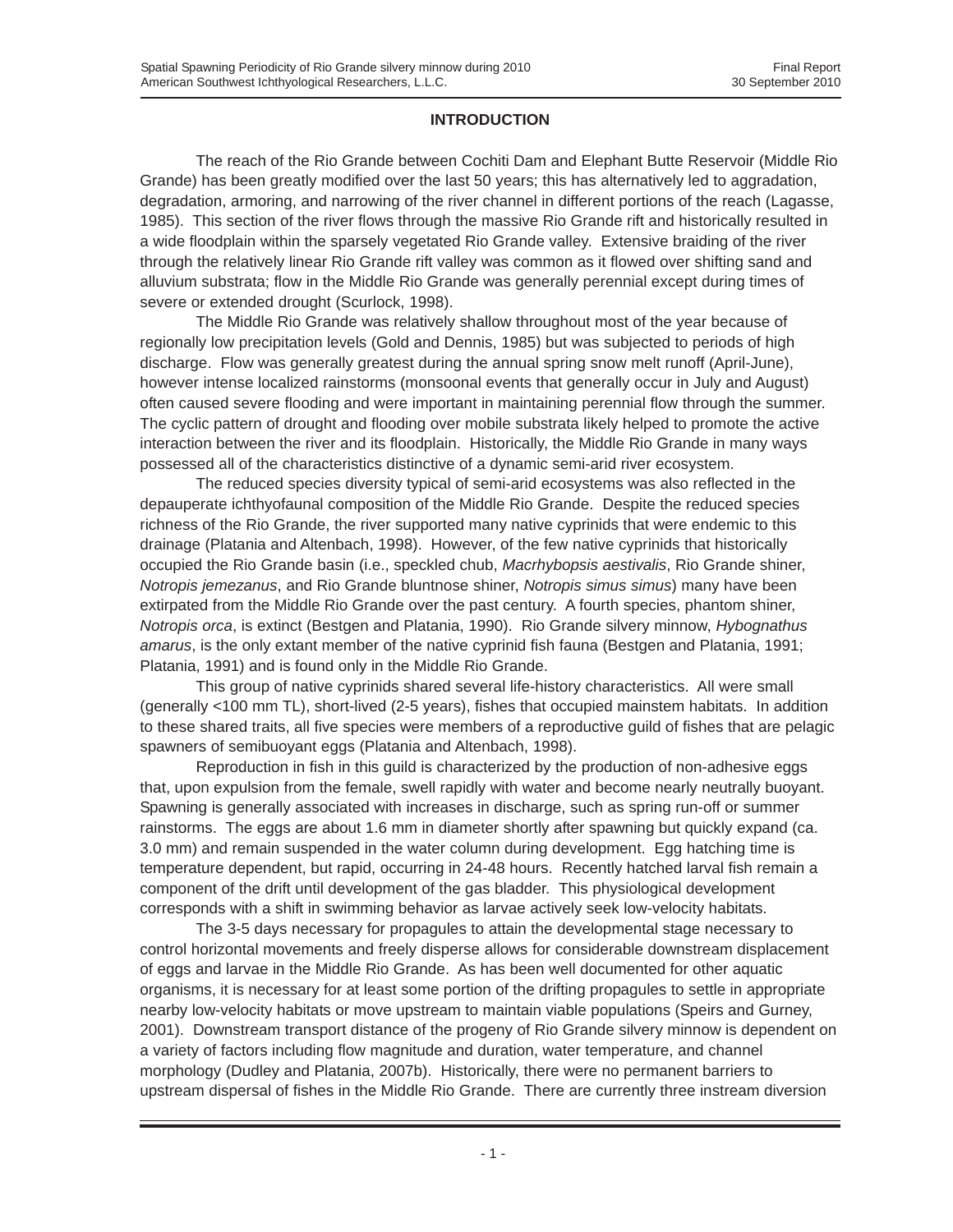# **INTRODUCTION**

The reach of the Rio Grande between Cochiti Dam and Elephant Butte Reservoir (Middle Rio Grande) has been greatly modified over the last 50 years; this has alternatively led to aggradation, degradation, armoring, and narrowing of the river channel in different portions of the reach (Lagasse, 1985). This section of the river flows through the massive Rio Grande rift and historically resulted in a wide floodplain within the sparsely vegetated Rio Grande valley. Extensive braiding of the river through the relatively linear Rio Grande rift valley was common as it flowed over shifting sand and alluvium substrata; flow in the Middle Rio Grande was generally perennial except during times of severe or extended drought (Scurlock, 1998).

The Middle Rio Grande was relatively shallow throughout most of the year because of regionally low precipitation levels (Gold and Dennis, 1985) but was subjected to periods of high discharge. Flow was generally greatest during the annual spring snow melt runoff (April-June), however intense localized rainstorms (monsoonal events that generally occur in July and August) often caused severe flooding and were important in maintaining perennial flow through the summer. The cyclic pattern of drought and flooding over mobile substrata likely helped to promote the active interaction between the river and its floodplain. Historically, the Middle Rio Grande in many ways possessed all of the characteristics distinctive of a dynamic semi-arid river ecosystem.

The reduced species diversity typical of semi-arid ecosystems was also reflected in the depauperate ichthyofaunal composition of the Middle Rio Grande. Despite the reduced species richness of the Rio Grande, the river supported many native cyprinids that were endemic to this drainage (Platania and Altenbach, 1998). However, of the few native cyprinids that historically occupied the Rio Grande basin (i.e., speckled chub, *Macrhybopsis aestivalis*, Rio Grande shiner, *Notropis jemezanus*, and Rio Grande bluntnose shiner, *Notropis simus simus*) many have been extirpated from the Middle Rio Grande over the past century. A fourth species, phantom shiner, *Notropis orca*, is extinct (Bestgen and Platania, 1990). Rio Grande silvery minnow, *Hybognathus amarus*, is the only extant member of the native cyprinid fish fauna (Bestgen and Platania, 1991; Platania, 1991) and is found only in the Middle Rio Grande.

This group of native cyprinids shared several life-history characteristics. All were small (generally <100 mm TL), short-lived (2-5 years), fishes that occupied mainstem habitats. In addition to these shared traits, all five species were members of a reproductive guild of fishes that are pelagic spawners of semibuoyant eggs (Platania and Altenbach, 1998).

Reproduction in fish in this guild is characterized by the production of non-adhesive eggs that, upon expulsion from the female, swell rapidly with water and become nearly neutrally buoyant. Spawning is generally associated with increases in discharge, such as spring run-off or summer rainstorms. The eggs are about 1.6 mm in diameter shortly after spawning but quickly expand (ca. 3.0 mm) and remain suspended in the water column during development. Egg hatching time is temperature dependent, but rapid, occurring in 24-48 hours. Recently hatched larval fish remain a component of the drift until development of the gas bladder. This physiological development corresponds with a shift in swimming behavior as larvae actively seek low-velocity habitats.

The 3-5 days necessary for propagules to attain the developmental stage necessary to control horizontal movements and freely disperse allows for considerable downstream displacement of eggs and larvae in the Middle Rio Grande. As has been well documented for other aquatic organisms, it is necessary for at least some portion of the drifting propagules to settle in appropriate nearby low-velocity habitats or move upstream to maintain viable populations (Speirs and Gurney, 2001). Downstream transport distance of the progeny of Rio Grande silvery minnow is dependent on a variety of factors including flow magnitude and duration, water temperature, and channel morphology (Dudley and Platania, 2007b). Historically, there were no permanent barriers to upstream dispersal of fishes in the Middle Rio Grande. There are currently three instream diversion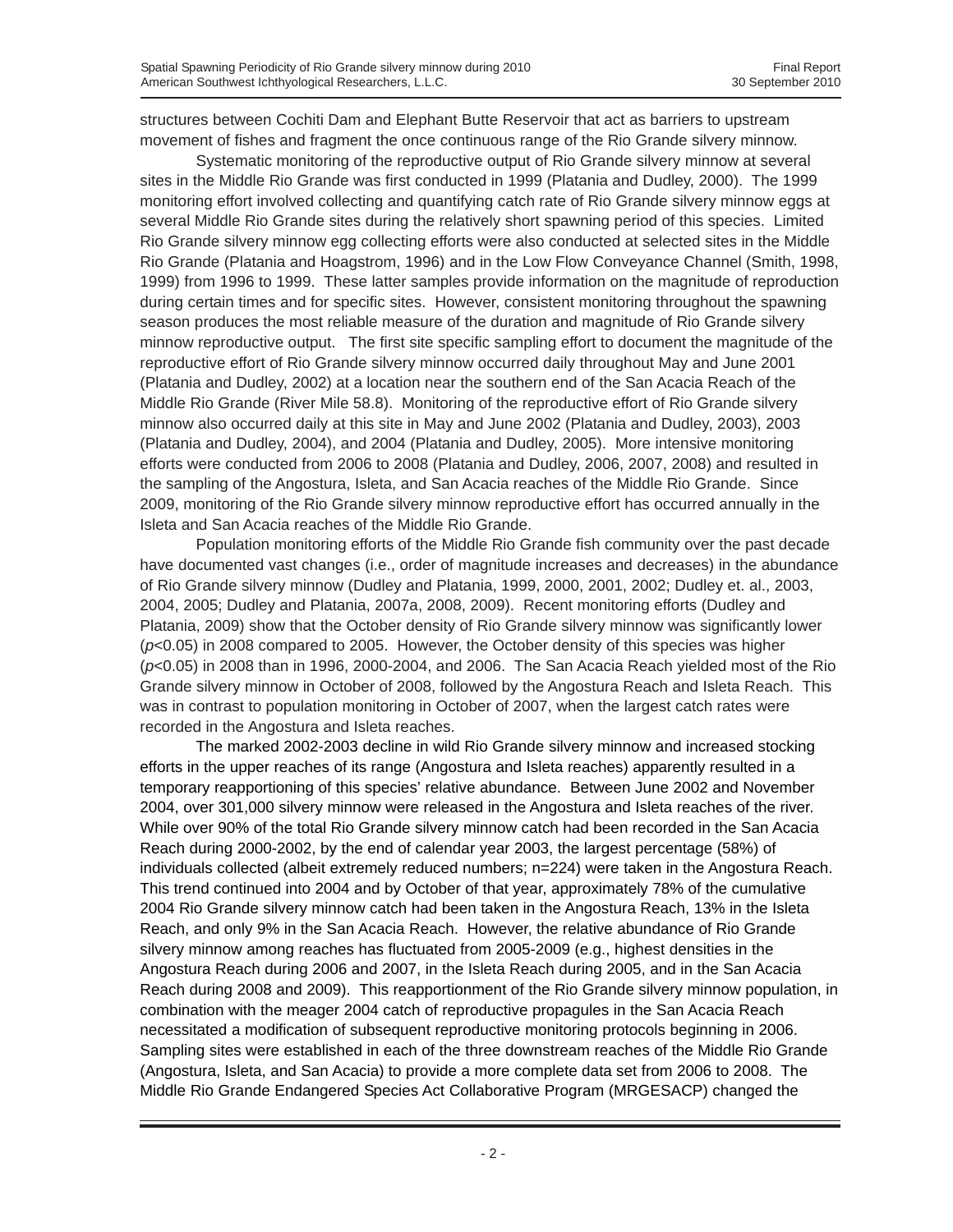structures between Cochiti Dam and Elephant Butte Reservoir that act as barriers to upstream movement of fishes and fragment the once continuous range of the Rio Grande silvery minnow.

Systematic monitoring of the reproductive output of Rio Grande silvery minnow at several sites in the Middle Rio Grande was first conducted in 1999 (Platania and Dudley, 2000). The 1999 monitoring effort involved collecting and quantifying catch rate of Rio Grande silvery minnow eggs at several Middle Rio Grande sites during the relatively short spawning period of this species. Limited Rio Grande silvery minnow egg collecting efforts were also conducted at selected sites in the Middle Rio Grande (Platania and Hoagstrom, 1996) and in the Low Flow Conveyance Channel (Smith, 1998, 1999) from 1996 to 1999. These latter samples provide information on the magnitude of reproduction during certain times and for specific sites. However, consistent monitoring throughout the spawning season produces the most reliable measure of the duration and magnitude of Rio Grande silvery minnow reproductive output. The first site specific sampling effort to document the magnitude of the reproductive effort of Rio Grande silvery minnow occurred daily throughout May and June 2001 (Platania and Dudley, 2002) at a location near the southern end of the San Acacia Reach of the Middle Rio Grande (River Mile 58.8). Monitoring of the reproductive effort of Rio Grande silvery minnow also occurred daily at this site in May and June 2002 (Platania and Dudley, 2003), 2003 (Platania and Dudley, 2004), and 2004 (Platania and Dudley, 2005). More intensive monitoring efforts were conducted from 2006 to 2008 (Platania and Dudley, 2006, 2007, 2008) and resulted in the sampling of the Angostura, Isleta, and San Acacia reaches of the Middle Rio Grande. Since 2009, monitoring of the Rio Grande silvery minnow reproductive effort has occurred annually in the Isleta and San Acacia reaches of the Middle Rio Grande.

Population monitoring efforts of the Middle Rio Grande fish community over the past decade have documented vast changes (i.e., order of magnitude increases and decreases) in the abundance of Rio Grande silvery minnow (Dudley and Platania, 1999, 2000, 2001, 2002; Dudley et. al., 2003, 2004, 2005; Dudley and Platania, 2007a, 2008, 2009). Recent monitoring efforts (Dudley and Platania, 2009) show that the October density of Rio Grande silvery minnow was significantly lower (*p*<0.05) in 2008 compared to 2005. However, the October density of this species was higher (*p*<0.05) in 2008 than in 1996, 2000-2004, and 2006. The San Acacia Reach yielded most of the Rio Grande silvery minnow in October of 2008, followed by the Angostura Reach and Isleta Reach. This was in contrast to population monitoring in October of 2007, when the largest catch rates were recorded in the Angostura and Isleta reaches.

The marked 2002-2003 decline in wild Rio Grande silvery minnow and increased stocking efforts in the upper reaches of its range (Angostura and Isleta reaches) apparently resulted in a temporary reapportioning of this species' relative abundance. Between June 2002 and November 2004, over 301,000 silvery minnow were released in the Angostura and Isleta reaches of the river. While over 90% of the total Rio Grande silvery minnow catch had been recorded in the San Acacia Reach during 2000-2002, by the end of calendar year 2003, the largest percentage (58%) of individuals collected (albeit extremely reduced numbers; n=224) were taken in the Angostura Reach. This trend continued into 2004 and by October of that year, approximately 78% of the cumulative 2004 Rio Grande silvery minnow catch had been taken in the Angostura Reach, 13% in the Isleta Reach, and only 9% in the San Acacia Reach. However, the relative abundance of Rio Grande silvery minnow among reaches has fluctuated from 2005-2009 (e.g., highest densities in the Angostura Reach during 2006 and 2007, in the Isleta Reach during 2005, and in the San Acacia Reach during 2008 and 2009). This reapportionment of the Rio Grande silvery minnow population, in combination with the meager 2004 catch of reproductive propagules in the San Acacia Reach necessitated a modification of subsequent reproductive monitoring protocols beginning in 2006. Sampling sites were established in each of the three downstream reaches of the Middle Rio Grande (Angostura, Isleta, and San Acacia) to provide a more complete data set from 2006 to 2008. The Middle Rio Grande Endangered Species Act Collaborative Program (MRGESACP) changed the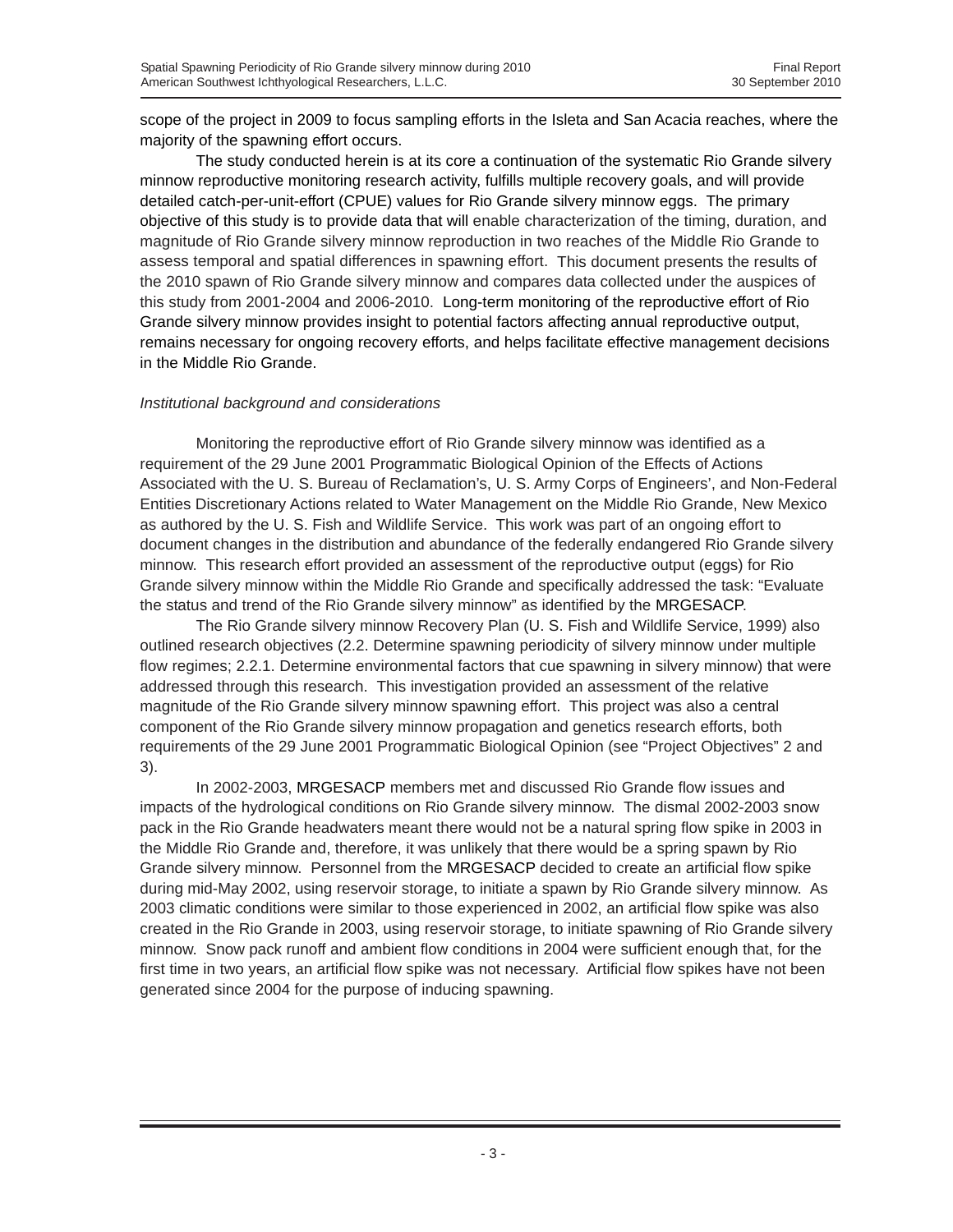scope of the project in 2009 to focus sampling efforts in the Isleta and San Acacia reaches, where the majority of the spawning effort occurs.

The study conducted herein is at its core a continuation of the systematic Rio Grande silvery minnow reproductive monitoring research activity, fulfills multiple recovery goals, and will provide detailed catch-per-unit-effort (CPUE) values for Rio Grande silvery minnow eggs. The primary objective of this study is to provide data that will enable characterization of the timing, duration, and magnitude of Rio Grande silvery minnow reproduction in two reaches of the Middle Rio Grande to assess temporal and spatial differences in spawning effort. This document presents the results of the 2010 spawn of Rio Grande silvery minnow and compares data collected under the auspices of this study from 2001-2004 and 2006-2010. Long-term monitoring of the reproductive effort of Rio Grande silvery minnow provides insight to potential factors affecting annual reproductive output, remains necessary for ongoing recovery efforts, and helps facilitate effective management decisions in the Middle Rio Grande.

# *Institutional background and considerations*

Monitoring the reproductive effort of Rio Grande silvery minnow was identified as a requirement of the 29 June 2001 Programmatic Biological Opinion of the Effects of Actions Associated with the U. S. Bureau of Reclamation's, U. S. Army Corps of Engineers', and Non-Federal Entities Discretionary Actions related to Water Management on the Middle Rio Grande, New Mexico as authored by the U. S. Fish and Wildlife Service. This work was part of an ongoing effort to document changes in the distribution and abundance of the federally endangered Rio Grande silvery minnow. This research effort provided an assessment of the reproductive output (eggs) for Rio Grande silvery minnow within the Middle Rio Grande and specifically addressed the task: "Evaluate the status and trend of the Rio Grande silvery minnow" as identified by the MRGESACP.

The Rio Grande silvery minnow Recovery Plan (U. S. Fish and Wildlife Service, 1999) also outlined research objectives (2.2. Determine spawning periodicity of silvery minnow under multiple flow regimes; 2.2.1. Determine environmental factors that cue spawning in silvery minnow) that were addressed through this research. This investigation provided an assessment of the relative magnitude of the Rio Grande silvery minnow spawning effort. This project was also a central component of the Rio Grande silvery minnow propagation and genetics research efforts, both requirements of the 29 June 2001 Programmatic Biological Opinion (see "Project Objectives" 2 and 3).

In 2002-2003, MRGESACP members met and discussed Rio Grande flow issues and impacts of the hydrological conditions on Rio Grande silvery minnow. The dismal 2002-2003 snow pack in the Rio Grande headwaters meant there would not be a natural spring flow spike in 2003 in the Middle Rio Grande and, therefore, it was unlikely that there would be a spring spawn by Rio Grande silvery minnow. Personnel from the MRGESACP decided to create an artificial flow spike during mid-May 2002, using reservoir storage, to initiate a spawn by Rio Grande silvery minnow. As 2003 climatic conditions were similar to those experienced in 2002, an artificial flow spike was also created in the Rio Grande in 2003, using reservoir storage, to initiate spawning of Rio Grande silvery minnow. Snow pack runoff and ambient flow conditions in 2004 were sufficient enough that, for the first time in two years, an artificial flow spike was not necessary. Artificial flow spikes have not been generated since 2004 for the purpose of inducing spawning.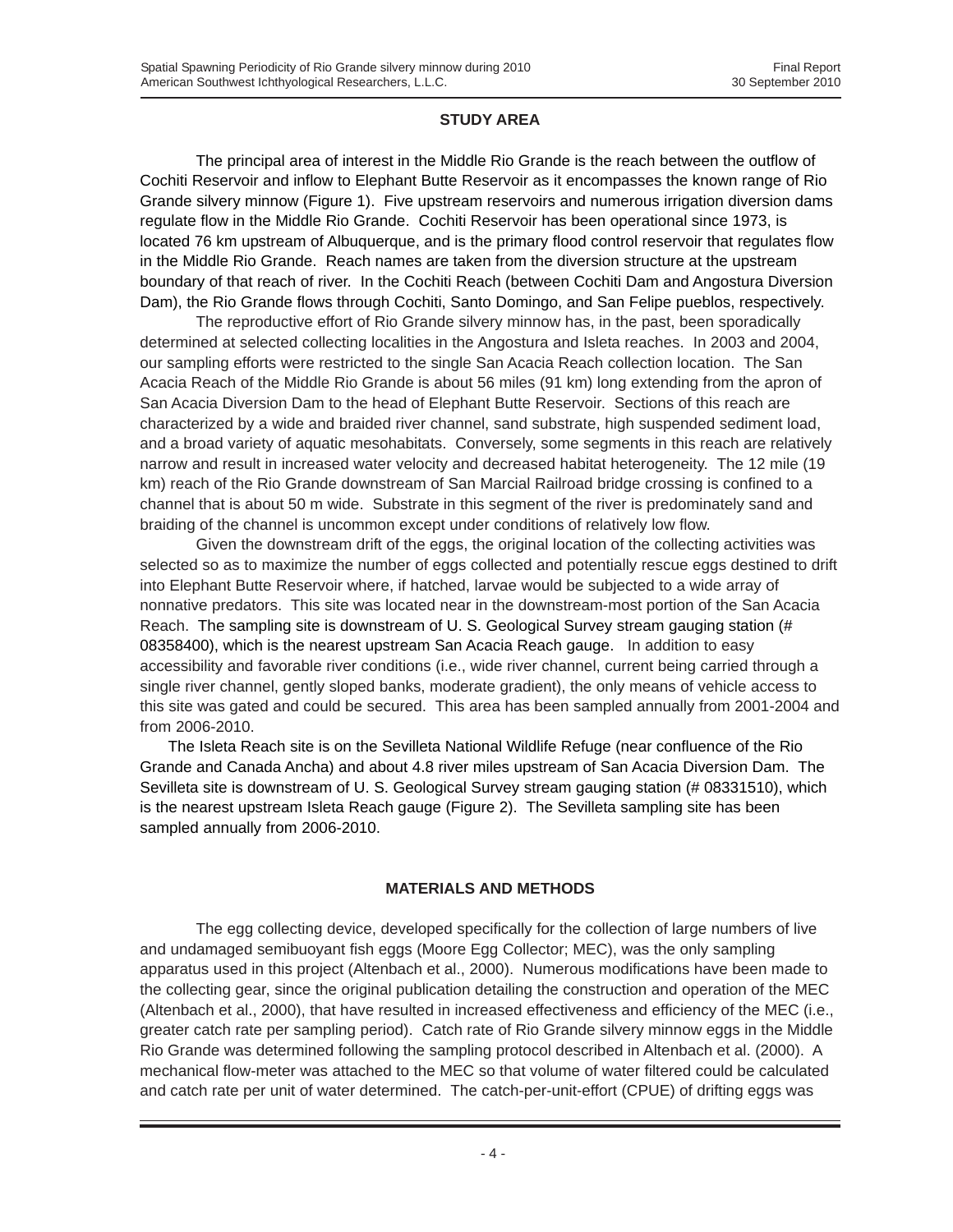#### **STUDY AREA**

The principal area of interest in the Middle Rio Grande is the reach between the outflow of Cochiti Reservoir and inflow to Elephant Butte Reservoir as it encompasses the known range of Rio Grande silvery minnow (Figure 1). Five upstream reservoirs and numerous irrigation diversion dams regulate flow in the Middle Rio Grande. Cochiti Reservoir has been operational since 1973, is located 76 km upstream of Albuquerque, and is the primary flood control reservoir that regulates flow in the Middle Rio Grande. Reach names are taken from the diversion structure at the upstream boundary of that reach of river. In the Cochiti Reach (between Cochiti Dam and Angostura Diversion Dam), the Rio Grande flows through Cochiti, Santo Domingo, and San Felipe pueblos, respectively.

The reproductive effort of Rio Grande silvery minnow has, in the past, been sporadically determined at selected collecting localities in the Angostura and Isleta reaches. In 2003 and 2004, our sampling efforts were restricted to the single San Acacia Reach collection location. The San Acacia Reach of the Middle Rio Grande is about 56 miles (91 km) long extending from the apron of San Acacia Diversion Dam to the head of Elephant Butte Reservoir. Sections of this reach are characterized by a wide and braided river channel, sand substrate, high suspended sediment load, and a broad variety of aquatic mesohabitats. Conversely, some segments in this reach are relatively narrow and result in increased water velocity and decreased habitat heterogeneity. The 12 mile (19 km) reach of the Rio Grande downstream of San Marcial Railroad bridge crossing is confined to a channel that is about 50 m wide. Substrate in this segment of the river is predominately sand and braiding of the channel is uncommon except under conditions of relatively low flow.

Given the downstream drift of the eggs, the original location of the collecting activities was selected so as to maximize the number of eggs collected and potentially rescue eggs destined to drift into Elephant Butte Reservoir where, if hatched, larvae would be subjected to a wide array of nonnative predators. This site was located near in the downstream-most portion of the San Acacia Reach. The sampling site is downstream of U. S. Geological Survey stream gauging station (# 08358400), which is the nearest upstream San Acacia Reach gauge. In addition to easy accessibility and favorable river conditions (i.e., wide river channel, current being carried through a single river channel, gently sloped banks, moderate gradient), the only means of vehicle access to this site was gated and could be secured. This area has been sampled annually from 2001-2004 and from 2006-2010.

The Isleta Reach site is on the Sevilleta National Wildlife Refuge (near confluence of the Rio Grande and Canada Ancha) and about 4.8 river miles upstream of San Acacia Diversion Dam. The Sevilleta site is downstream of U. S. Geological Survey stream gauging station (# 08331510), which is the nearest upstream Isleta Reach gauge (Figure 2). The Sevilleta sampling site has been sampled annually from 2006-2010.

# **MATERIALS AND METHODS**

The egg collecting device, developed specifically for the collection of large numbers of live and undamaged semibuoyant fish eggs (Moore Egg Collector; MEC), was the only sampling apparatus used in this project (Altenbach et al., 2000). Numerous modifications have been made to the collecting gear, since the original publication detailing the construction and operation of the MEC (Altenbach et al., 2000), that have resulted in increased effectiveness and efficiency of the MEC (i.e., greater catch rate per sampling period). Catch rate of Rio Grande silvery minnow eggs in the Middle Rio Grande was determined following the sampling protocol described in Altenbach et al. (2000). A mechanical flow-meter was attached to the MEC so that volume of water filtered could be calculated and catch rate per unit of water determined. The catch-per-unit-effort (CPUE) of drifting eggs was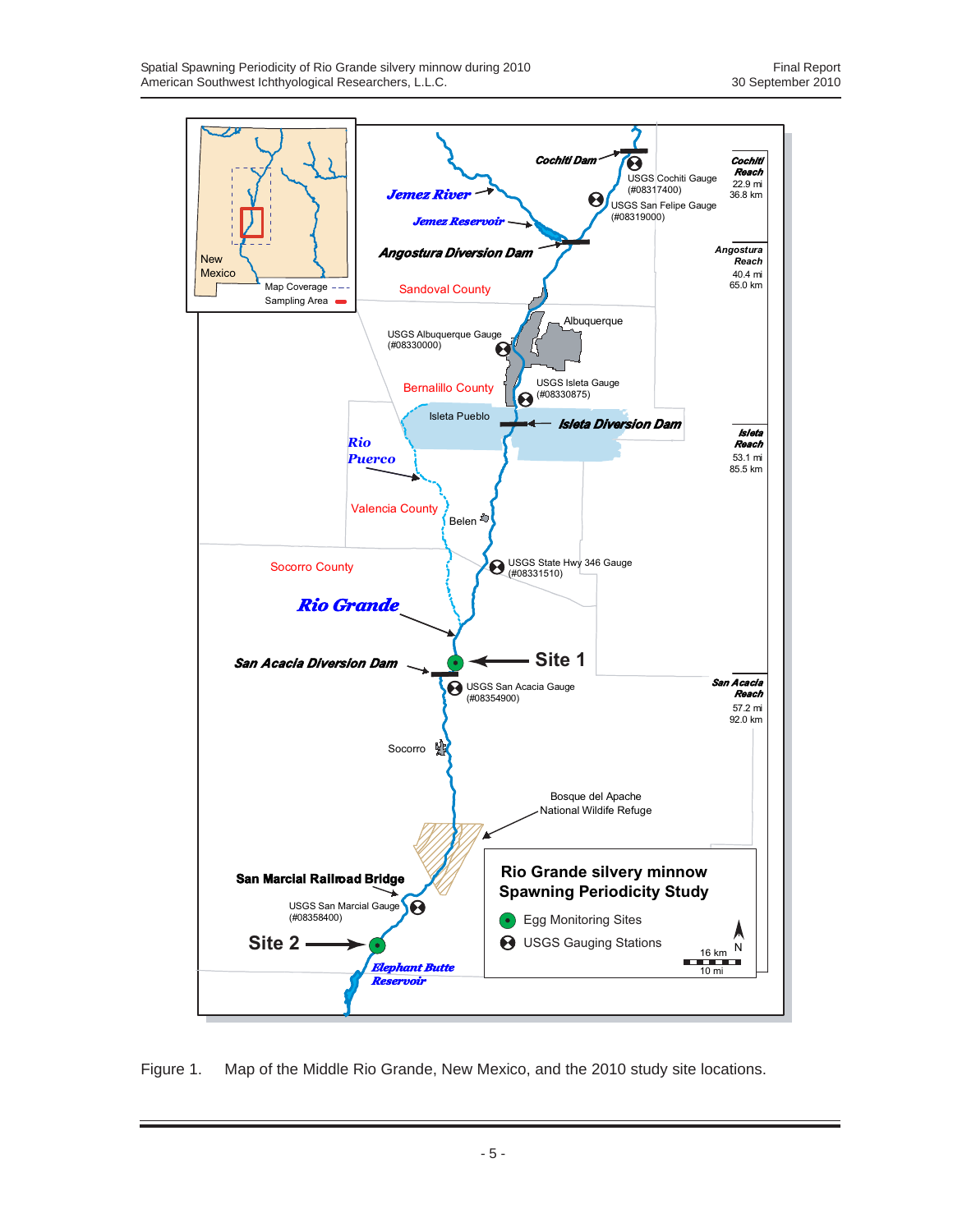

Figure 1. Map of the Middle Rio Grande, New Mexico, and the 2010 study site locations.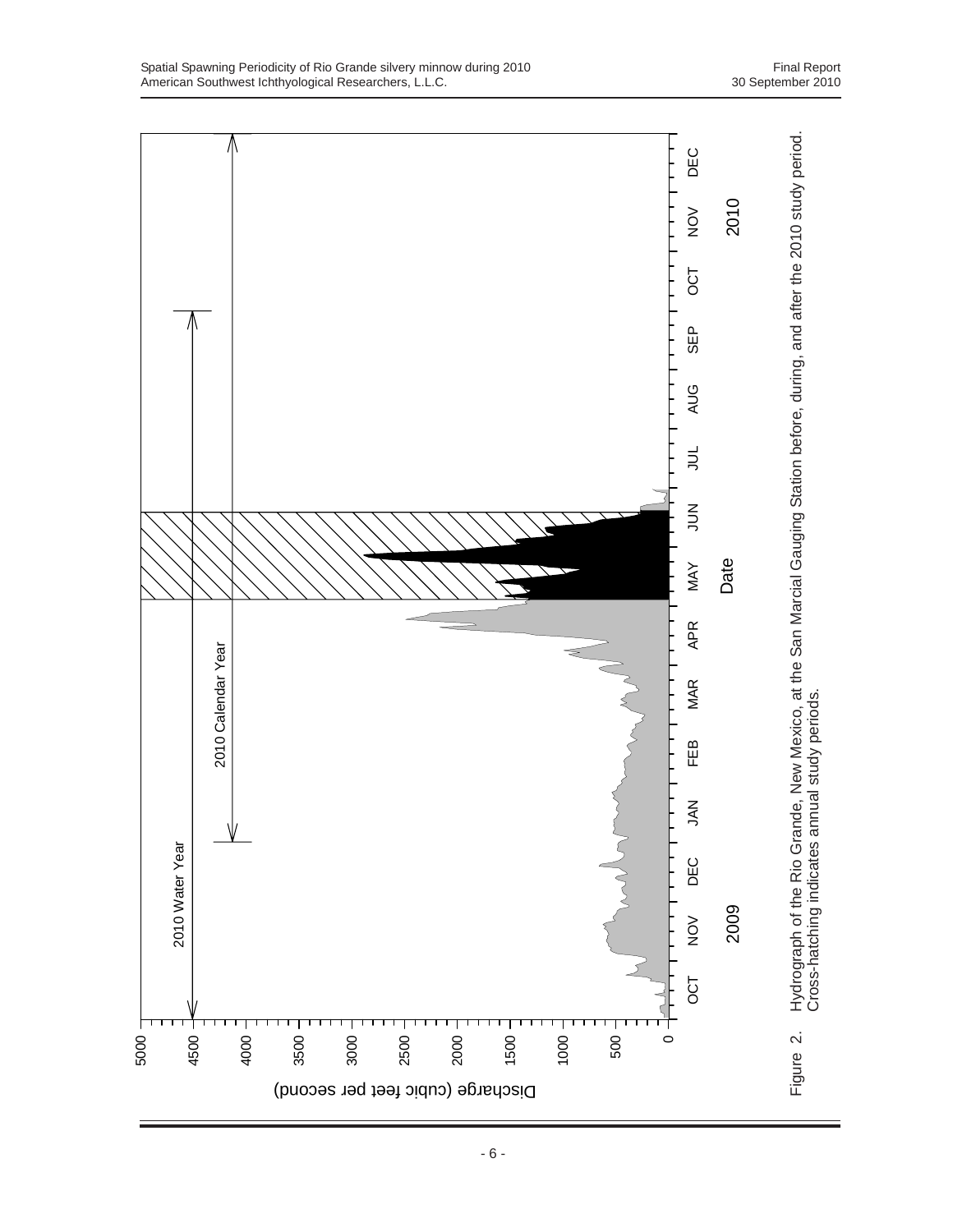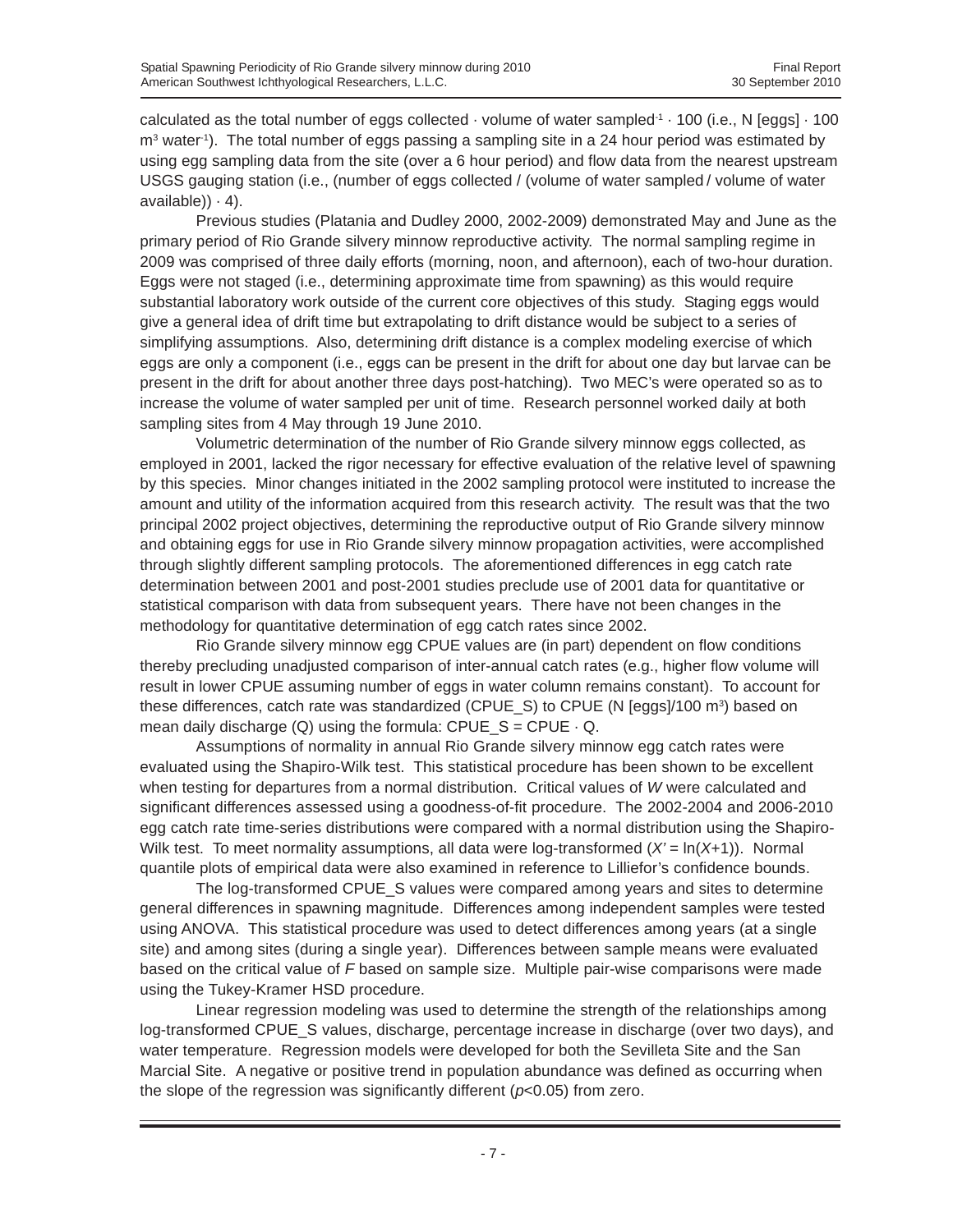calculated as the total number of eggs collected  $\cdot$  volume of water sampled $1 \cdot 100$  (i.e., N [eggs]  $\cdot 100$  $m<sup>3</sup>$  water<sup>-1</sup>). The total number of eggs passing a sampling site in a 24 hour period was estimated by using egg sampling data from the site (over a 6 hour period) and flow data from the nearest upstream USGS gauging station (i.e., (number of eggs collected / (volume of water sampled / volume of water  $a$ vailable $) \cdot 4$ ).

Previous studies (Platania and Dudley 2000, 2002-2009) demonstrated May and June as the primary period of Rio Grande silvery minnow reproductive activity. The normal sampling regime in 2009 was comprised of three daily efforts (morning, noon, and afternoon), each of two-hour duration. Eggs were not staged (i.e., determining approximate time from spawning) as this would require substantial laboratory work outside of the current core objectives of this study. Staging eggs would give a general idea of drift time but extrapolating to drift distance would be subject to a series of simplifying assumptions. Also, determining drift distance is a complex modeling exercise of which eggs are only a component (i.e., eggs can be present in the drift for about one day but larvae can be present in the drift for about another three days post-hatching). Two MEC's were operated so as to increase the volume of water sampled per unit of time. Research personnel worked daily at both sampling sites from 4 May through 19 June 2010.

Volumetric determination of the number of Rio Grande silvery minnow eggs collected, as employed in 2001, lacked the rigor necessary for effective evaluation of the relative level of spawning by this species. Minor changes initiated in the 2002 sampling protocol were instituted to increase the amount and utility of the information acquired from this research activity. The result was that the two principal 2002 project objectives, determining the reproductive output of Rio Grande silvery minnow and obtaining eggs for use in Rio Grande silvery minnow propagation activities, were accomplished through slightly different sampling protocols. The aforementioned differences in egg catch rate determination between 2001 and post-2001 studies preclude use of 2001 data for quantitative or statistical comparison with data from subsequent years. There have not been changes in the methodology for quantitative determination of egg catch rates since 2002.

Rio Grande silvery minnow egg CPUE values are (in part) dependent on flow conditions thereby precluding unadjusted comparison of inter-annual catch rates (e.g., higher flow volume will result in lower CPUE assuming number of eggs in water column remains constant). To account for these differences, catch rate was standardized (CPUE\_S) to CPUE (N [eggs]/100 m<sup>3</sup>) based on mean daily discharge (Q) using the formula:  $CPUE\_S = CPUE \cdot Q$ .

Assumptions of normality in annual Rio Grande silvery minnow egg catch rates were evaluated using the Shapiro-Wilk test. This statistical procedure has been shown to be excellent when testing for departures from a normal distribution. Critical values of *W* were calculated and significant differences assessed using a goodness-of-fit procedure. The 2002-2004 and 2006-2010 egg catch rate time-series distributions were compared with a normal distribution using the Shapiro-Wilk test. To meet normality assumptions, all data were log-transformed (*X'* = ln(*X*+1)). Normal quantile plots of empirical data were also examined in reference to Lilliefor's confidence bounds.

The log-transformed CPUE\_S values were compared among years and sites to determine general differences in spawning magnitude. Differences among independent samples were tested using ANOVA. This statistical procedure was used to detect differences among years (at a single site) and among sites (during a single year). Differences between sample means were evaluated based on the critical value of *F* based on sample size. Multiple pair-wise comparisons were made using the Tukey-Kramer HSD procedure.

Linear regression modeling was used to determine the strength of the relationships among log-transformed CPUE\_S values, discharge, percentage increase in discharge (over two days), and water temperature. Regression models were developed for both the Sevilleta Site and the San Marcial Site. A negative or positive trend in population abundance was defined as occurring when the slope of the regression was significantly different (*p*<0.05) from zero.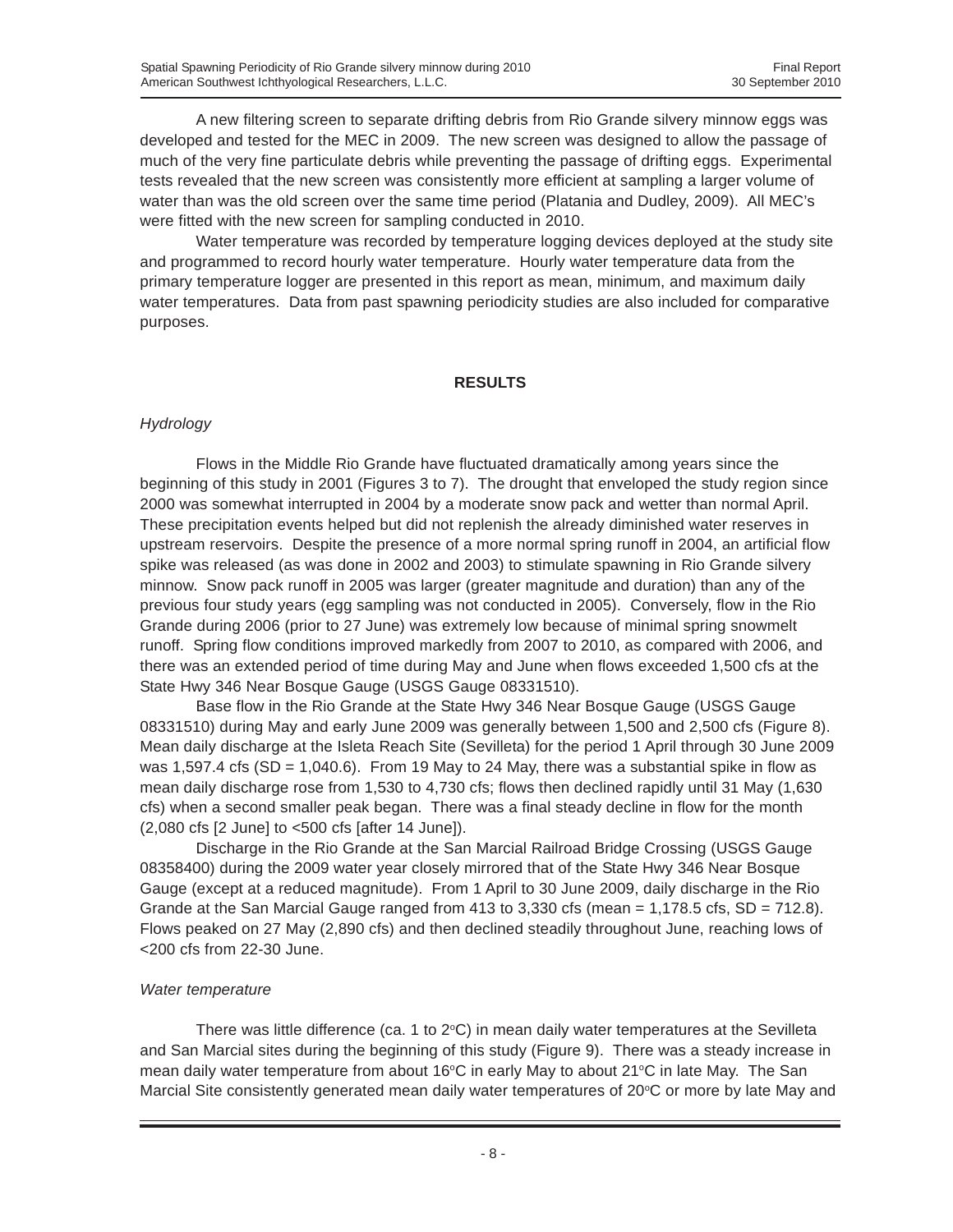A new filtering screen to separate drifting debris from Rio Grande silvery minnow eggs was developed and tested for the MEC in 2009. The new screen was designed to allow the passage of much of the very fine particulate debris while preventing the passage of drifting eggs. Experimental tests revealed that the new screen was consistently more efficient at sampling a larger volume of water than was the old screen over the same time period (Platania and Dudley, 2009). All MEC's were fitted with the new screen for sampling conducted in 2010.

Water temperature was recorded by temperature logging devices deployed at the study site and programmed to record hourly water temperature. Hourly water temperature data from the primary temperature logger are presented in this report as mean, minimum, and maximum daily water temperatures. Data from past spawning periodicity studies are also included for comparative purposes.

#### **RESULTS**

# *Hydrology*

Flows in the Middle Rio Grande have fluctuated dramatically among years since the beginning of this study in 2001 (Figures 3 to 7). The drought that enveloped the study region since 2000 was somewhat interrupted in 2004 by a moderate snow pack and wetter than normal April. These precipitation events helped but did not replenish the already diminished water reserves in upstream reservoirs. Despite the presence of a more normal spring runoff in 2004, an artificial flow spike was released (as was done in 2002 and 2003) to stimulate spawning in Rio Grande silvery minnow. Snow pack runoff in 2005 was larger (greater magnitude and duration) than any of the previous four study years (egg sampling was not conducted in 2005). Conversely, flow in the Rio Grande during 2006 (prior to 27 June) was extremely low because of minimal spring snowmelt runoff. Spring flow conditions improved markedly from 2007 to 2010, as compared with 2006, and there was an extended period of time during May and June when flows exceeded 1,500 cfs at the State Hwy 346 Near Bosque Gauge (USGS Gauge 08331510).

Base flow in the Rio Grande at the State Hwy 346 Near Bosque Gauge (USGS Gauge 08331510) during May and early June 2009 was generally between 1,500 and 2,500 cfs (Figure 8). Mean daily discharge at the Isleta Reach Site (Sevilleta) for the period 1 April through 30 June 2009 was 1,597.4 cfs (SD = 1,040.6). From 19 May to 24 May, there was a substantial spike in flow as mean daily discharge rose from 1,530 to 4,730 cfs; flows then declined rapidly until 31 May (1,630 cfs) when a second smaller peak began. There was a final steady decline in flow for the month (2,080 cfs [2 June] to <500 cfs [after 14 June]).

Discharge in the Rio Grande at the San Marcial Railroad Bridge Crossing (USGS Gauge 08358400) during the 2009 water year closely mirrored that of the State Hwy 346 Near Bosque Gauge (except at a reduced magnitude). From 1 April to 30 June 2009, daily discharge in the Rio Grande at the San Marcial Gauge ranged from 413 to 3,330 cfs (mean  $= 1,178.5$  cfs, SD  $= 712.8$ ). Flows peaked on 27 May (2,890 cfs) and then declined steadily throughout June, reaching lows of <200 cfs from 22-30 June.

# *Water temperature*

There was little difference (ca. 1 to  $2^{\circ}$ C) in mean daily water temperatures at the Sevilleta and San Marcial sites during the beginning of this study (Figure 9). There was a steady increase in mean daily water temperature from about 16°C in early May to about 21°C in late May. The San Marcial Site consistently generated mean daily water temperatures of 20 $\degree$ C or more by late May and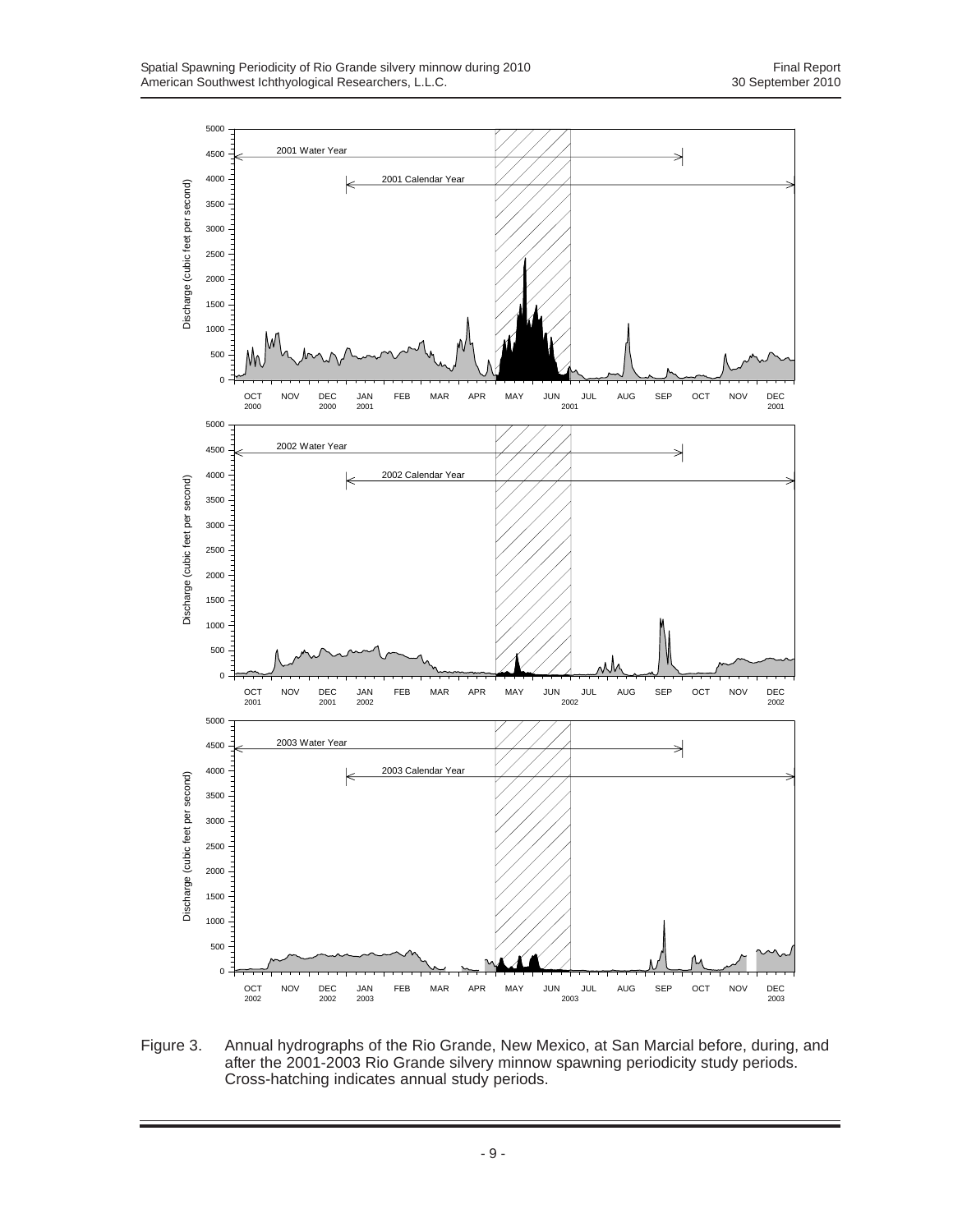

Figure 3. Annual hydrographs of the Rio Grande, New Mexico, at San Marcial before, during, and after the 2001-2003 Rio Grande silvery minnow spawning periodicity study periods. Cross-hatching indicates annual study periods.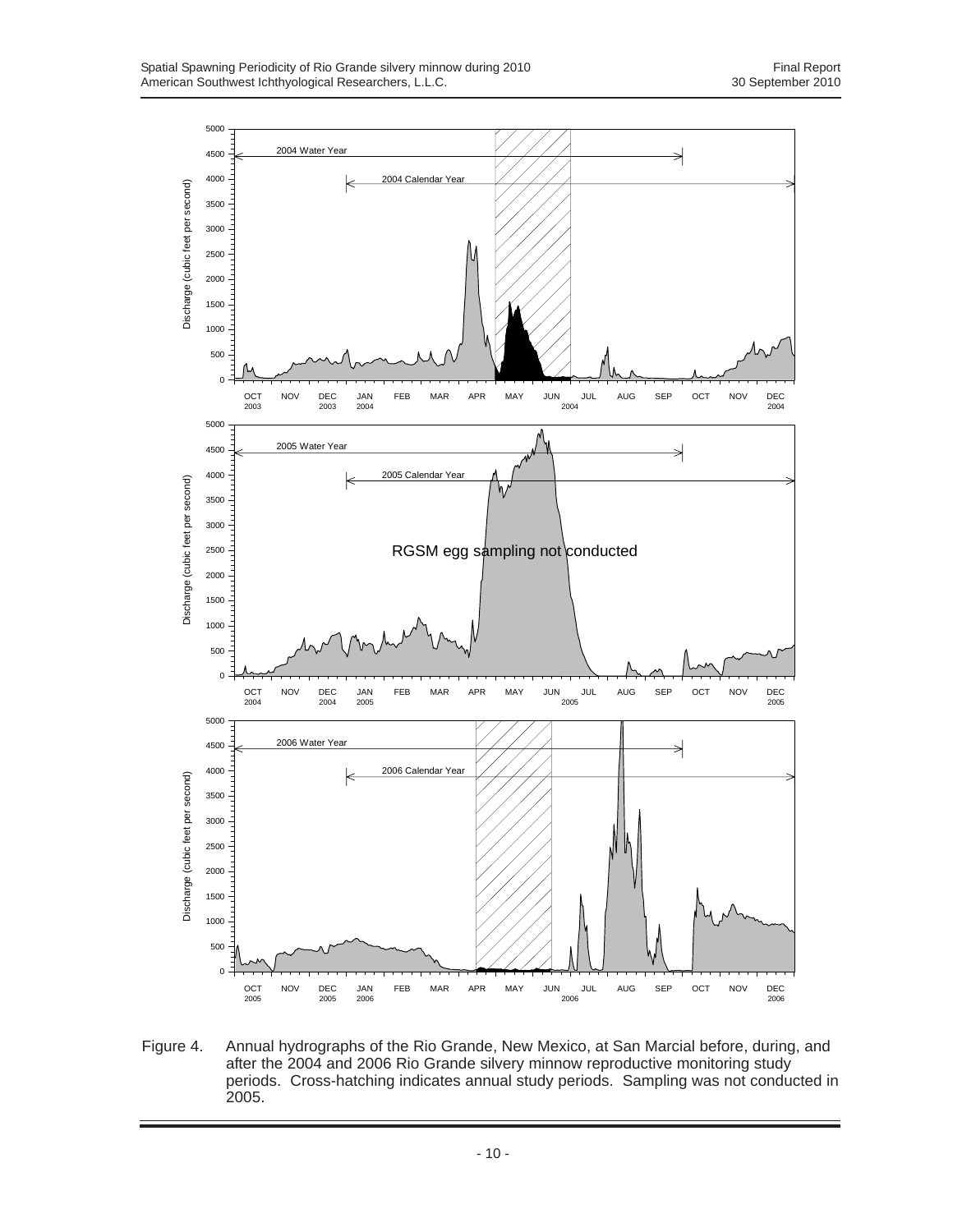

Figure 4. Annual hydrographs of the Rio Grande, New Mexico, at San Marcial before, during, and after the 2004 and 2006 Rio Grande silvery minnow reproductive monitoring study periods. Cross-hatching indicates annual study periods. Sampling was not conducted in 2005.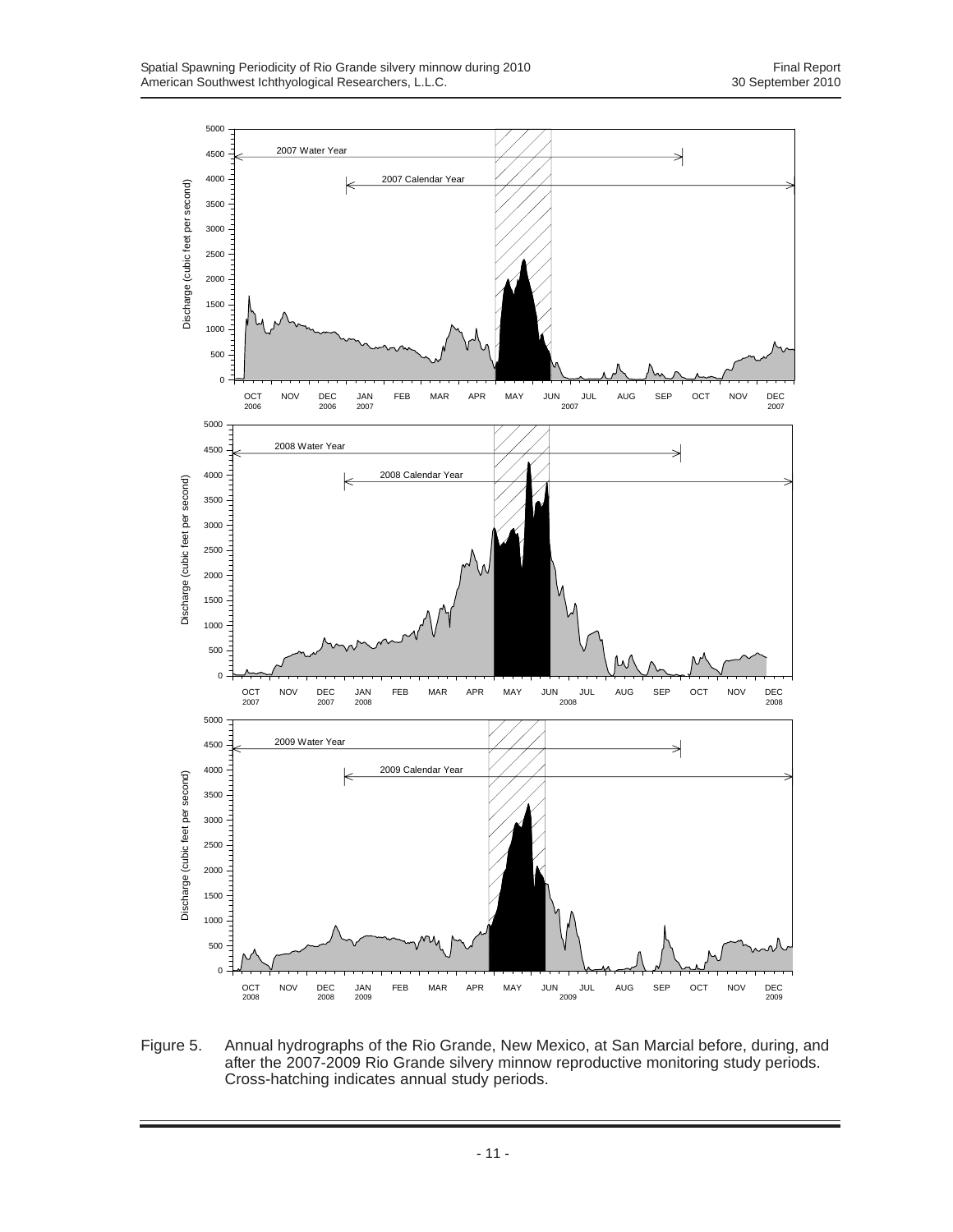

Figure 5. Annual hydrographs of the Rio Grande, New Mexico, at San Marcial before, during, and after the 2007-2009 Rio Grande silvery minnow reproductive monitoring study periods. Cross-hatching indicates annual study periods.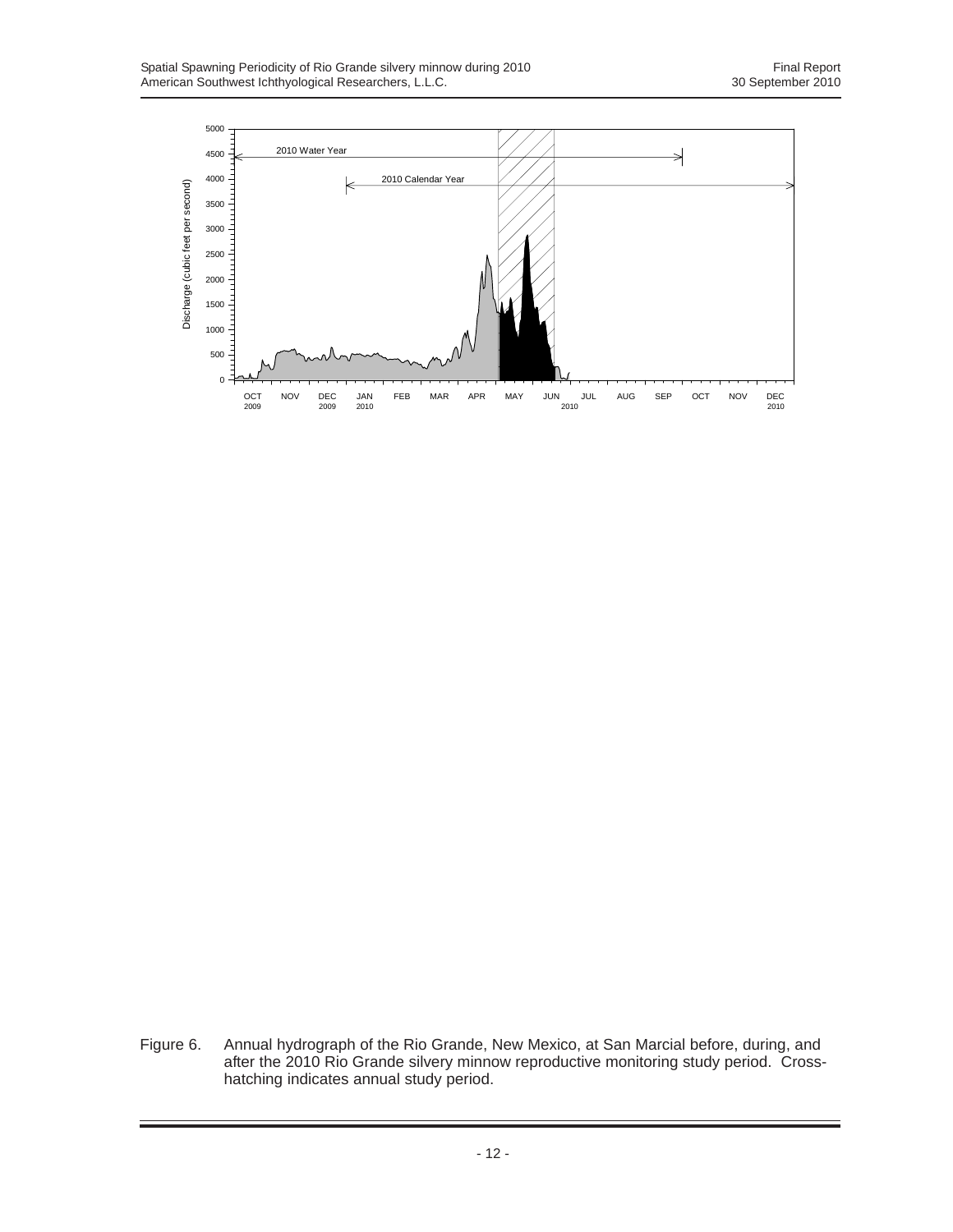

Figure 6. Annual hydrograph of the Rio Grande, New Mexico, at San Marcial before, during, and after the 2010 Rio Grande silvery minnow reproductive monitoring study period. Crosshatching indicates annual study period.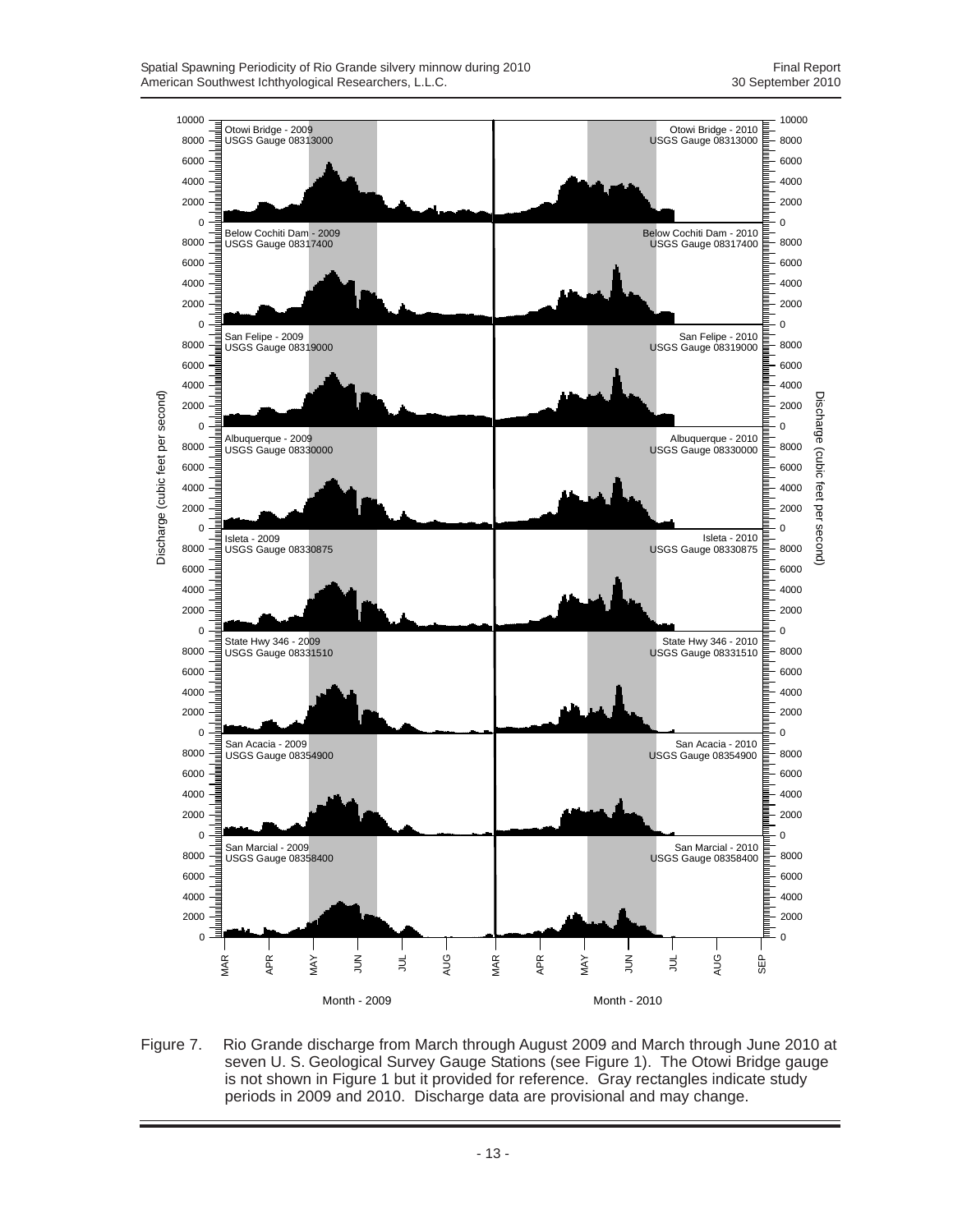

Figure 7. Rio Grande discharge from March through August 2009 and March through June 2010 at seven U. S. Geological Survey Gauge Stations (see Figure 1). The Otowi Bridge gauge is not shown in Figure 1 but it provided for reference. Gray rectangles indicate study periods in 2009 and 2010. Discharge data are provisional and may change.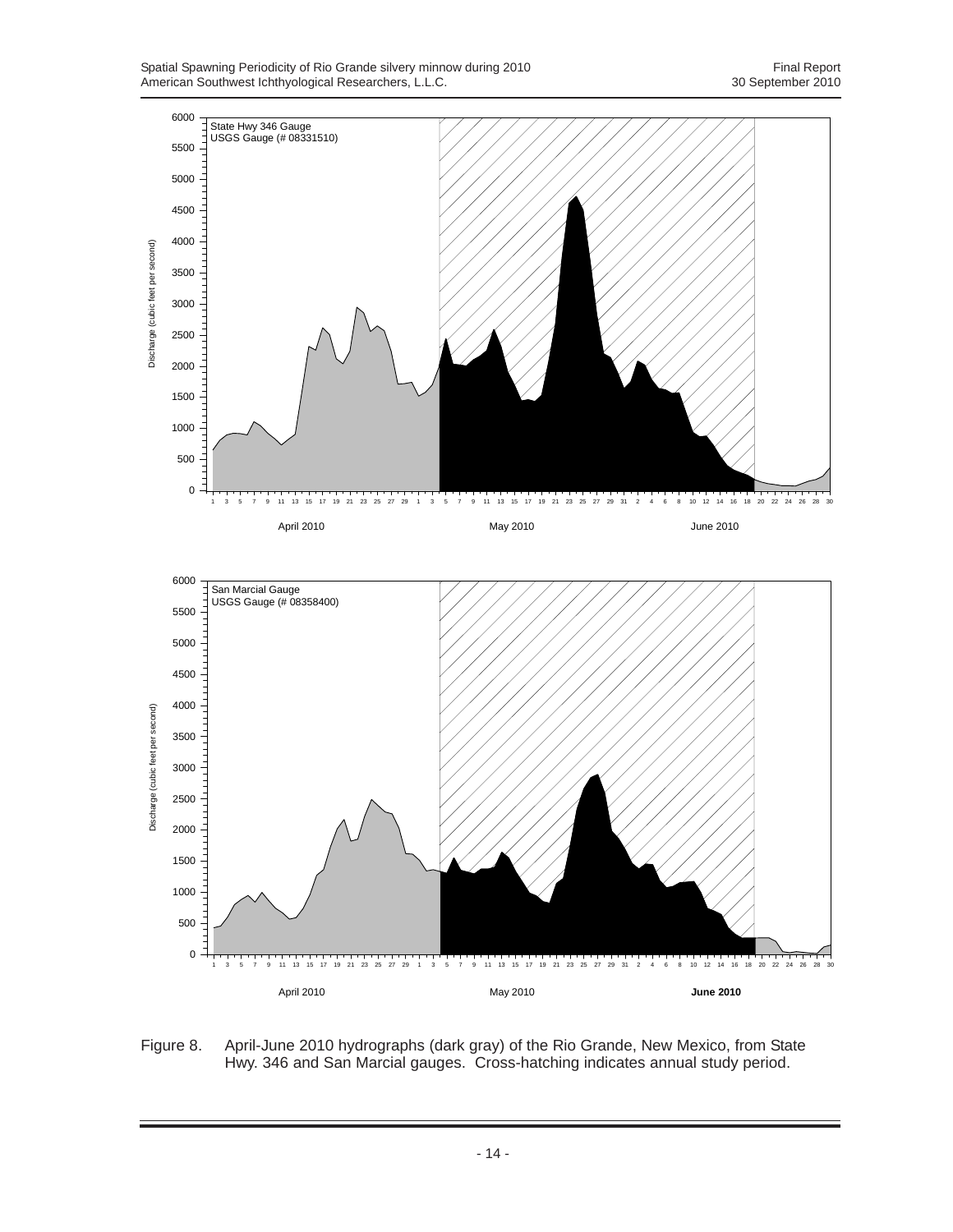

Figure 8. April-June 2010 hydrographs (dark gray) of the Rio Grande, New Mexico, from State Hwy. 346 and San Marcial gauges. Cross-hatching indicates annual study period.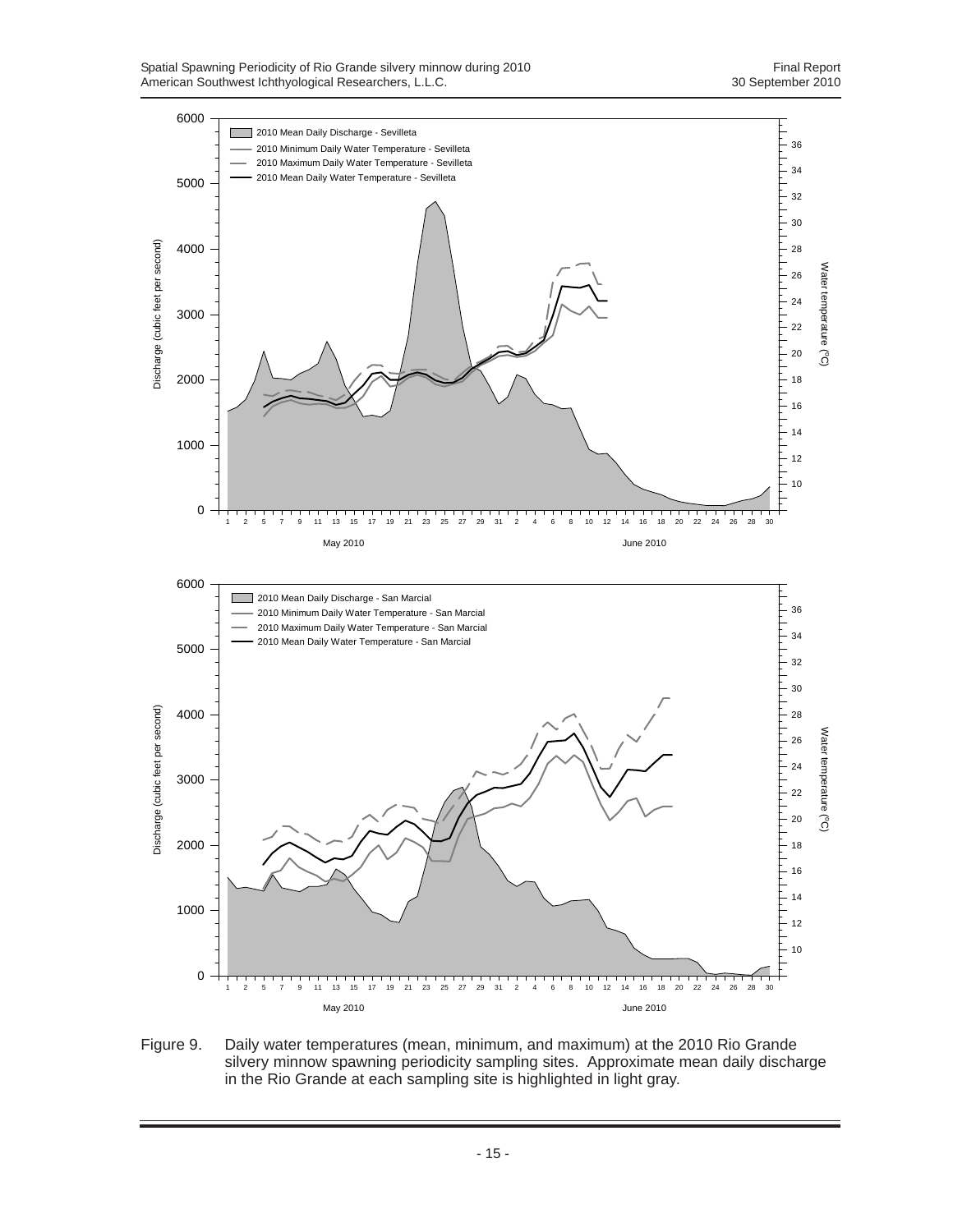

Figure 9. Daily water temperatures (mean, minimum, and maximum) at the 2010 Rio Grande silvery minnow spawning periodicity sampling sites. Approximate mean daily discharge in the Rio Grande at each sampling site is highlighted in light gray.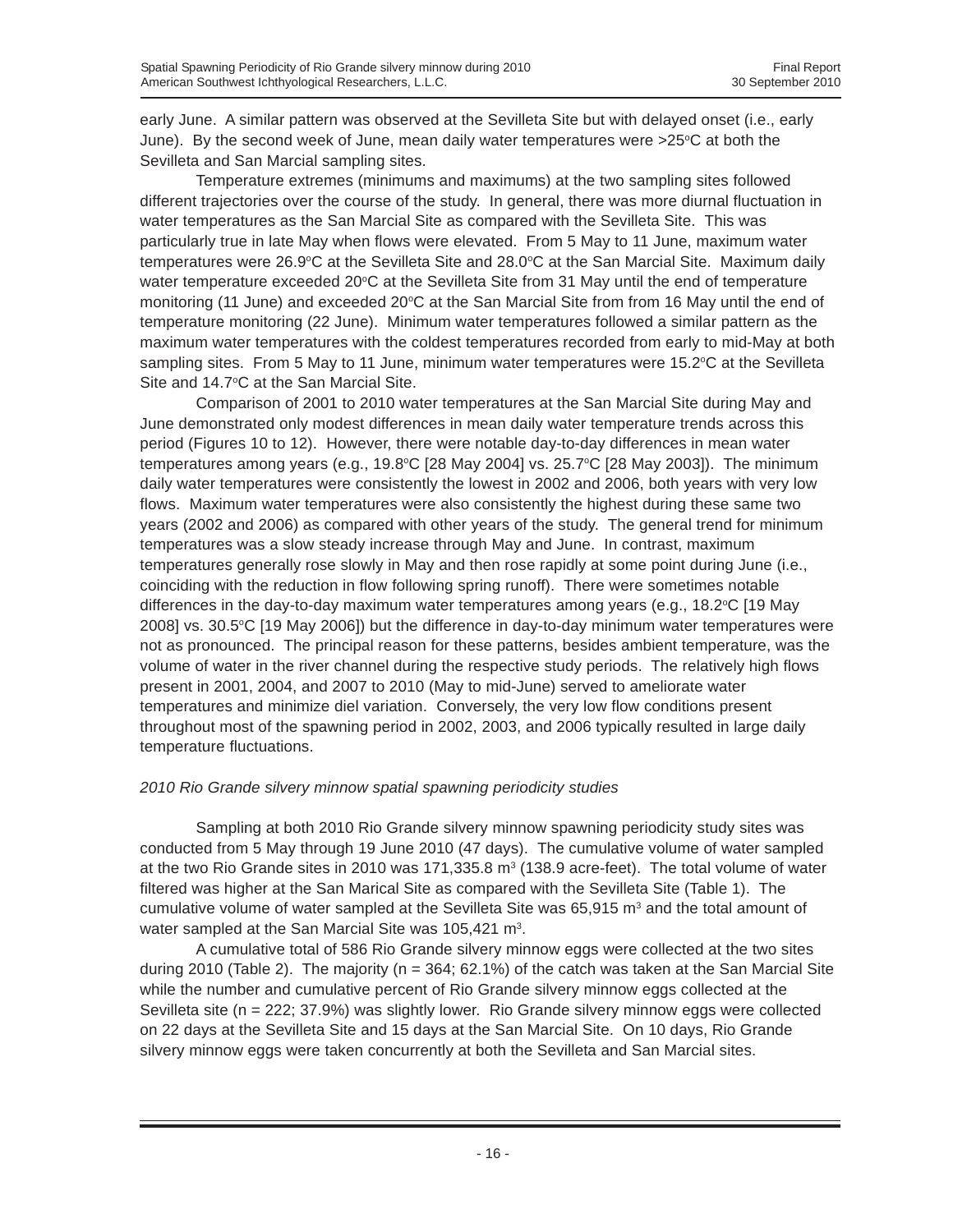early June. A similar pattern was observed at the Sevilleta Site but with delayed onset (i.e., early June). By the second week of June, mean daily water temperatures were  $>25^{\circ}$ C at both the Sevilleta and San Marcial sampling sites.

Temperature extremes (minimums and maximums) at the two sampling sites followed different trajectories over the course of the study. In general, there was more diurnal fluctuation in water temperatures as the San Marcial Site as compared with the Sevilleta Site. This was particularly true in late May when flows were elevated. From 5 May to 11 June, maximum water temperatures were 26.9 $\degree$ C at the Sevilleta Site and 28.0 $\degree$ C at the San Marcial Site. Maximum daily water temperature exceeded 20°C at the Sevilleta Site from 31 May until the end of temperature monitoring (11 June) and exceeded 20°C at the San Marcial Site from from 16 May until the end of temperature monitoring (22 June). Minimum water temperatures followed a similar pattern as the maximum water temperatures with the coldest temperatures recorded from early to mid-May at both sampling sites. From 5 May to 11 June, minimum water temperatures were 15.2°C at the Sevilleta Site and 14.7°C at the San Marcial Site.

Comparison of 2001 to 2010 water temperatures at the San Marcial Site during May and June demonstrated only modest differences in mean daily water temperature trends across this period (Figures 10 to 12). However, there were notable day-to-day differences in mean water temperatures among years (e.g., 19.8°C [28 May 2004] vs. 25.7°C [28 May 2003]). The minimum daily water temperatures were consistently the lowest in 2002 and 2006, both years with very low flows. Maximum water temperatures were also consistently the highest during these same two years (2002 and 2006) as compared with other years of the study. The general trend for minimum temperatures was a slow steady increase through May and June. In contrast, maximum temperatures generally rose slowly in May and then rose rapidly at some point during June (i.e., coinciding with the reduction in flow following spring runoff). There were sometimes notable differences in the day-to-day maximum water temperatures among years (e.g., 18.2°C [19 May 2008] vs. 30.5°C [19 May 2006]) but the difference in day-to-day minimum water temperatures were not as pronounced. The principal reason for these patterns, besides ambient temperature, was the volume of water in the river channel during the respective study periods. The relatively high flows present in 2001, 2004, and 2007 to 2010 (May to mid-June) served to ameliorate water temperatures and minimize diel variation. Conversely, the very low flow conditions present throughout most of the spawning period in 2002, 2003, and 2006 typically resulted in large daily temperature fluctuations.

# *2010 Rio Grande silvery minnow spatial spawning periodicity studies*

Sampling at both 2010 Rio Grande silvery minnow spawning periodicity study sites was conducted from 5 May through 19 June 2010 (47 days). The cumulative volume of water sampled at the two Rio Grande sites in 2010 was 171,335.8  $m^3$  (138.9 acre-feet). The total volume of water filtered was higher at the San Marical Site as compared with the Sevilleta Site (Table 1). The cumulative volume of water sampled at the Sevilleta Site was  $65,915$  m<sup>3</sup> and the total amount of water sampled at the San Marcial Site was  $105,421 \text{ m}^3$ .

A cumulative total of 586 Rio Grande silvery minnow eggs were collected at the two sites during 2010 (Table 2). The majority ( $n = 364$ ; 62.1%) of the catch was taken at the San Marcial Site while the number and cumulative percent of Rio Grande silvery minnow eggs collected at the Sevilleta site (n = 222; 37.9%) was slightly lower. Rio Grande silvery minnow eggs were collected on 22 days at the Sevilleta Site and 15 days at the San Marcial Site. On 10 days, Rio Grande silvery minnow eggs were taken concurrently at both the Sevilleta and San Marcial sites.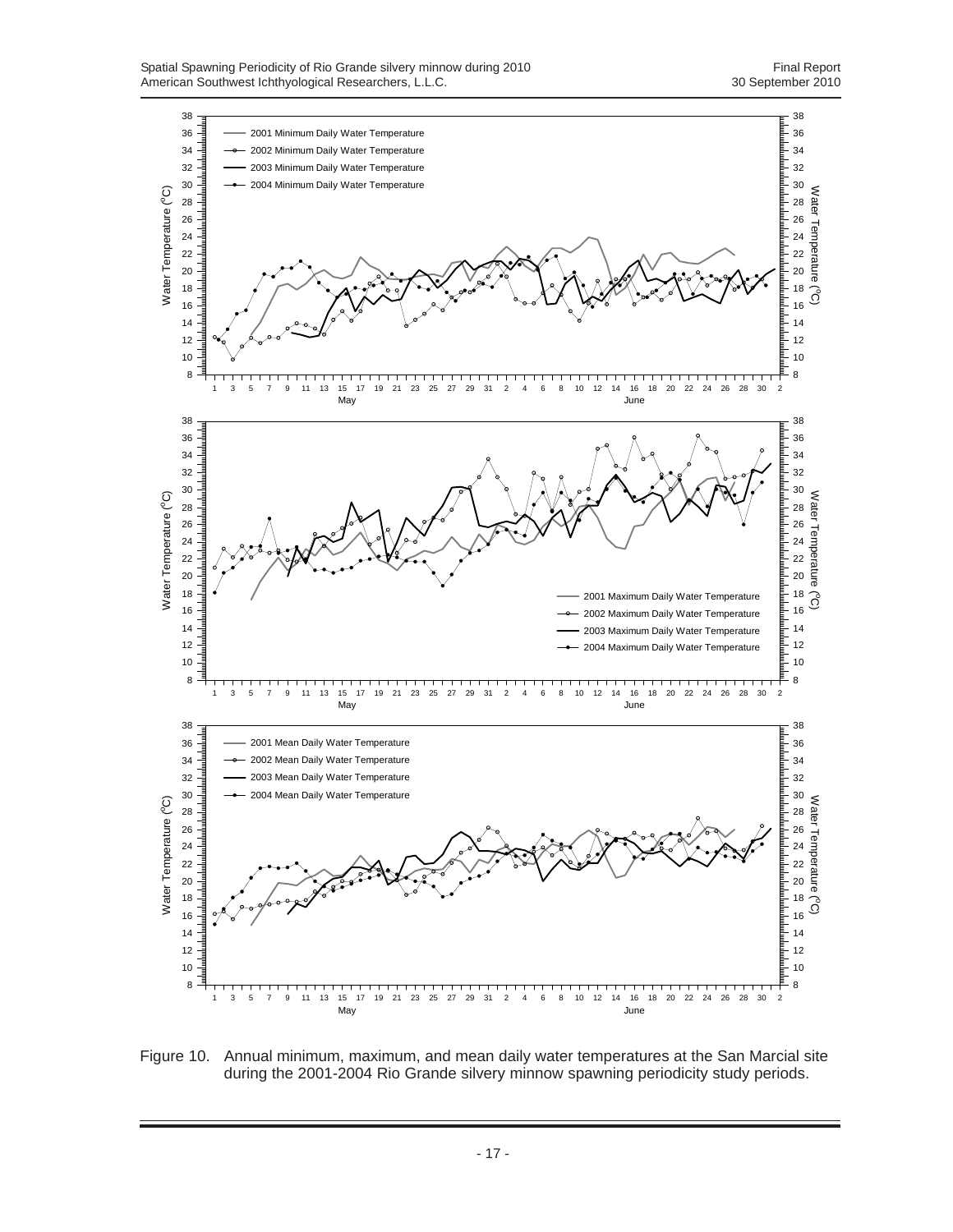

Figure 10. Annual minimum, maximum, and mean daily water temperatures at the San Marcial site during the 2001-2004 Rio Grande silvery minnow spawning periodicity study periods.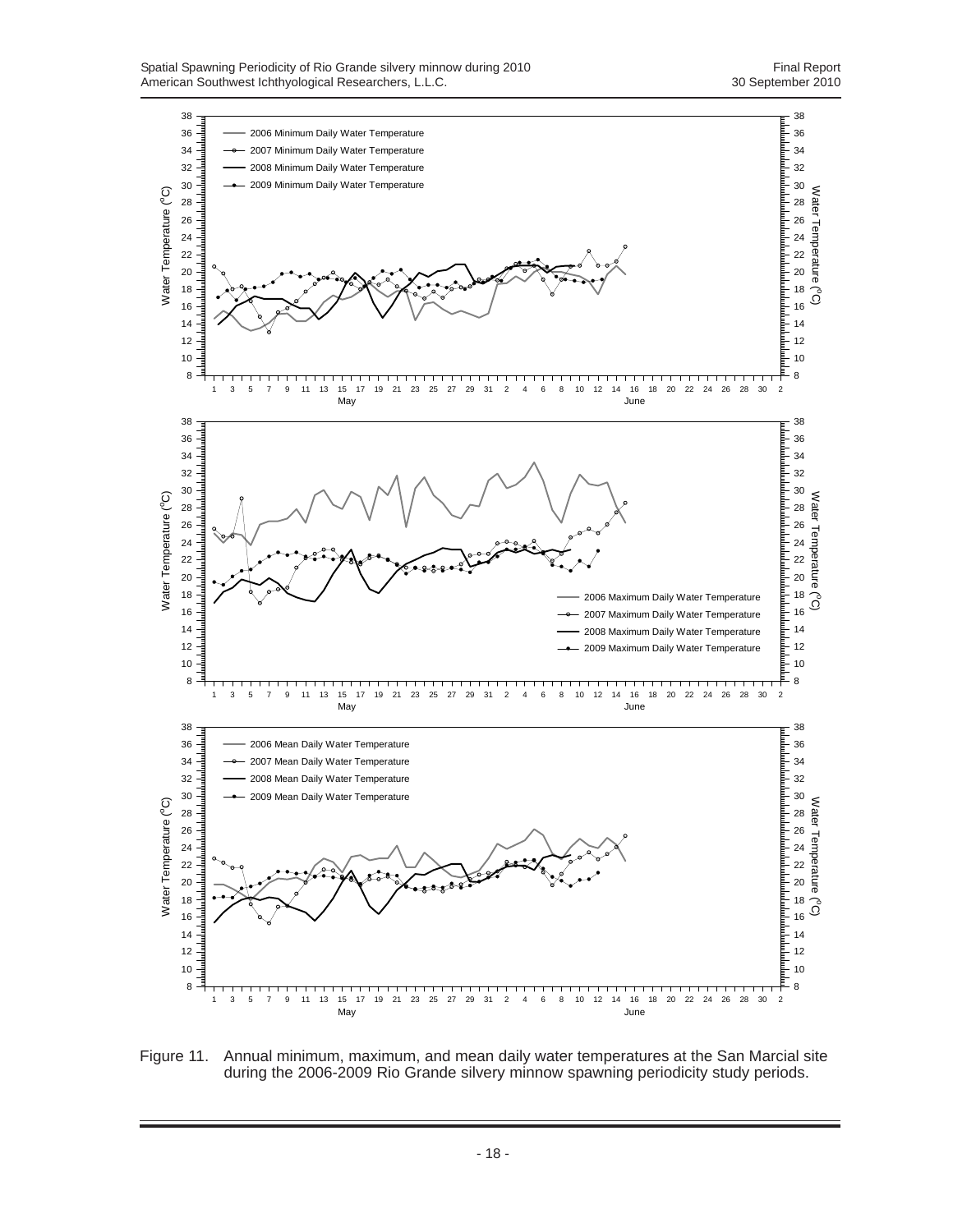

Figure 11. Annual minimum, maximum, and mean daily water temperatures at the San Marcial site during the 2006-2009 Rio Grande silvery minnow spawning periodicity study periods.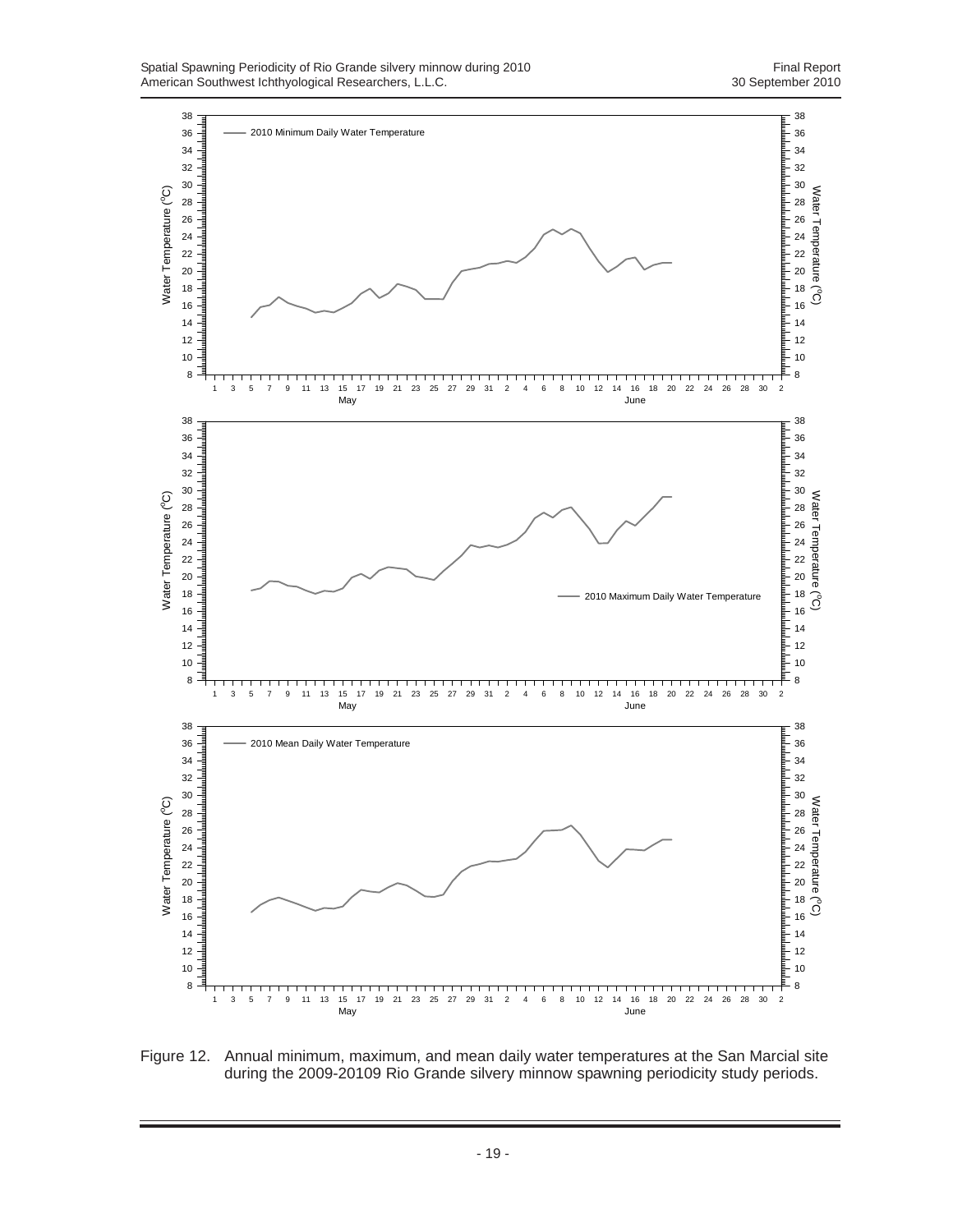

Figure 12. Annual minimum, maximum, and mean daily water temperatures at the San Marcial site during the 2009-20109 Rio Grande silvery minnow spawning periodicity study periods.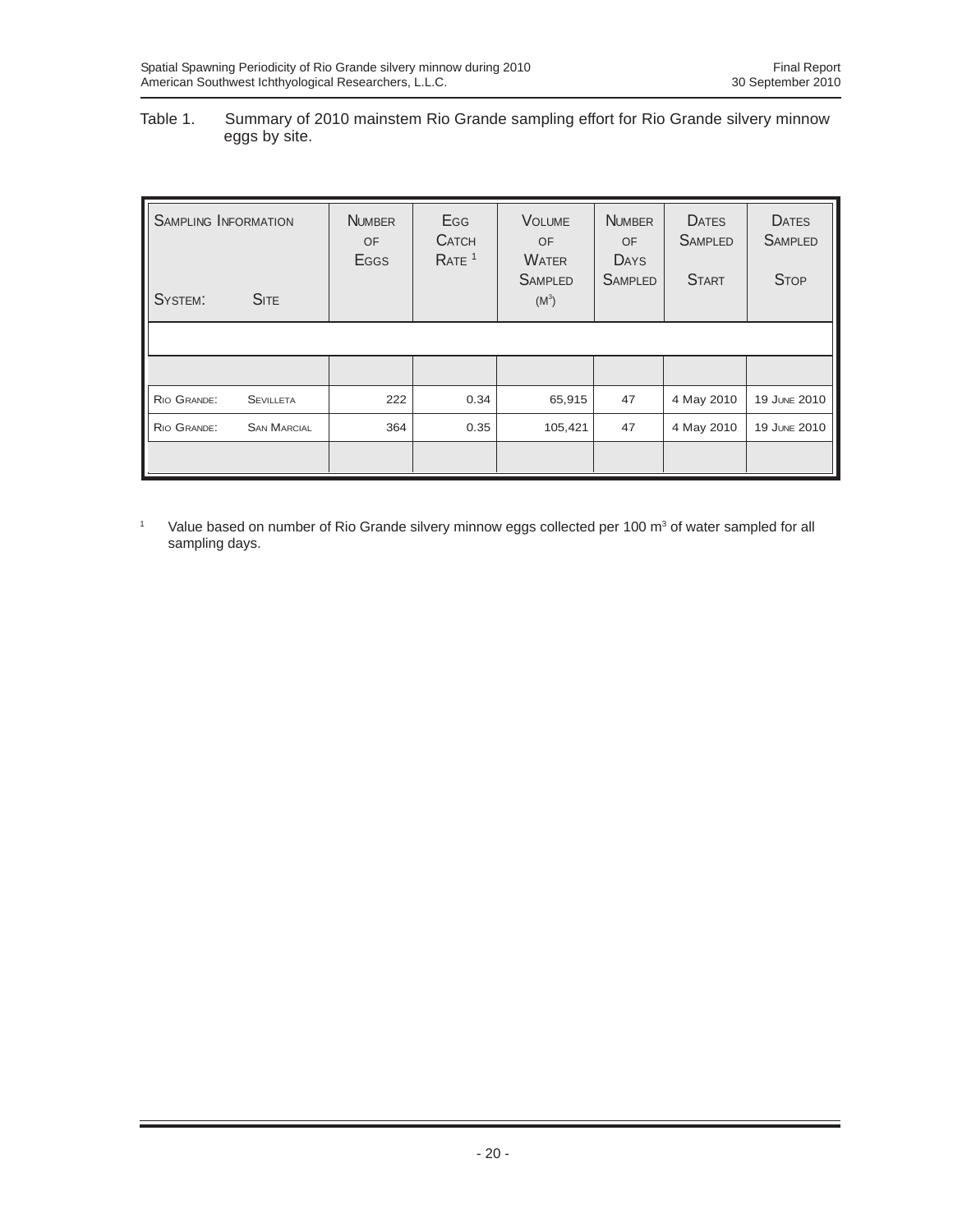#### Table 1. Summary of 2010 mainstem Rio Grande sampling effort for Rio Grande silvery minnow eggs by site.

| <b>SAMPLING INFORMATION</b> |                    | <b>NUMBER</b><br>OF<br><b>E</b> GGS | Egg<br><b>CATCH</b><br>RATE <sup>1</sup> | <b>VOLUME</b><br><b>OF</b><br><b>WATER</b> | <b>NUMBER</b><br><b>OF</b><br>DAYS | <b>DATES</b><br><b>SAMPLED</b> | <b>DATES</b><br><b>SAMPLED</b> |
|-----------------------------|--------------------|-------------------------------------|------------------------------------------|--------------------------------------------|------------------------------------|--------------------------------|--------------------------------|
| SYSTEM:                     | <b>SITE</b>        |                                     |                                          | <b>SAMPLED</b><br>$(M^3)$                  | <b>SAMPLED</b>                     | <b>START</b>                   | <b>STOP</b>                    |
|                             |                    |                                     |                                          |                                            |                                    |                                |                                |
|                             |                    |                                     |                                          |                                            |                                    |                                |                                |
| RIO GRANDE:                 | <b>SEVILLETA</b>   | 222                                 | 0.34                                     | 65,915                                     | 47                                 | 4 May 2010                     | 19 JUNE 2010                   |
| RIO GRANDE:                 | <b>SAN MARCIAL</b> | 364                                 | 0.35                                     | 105,421                                    | 47                                 | 4 May 2010                     | 19 JUNE 2010                   |
|                             |                    |                                     |                                          |                                            |                                    |                                |                                |

<sup>1</sup> Value based on number of Rio Grande silvery minnow eggs collected per 100 m<sup>3</sup> of water sampled for all sampling days.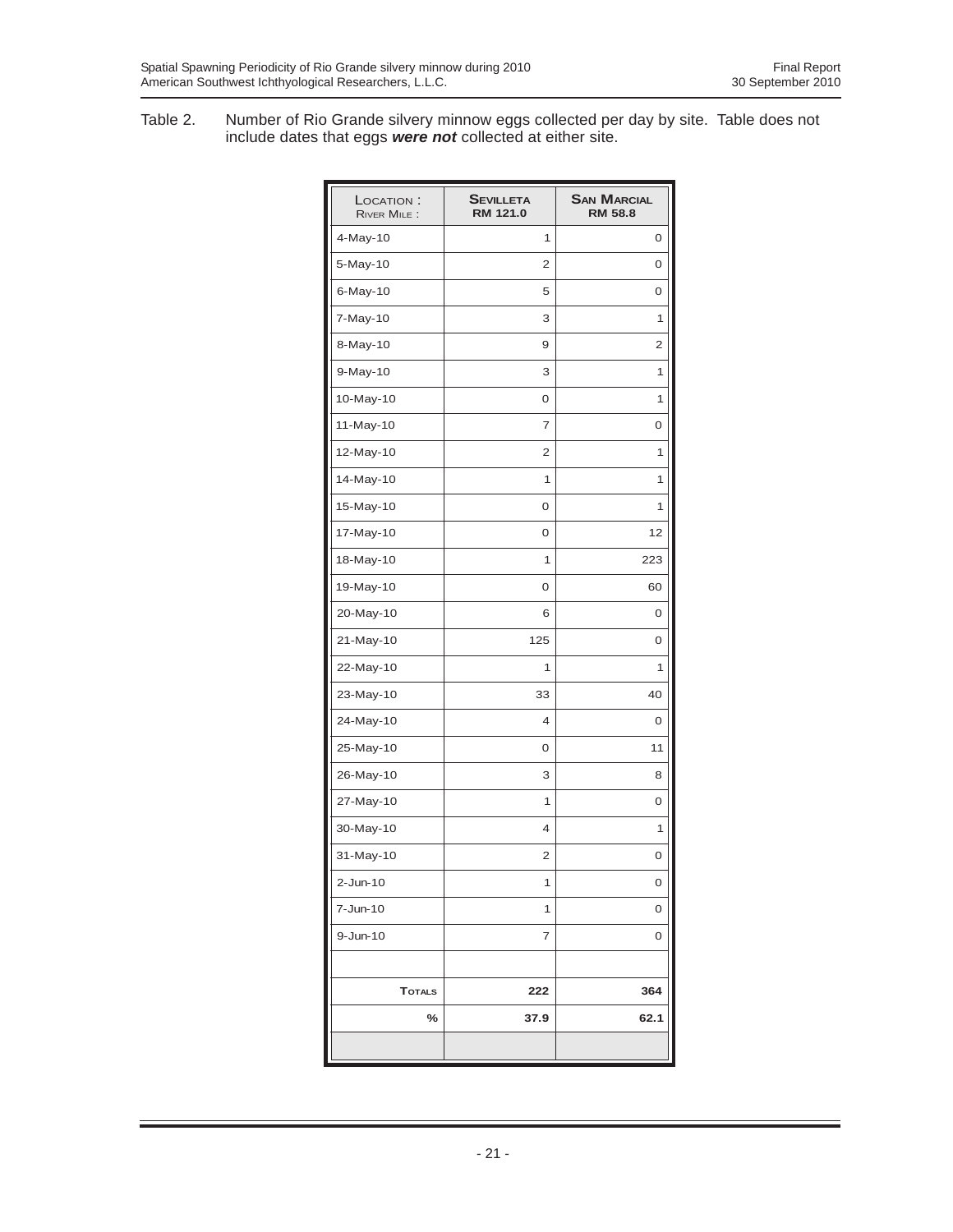Table 2. Number of Rio Grande silvery minnow eggs collected per day by site. Table does not include dates that eggs *were not* collected at either site.

| LOCATION:<br><b>RIVER MILE:</b> | <b>SEVILLETA</b><br>RM 121.0 | <b>SAN MARCIAL</b><br><b>RM 58.8</b> |
|---------------------------------|------------------------------|--------------------------------------|
| 4-May-10                        | 1                            | 0                                    |
| 5-May-10                        | 2                            | 0                                    |
| 6-May-10                        | 5                            | 0                                    |
| 7-May-10                        | 3                            | 1                                    |
| 8-May-10                        | 9                            | 2                                    |
| 9-May-10                        | 3                            | 1                                    |
| 10-May-10                       | 0                            | 1                                    |
| 11-May-10                       | 7                            | 0                                    |
| 12-May-10                       | $\overline{2}$               | 1                                    |
| 14-May-10                       | 1                            | 1                                    |
| 15-May-10                       | 0                            | 1                                    |
| 17-May-10                       | 0                            | 12                                   |
| 18-May-10                       | 1                            | 223                                  |
| 19-May-10                       | 0                            | 60                                   |
| 20-May-10                       | 6                            | 0                                    |
| 21-May-10                       | 125                          | 0                                    |
| 22-May-10                       | 1                            | 1                                    |
| 23-May-10                       | 33                           | 40                                   |
| 24-May-10                       | 4                            | 0                                    |
| 25-May-10                       | 0                            | 11                                   |
| 26-May-10                       | 3                            | 8                                    |
| 27-May-10                       | 1                            | 0                                    |
| 30-May-10                       | 4                            | 1                                    |
| 31-May-10                       | 2                            | 0                                    |
| $2$ -Jun-10                     | 1                            | 0                                    |
| 7-Jun-10                        | 1                            | 0                                    |
| $9 - Jun-10$                    | $\overline{\mathbf{7}}$      | 0                                    |
|                                 |                              |                                      |
| <b>TOTALS</b>                   | 222                          | 364                                  |
| %                               | 37.9                         | 62.1                                 |
|                                 |                              |                                      |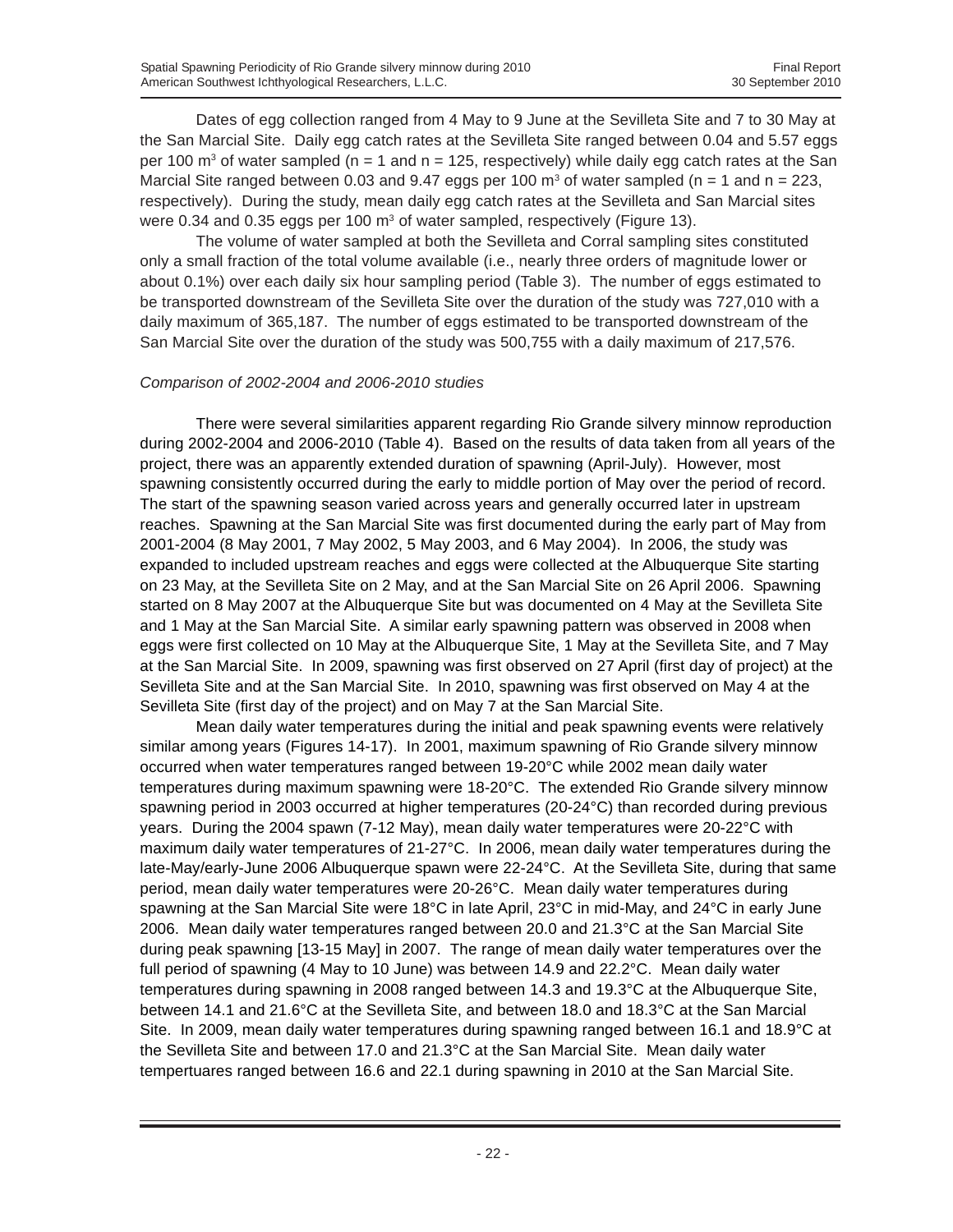Dates of egg collection ranged from 4 May to 9 June at the Sevilleta Site and 7 to 30 May at the San Marcial Site. Daily egg catch rates at the Sevilleta Site ranged between 0.04 and 5.57 eggs per 100 m<sup>3</sup> of water sampled (n = 1 and n = 125, respectively) while daily egg catch rates at the San Marcial Site ranged between 0.03 and 9.47 eggs per 100  $\text{m}^3$  of water sampled (n = 1 and n = 223, respectively). During the study, mean daily egg catch rates at the Sevilleta and San Marcial sites were 0.34 and 0.35 eggs per 100  $m^3$  of water sampled, respectively (Figure 13).

The volume of water sampled at both the Sevilleta and Corral sampling sites constituted only a small fraction of the total volume available (i.e., nearly three orders of magnitude lower or about 0.1%) over each daily six hour sampling period (Table 3). The number of eggs estimated to be transported downstream of the Sevilleta Site over the duration of the study was 727,010 with a daily maximum of 365,187. The number of eggs estimated to be transported downstream of the San Marcial Site over the duration of the study was 500,755 with a daily maximum of 217,576.

#### *Comparison of 2002-2004 and 2006-2010 studies*

There were several similarities apparent regarding Rio Grande silvery minnow reproduction during 2002-2004 and 2006-2010 (Table 4). Based on the results of data taken from all years of the project, there was an apparently extended duration of spawning (April-July). However, most spawning consistently occurred during the early to middle portion of May over the period of record. The start of the spawning season varied across years and generally occurred later in upstream reaches. Spawning at the San Marcial Site was first documented during the early part of May from 2001-2004 (8 May 2001, 7 May 2002, 5 May 2003, and 6 May 2004). In 2006, the study was expanded to included upstream reaches and eggs were collected at the Albuquerque Site starting on 23 May, at the Sevilleta Site on 2 May, and at the San Marcial Site on 26 April 2006. Spawning started on 8 May 2007 at the Albuquerque Site but was documented on 4 May at the Sevilleta Site and 1 May at the San Marcial Site. A similar early spawning pattern was observed in 2008 when eggs were first collected on 10 May at the Albuquerque Site, 1 May at the Sevilleta Site, and 7 May at the San Marcial Site. In 2009, spawning was first observed on 27 April (first day of project) at the Sevilleta Site and at the San Marcial Site. In 2010, spawning was first observed on May 4 at the Sevilleta Site (first day of the project) and on May 7 at the San Marcial Site.

Mean daily water temperatures during the initial and peak spawning events were relatively similar among years (Figures 14-17). In 2001, maximum spawning of Rio Grande silvery minnow occurred when water temperatures ranged between 19-20°C while 2002 mean daily water temperatures during maximum spawning were 18-20°C. The extended Rio Grande silvery minnow spawning period in 2003 occurred at higher temperatures (20-24°C) than recorded during previous years. During the 2004 spawn (7-12 May), mean daily water temperatures were 20-22°C with maximum daily water temperatures of 21-27°C. In 2006, mean daily water temperatures during the late-May/early-June 2006 Albuquerque spawn were 22-24°C. At the Sevilleta Site, during that same period, mean daily water temperatures were 20-26°C. Mean daily water temperatures during spawning at the San Marcial Site were 18°C in late April, 23°C in mid-May, and 24°C in early June 2006. Mean daily water temperatures ranged between 20.0 and 21.3°C at the San Marcial Site during peak spawning [13-15 May] in 2007. The range of mean daily water temperatures over the full period of spawning (4 May to 10 June) was between 14.9 and 22.2°C. Mean daily water temperatures during spawning in 2008 ranged between 14.3 and 19.3°C at the Albuquerque Site, between 14.1 and 21.6°C at the Sevilleta Site, and between 18.0 and 18.3°C at the San Marcial Site. In 2009, mean daily water temperatures during spawning ranged between 16.1 and 18.9°C at the Sevilleta Site and between 17.0 and 21.3°C at the San Marcial Site. Mean daily water tempertuares ranged between 16.6 and 22.1 during spawning in 2010 at the San Marcial Site.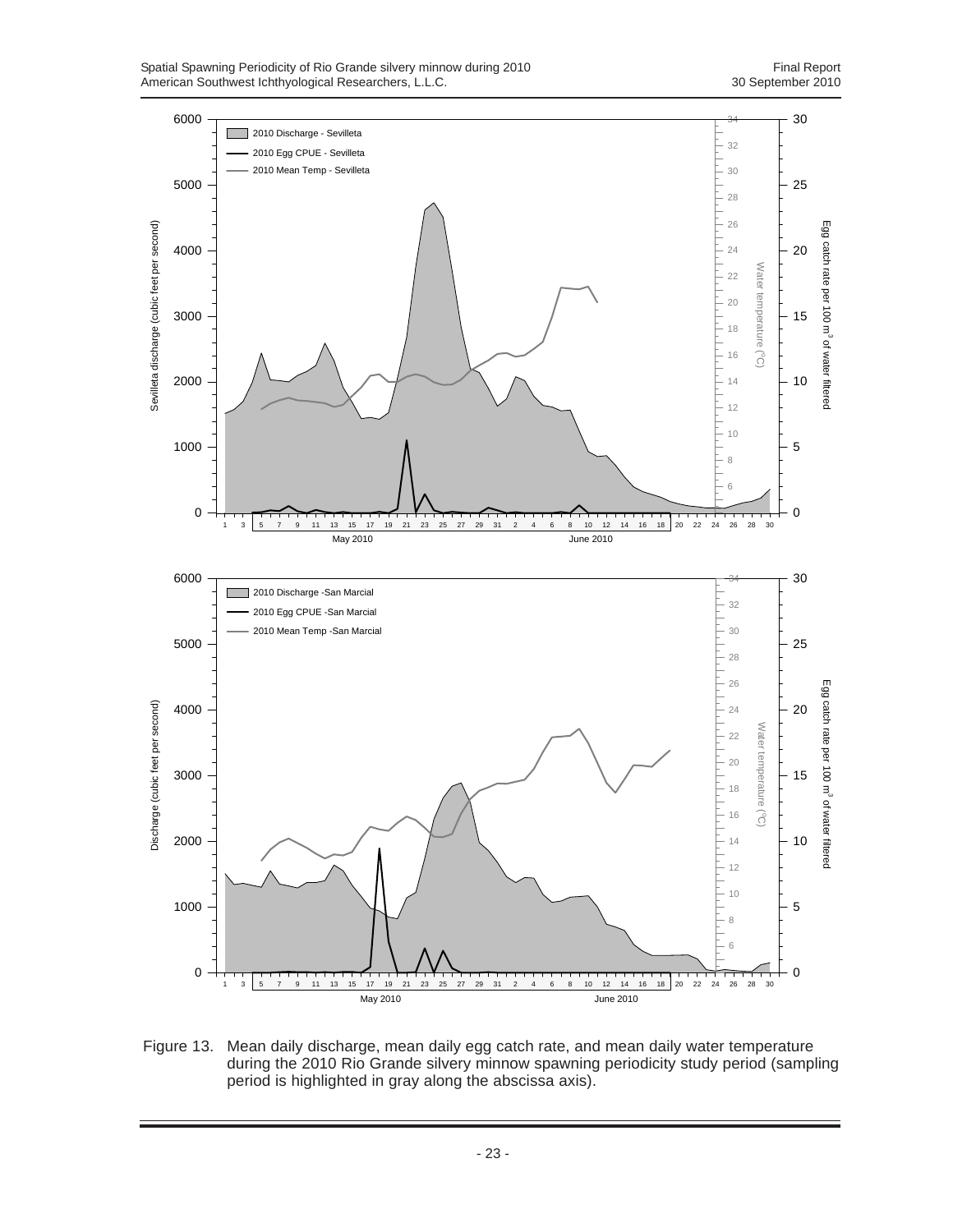

Figure 13. Mean daily discharge, mean daily egg catch rate, and mean daily water temperature during the 2010 Rio Grande silvery minnow spawning periodicity study period (sampling period is highlighted in gray along the abscissa axis).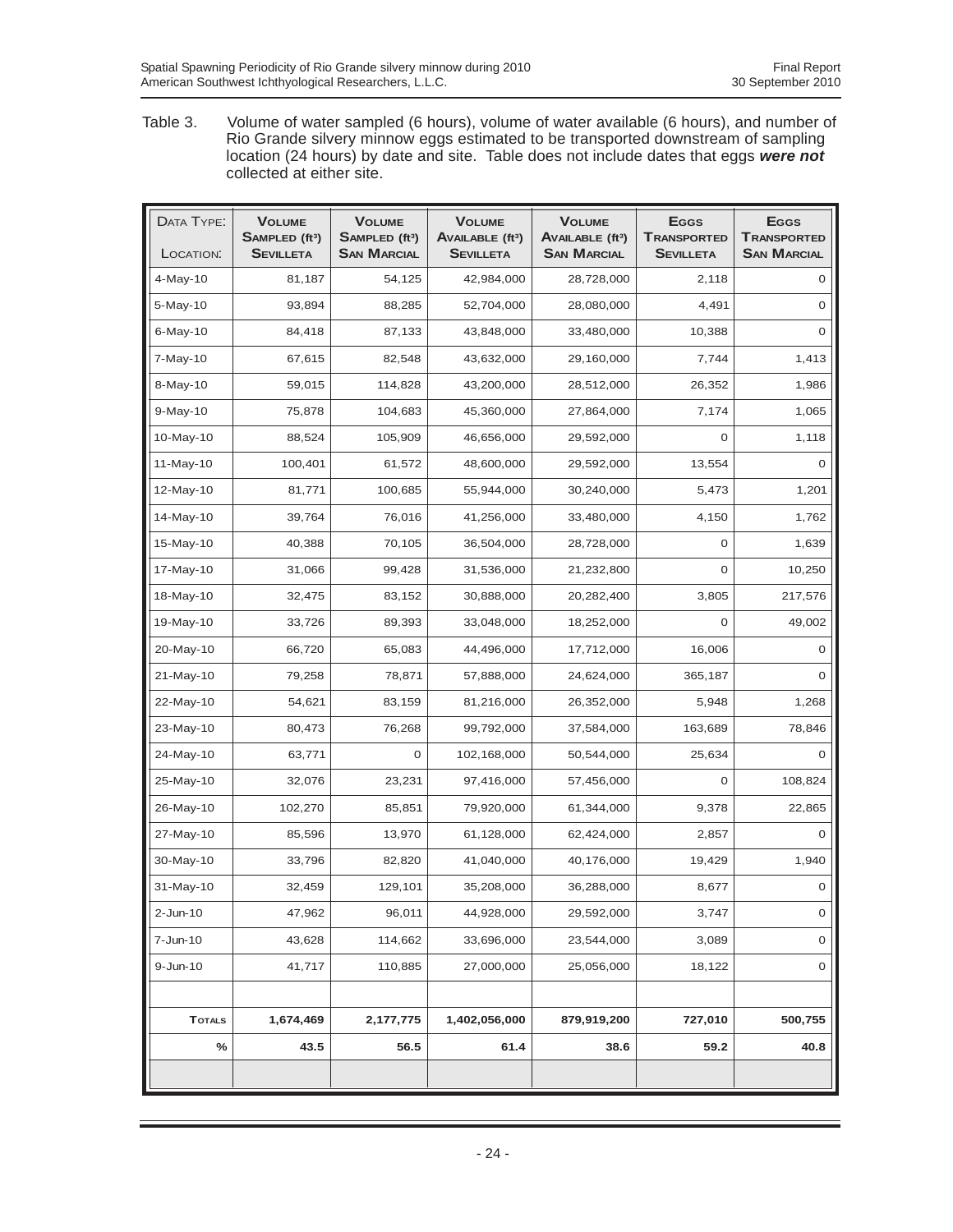Table 3. Volume of water sampled (6 hours), volume of water available (6 hours), and number of Rio Grande silvery minnow eggs estimated to be transported downstream of sampling location (24 hours) by date and site. Table does not include dates that eggs *were not* collected at either site.

| DATA TYPE:    | <b>VOLUME</b><br>SAMPLED (ft <sup>3</sup> ) | <b>VOLUME</b><br>SAMPLED (ft <sup>3</sup> ) | <b>VOLUME</b><br><b>AVAILABLE (ft3)</b> | <b>VOLUME</b><br>AVAILABLE (ft <sup>3</sup> ) | <b>E</b> GGS<br><b>TRANSPORTED</b> | <b>E</b> GGS<br><b>TRANSPORTED</b> |
|---------------|---------------------------------------------|---------------------------------------------|-----------------------------------------|-----------------------------------------------|------------------------------------|------------------------------------|
| LOCATION:     | <b>SEVILLETA</b>                            | <b>SAN MARCIAL</b>                          | <b>SEVILLETA</b>                        | <b>SAN MARCIAL</b>                            | <b>SEVILLETA</b>                   | <b>SAN MARCIAL</b>                 |
| 4-May-10      | 81,187                                      | 54,125                                      | 42,984,000                              | 28,728,000                                    | 2,118                              | 0                                  |
| 5-May-10      | 93,894                                      | 88,285                                      | 52,704,000                              | 28,080,000                                    | 4,491                              | 0                                  |
| $6$ -May-10   | 84,418                                      | 87,133                                      | 43,848,000                              | 33,480,000                                    | 10,388                             | 0                                  |
| 7-May-10      | 67,615                                      | 82,548                                      | 43,632,000                              | 29,160,000                                    | 7.744                              | 1.413                              |
| 8-May-10      | 59,015                                      | 114,828                                     | 43,200,000                              | 28,512,000                                    | 26,352                             | 1,986                              |
| $9-May-10$    | 75,878                                      | 104,683                                     | 45,360,000                              | 27,864,000                                    | 7,174                              | 1,065                              |
| 10-May-10     | 88,524                                      | 105,909                                     | 46,656,000                              | 29,592,000                                    | 0                                  | 1,118                              |
| 11-May-10     | 100,401                                     | 61,572                                      | 48,600,000                              | 29,592,000                                    | 13,554                             | 0                                  |
| 12-May-10     | 81,771                                      | 100,685                                     | 55,944,000                              | 30,240,000                                    | 5,473                              | 1,201                              |
| 14-May-10     | 39,764                                      | 76,016                                      | 41,256,000                              | 33,480,000                                    | 4,150                              | 1,762                              |
| 15-May-10     | 40,388                                      | 70,105                                      | 36,504,000                              | 28,728,000                                    | 0                                  | 1,639                              |
| 17-May-10     | 31,066                                      | 99,428                                      | 31,536,000                              | 21,232,800                                    | 0                                  | 10,250                             |
| 18-May-10     | 32,475                                      | 83,152                                      | 30,888,000                              | 20,282,400                                    | 3,805                              | 217,576                            |
| 19-May-10     | 33,726                                      | 89,393                                      | 33,048,000                              | 18,252,000                                    | 0                                  | 49,002                             |
| 20-May-10     | 66,720                                      | 65,083                                      | 44,496,000                              | 17,712,000                                    | 16,006                             | 0                                  |
| 21-May-10     | 79,258                                      | 78,871                                      | 57,888,000                              | 24,624,000                                    | 365,187                            | 0                                  |
| 22-May-10     | 54,621                                      | 83,159                                      | 81,216,000                              | 26,352,000                                    | 5,948                              | 1,268                              |
| 23-May-10     | 80,473                                      | 76,268                                      | 99,792,000                              | 37,584,000                                    | 163,689                            | 78,846                             |
| 24-May-10     | 63,771                                      | 0                                           | 102,168,000                             | 50,544,000                                    | 25,634                             | 0                                  |
| 25-May-10     | 32,076                                      | 23,231                                      | 97,416,000                              | 57,456,000                                    | 0                                  | 108,824                            |
| 26-May-10     | 102,270                                     | 85,851                                      | 79,920,000                              | 61,344,000                                    | 9,378                              | 22,865                             |
| 27-May-10     | 85,596                                      | 13,970                                      | 61,128,000                              | 62,424,000                                    | 2,857                              | 0                                  |
| 30-May-10     | 33,796                                      | 82,820                                      | 41,040,000                              | 40,176,000                                    | 19,429                             | 1,940                              |
| 31-May-10     | 32,459                                      | 129,101                                     | 35,208,000                              | 36,288,000                                    | 8,677                              | 0                                  |
| $2$ -Jun-10   | 47,962                                      | 96,011                                      | 44,928,000                              | 29,592,000                                    | 3,747                              | $\mathsf{O}\xspace$                |
| 7-Jun-10      | 43,628                                      | 114,662                                     | 33,696,000                              | 23,544,000                                    | 3,089                              | $\mathsf{O}\xspace$                |
| 9-Jun-10      | 41,717                                      | 110,885                                     | 27,000,000                              | 25,056,000                                    | 18,122                             | 0                                  |
|               |                                             |                                             |                                         |                                               |                                    |                                    |
| <b>TOTALS</b> | 1,674,469                                   | 2,177,775                                   | 1,402,056,000                           | 879,919,200                                   | 727,010                            | 500,755                            |
| $\%$          | 43.5                                        | 56.5                                        | 61.4                                    | 38.6                                          | 59.2                               | 40.8                               |
|               |                                             |                                             |                                         |                                               |                                    |                                    |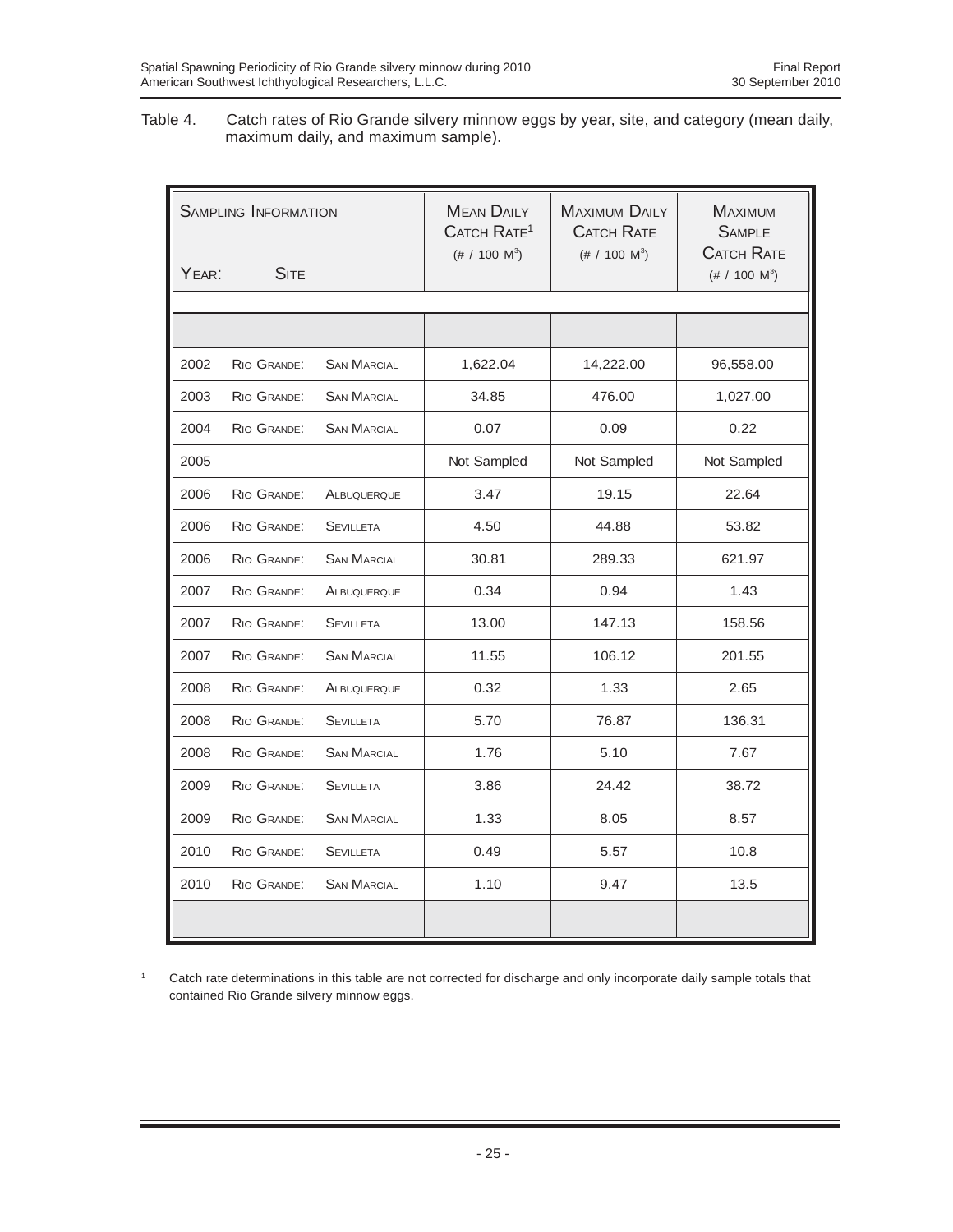Table 4. Catch rates of Rio Grande silvery minnow eggs by year, site, and category (mean daily, maximum daily, and maximum sample).

| <b>SAMPLING INFORMATION</b> |             |                    | <b>MEAN DAILY</b><br>CATCH RATE <sup>1</sup><br>$(\# / 100 \text{ M}^3)$ | <b>MAXIMUM DAILY</b><br><b>CATCH RATE</b><br>$(\# / 100 \text{ M}^3)$ | <b>MAXIMUM</b><br><b>SAMPLE</b><br><b>CATCH RATE</b> |
|-----------------------------|-------------|--------------------|--------------------------------------------------------------------------|-----------------------------------------------------------------------|------------------------------------------------------|
| YEAR:                       | <b>SITE</b> |                    |                                                                          |                                                                       | $(\# / 100 \text{ M}^3)$                             |
|                             |             |                    |                                                                          |                                                                       |                                                      |
|                             |             |                    |                                                                          |                                                                       |                                                      |
| 2002                        | RIO GRANDE: | <b>SAN MARCIAL</b> | 1,622.04                                                                 | 14,222.00                                                             | 96,558.00                                            |
| 2003                        | RIO GRANDE: | <b>SAN MARCIAL</b> | 34.85                                                                    | 476.00                                                                | 1,027.00                                             |
| 2004                        | RIO GRANDE: | <b>SAN MARCIAL</b> | 0.07                                                                     | 0.09                                                                  | 0.22                                                 |
| 2005                        |             |                    | Not Sampled                                                              | Not Sampled                                                           | Not Sampled                                          |
| 2006                        | RIO GRANDE: | ALBUQUERQUE        | 3.47                                                                     | 19.15                                                                 | 22.64                                                |
| 2006                        | RIO GRANDE: | <b>SEVILLETA</b>   | 4.50                                                                     | 44.88                                                                 | 53.82                                                |
| 2006                        | RIO GRANDE: | <b>SAN MARCIAL</b> | 30.81                                                                    | 289.33                                                                | 621.97                                               |
| 2007                        | RIO GRANDE: | ALBUQUERQUE        | 0.34                                                                     | 0.94                                                                  | 1.43                                                 |
| 2007                        | RIO GRANDE: | <b>SEVILLETA</b>   | 13.00                                                                    | 147.13                                                                | 158.56                                               |
| 2007                        | RIO GRANDE: | <b>SAN MARCIAL</b> | 11.55                                                                    | 106.12                                                                | 201.55                                               |
| 2008                        | RIO GRANDE: | ALBUQUERQUE        | 0.32                                                                     | 1.33                                                                  | 2.65                                                 |
| 2008                        | RIO GRANDE: | <b>SEVILLETA</b>   | 5.70                                                                     | 76.87                                                                 | 136.31                                               |
| 2008                        | RIO GRANDE: | <b>SAN MARCIAL</b> | 1.76                                                                     | 5.10                                                                  | 7.67                                                 |
| 2009                        | RIO GRANDE: | <b>SEVILLETA</b>   | 3.86                                                                     | 24.42                                                                 | 38.72                                                |
| 2009                        | RIO GRANDE: | <b>SAN MARCIAL</b> | 1.33                                                                     | 8.05                                                                  | 8.57                                                 |
| 2010                        | RIO GRANDE: | <b>SEVILLETA</b>   | 0.49                                                                     | 5.57                                                                  | 10.8                                                 |
| 2010                        | RIO GRANDE: | <b>SAN MARCIAL</b> | 1.10                                                                     | 9.47                                                                  | 13.5                                                 |
|                             |             |                    |                                                                          |                                                                       |                                                      |

<sup>1</sup> Catch rate determinations in this table are not corrected for discharge and only incorporate daily sample totals that contained Rio Grande silvery minnow eggs.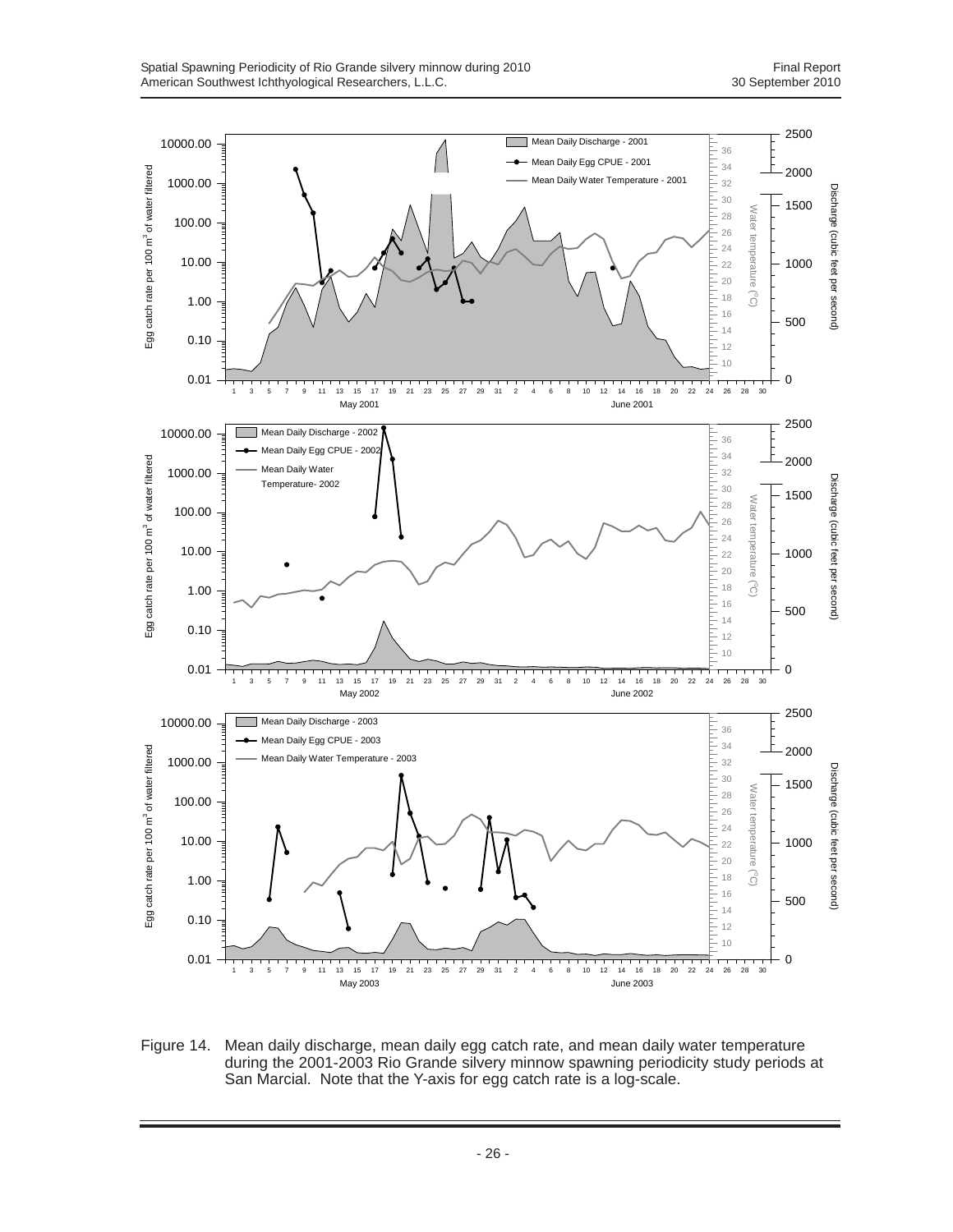

Figure 14. Mean daily discharge, mean daily egg catch rate, and mean daily water temperature during the 2001-2003 Rio Grande silvery minnow spawning periodicity study periods at San Marcial. Note that the Y-axis for egg catch rate is a log-scale.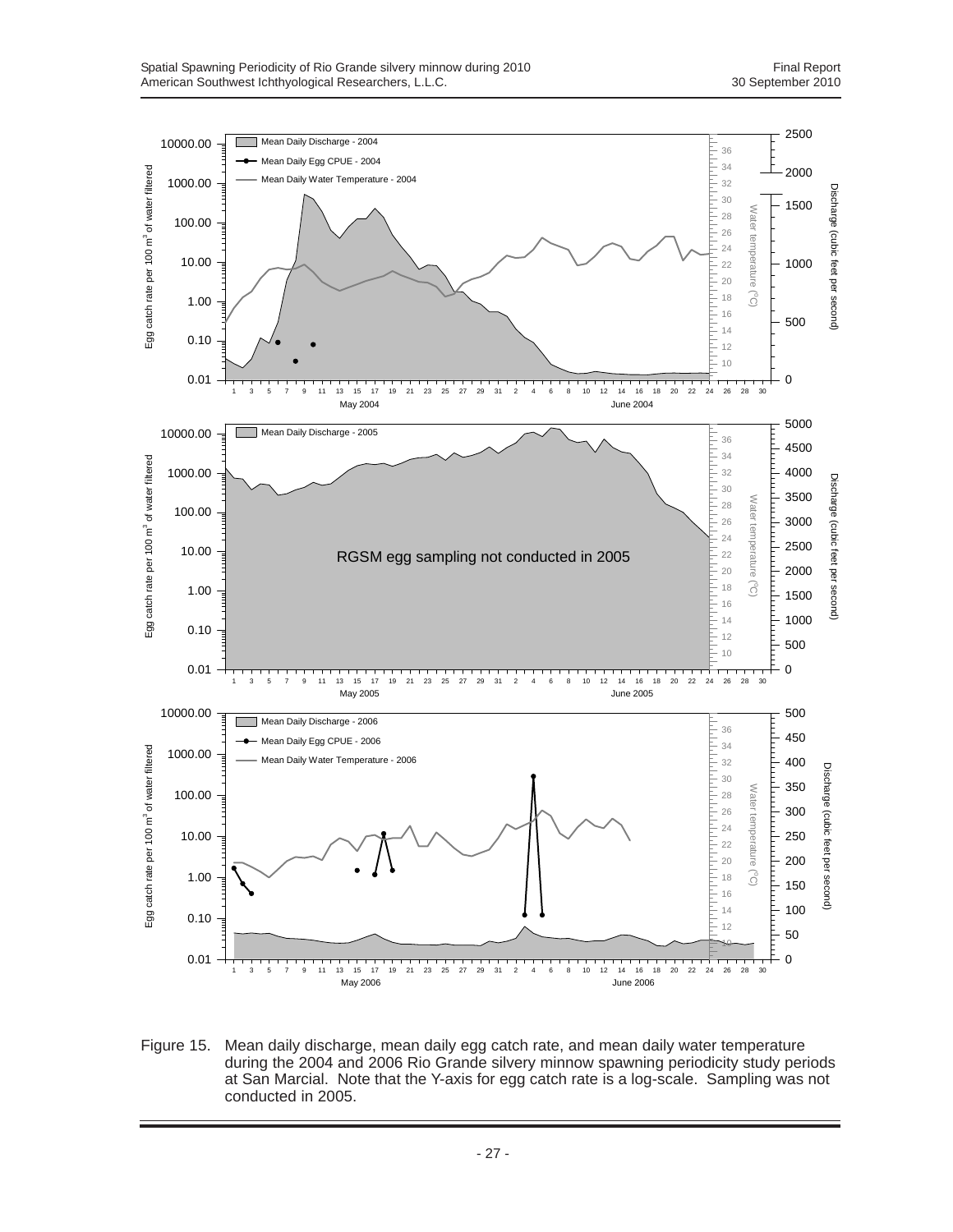

Figure 15. Mean daily discharge, mean daily egg catch rate, and mean daily water temperature during the 2004 and 2006 Rio Grande silvery minnow spawning periodicity study periods at San Marcial. Note that the Y-axis for egg catch rate is a log-scale. Sampling was not conducted in 2005.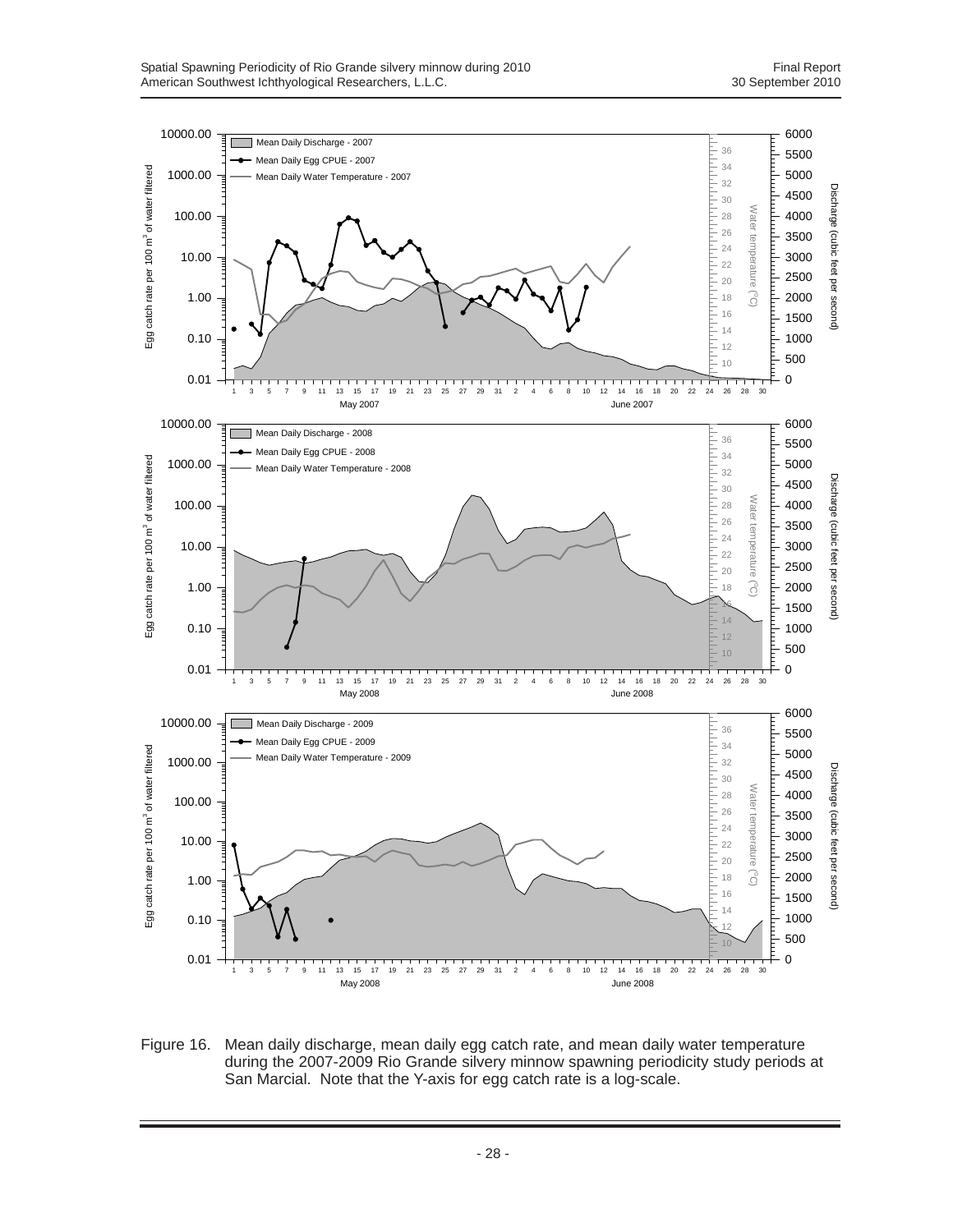

Figure 16. Mean daily discharge, mean daily egg catch rate, and mean daily water temperature during the 2007-2009 Rio Grande silvery minnow spawning periodicity study periods at San Marcial. Note that the Y-axis for egg catch rate is a log-scale.

- 28 -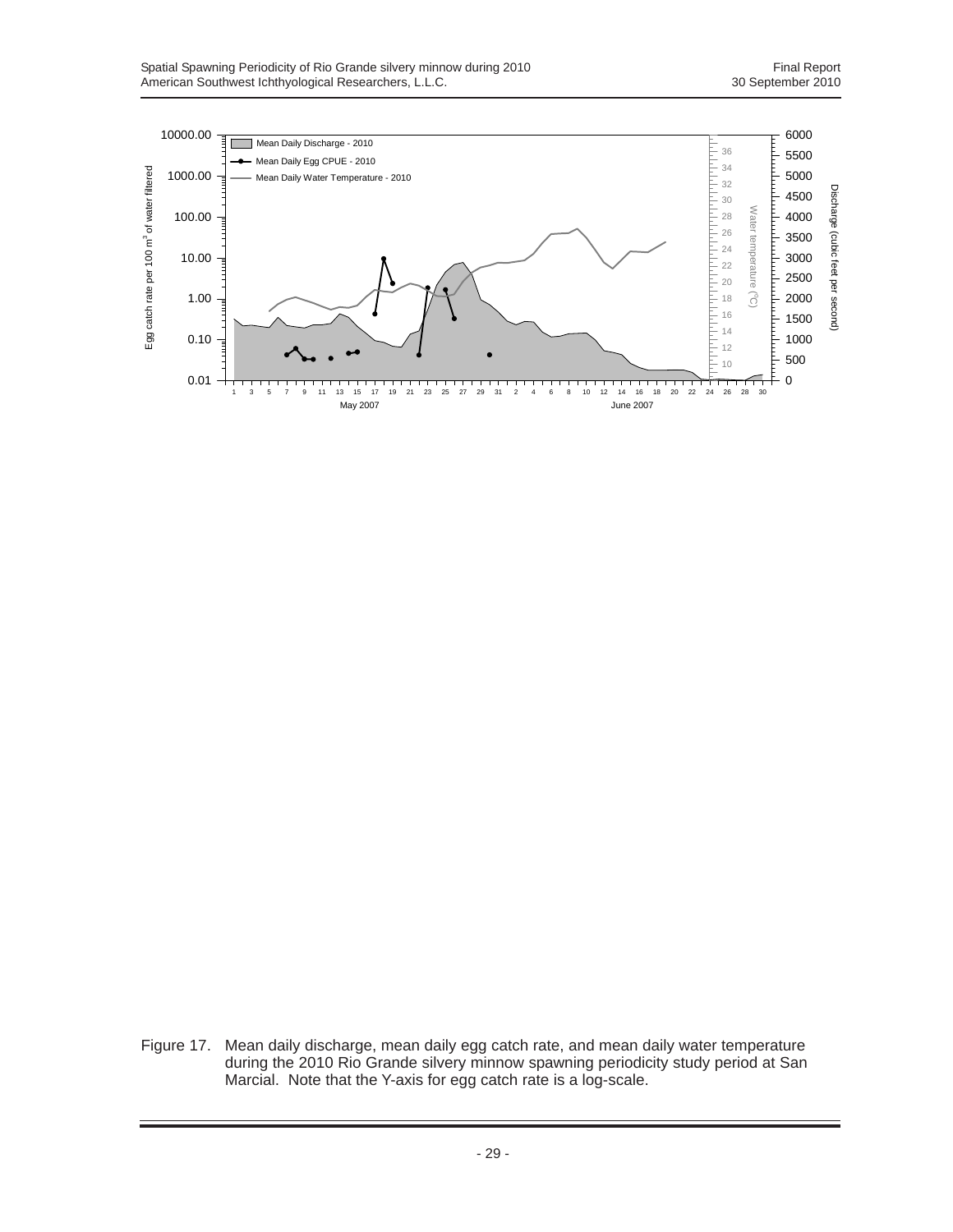

Figure 17. Mean daily discharge, mean daily egg catch rate, and mean daily water temperature during the 2010 Rio Grande silvery minnow spawning periodicity study period at San Marcial. Note that the Y-axis for egg catch rate is a log-scale.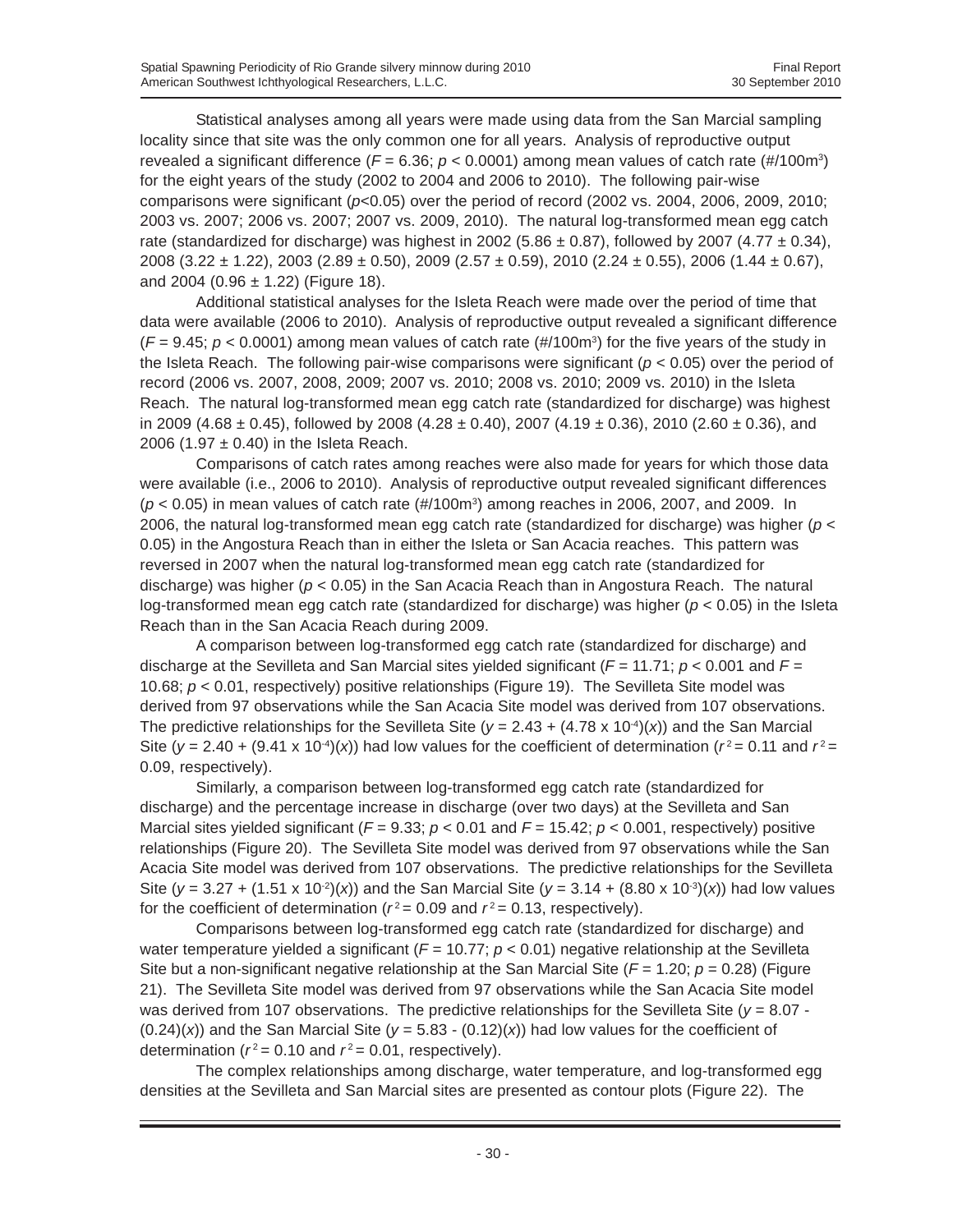Statistical analyses among all years were made using data from the San Marcial sampling locality since that site was the only common one for all years. Analysis of reproductive output revealed a significant difference ( $F = 6.36$ ;  $p < 0.0001$ ) among mean values of catch rate (#/100m<sup>3</sup>) for the eight years of the study (2002 to 2004 and 2006 to 2010). The following pair-wise comparisons were significant ( $p<0.05$ ) over the period of record (2002 vs. 2004, 2006, 2009, 2010; 2003 vs. 2007; 2006 vs. 2007; 2007 vs. 2009, 2010). The natural log-transformed mean egg catch rate (standardized for discharge) was highest in 2002 (5.86  $\pm$  0.87), followed by 2007 (4.77  $\pm$  0.34), 2008 (3.22  $\pm$  1.22), 2003 (2.89  $\pm$  0.50), 2009 (2.57  $\pm$  0.59), 2010 (2.24  $\pm$  0.55), 2006 (1.44  $\pm$  0.67), and 2004 (0.96  $\pm$  1.22) (Figure 18).

Additional statistical analyses for the Isleta Reach were made over the period of time that data were available (2006 to 2010). Analysis of reproductive output revealed a significant difference  $(F = 9.45; p < 0.0001)$  among mean values of catch rate (#/100m<sup>3</sup>) for the five years of the study in the Isleta Reach. The following pair-wise comparisons were significant ( $p < 0.05$ ) over the period of record (2006 vs. 2007, 2008, 2009; 2007 vs. 2010; 2008 vs. 2010; 2009 vs. 2010) in the Isleta Reach. The natural log-transformed mean egg catch rate (standardized for discharge) was highest in 2009 (4.68  $\pm$  0.45), followed by 2008 (4.28  $\pm$  0.40), 2007 (4.19  $\pm$  0.36), 2010 (2.60  $\pm$  0.36), and 2006 (1.97  $\pm$  0.40) in the Isleta Reach.

Comparisons of catch rates among reaches were also made for years for which those data were available (i.e., 2006 to 2010). Analysis of reproductive output revealed significant differences  $(p < 0.05)$  in mean values of catch rate  $(\text{\#}/100\text{m}^3)$  among reaches in 2006, 2007, and 2009. In 2006, the natural log-transformed mean egg catch rate (standardized for discharge) was higher (*p* < 0.05) in the Angostura Reach than in either the Isleta or San Acacia reaches. This pattern was reversed in 2007 when the natural log-transformed mean egg catch rate (standardized for discharge) was higher (*p* < 0.05) in the San Acacia Reach than in Angostura Reach. The natural log-transformed mean egg catch rate (standardized for discharge) was higher (*p* < 0.05) in the Isleta Reach than in the San Acacia Reach during 2009.

A comparison between log-transformed egg catch rate (standardized for discharge) and discharge at the Sevilleta and San Marcial sites yielded significant (*F* = 11.71; *p* < 0.001 and *F* = 10.68; *p* < 0.01, respectively) positive relationships (Figure 19). The Sevilleta Site model was derived from 97 observations while the San Acacia Site model was derived from 107 observations. The predictive relationships for the Sevilleta Site ( $y = 2.43 + (4.78 \times 10^{-4})(x)$ ) and the San Marcial Site ( $y = 2.40 + (9.41 \times 10^{-4})(x)$ ) had low values for the coefficient of determination ( $r^2 = 0.11$  and  $r^2 =$ 0.09, respectively).

Similarly, a comparison between log-transformed egg catch rate (standardized for discharge) and the percentage increase in discharge (over two days) at the Sevilleta and San Marcial sites yielded significant ( $F = 9.33$ ;  $p < 0.01$  and  $F = 15.42$ ;  $p < 0.001$ , respectively) positive relationships (Figure 20). The Sevilleta Site model was derived from 97 observations while the San Acacia Site model was derived from 107 observations. The predictive relationships for the Sevilleta Site ( $y = 3.27 + (1.51 \times 10^{-2})(x)$ ) and the San Marcial Site ( $y = 3.14 + (8.80 \times 10^{-3})(x)$ ) had low values for the coefficient of determination ( $r^2$  = 0.09 and  $r^2$  = 0.13, respectively).

Comparisons between log-transformed egg catch rate (standardized for discharge) and water temperature yielded a significant  $(F = 10.77; p < 0.01)$  negative relationship at the Sevilleta Site but a non-significant negative relationship at the San Marcial Site (*F* = 1.20; *p* = 0.28) (Figure 21). The Sevilleta Site model was derived from 97 observations while the San Acacia Site model was derived from 107 observations. The predictive relationships for the Sevilleta Site (*y* = 8.07 -  $(0.24)(x)$ ) and the San Marcial Site ( $y = 5.83 - (0.12)(x)$ ) had low values for the coefficient of determination ( $r^2$  = 0.10 and  $r^2$  = 0.01, respectively).

The complex relationships among discharge, water temperature, and log-transformed egg densities at the Sevilleta and San Marcial sites are presented as contour plots (Figure 22). The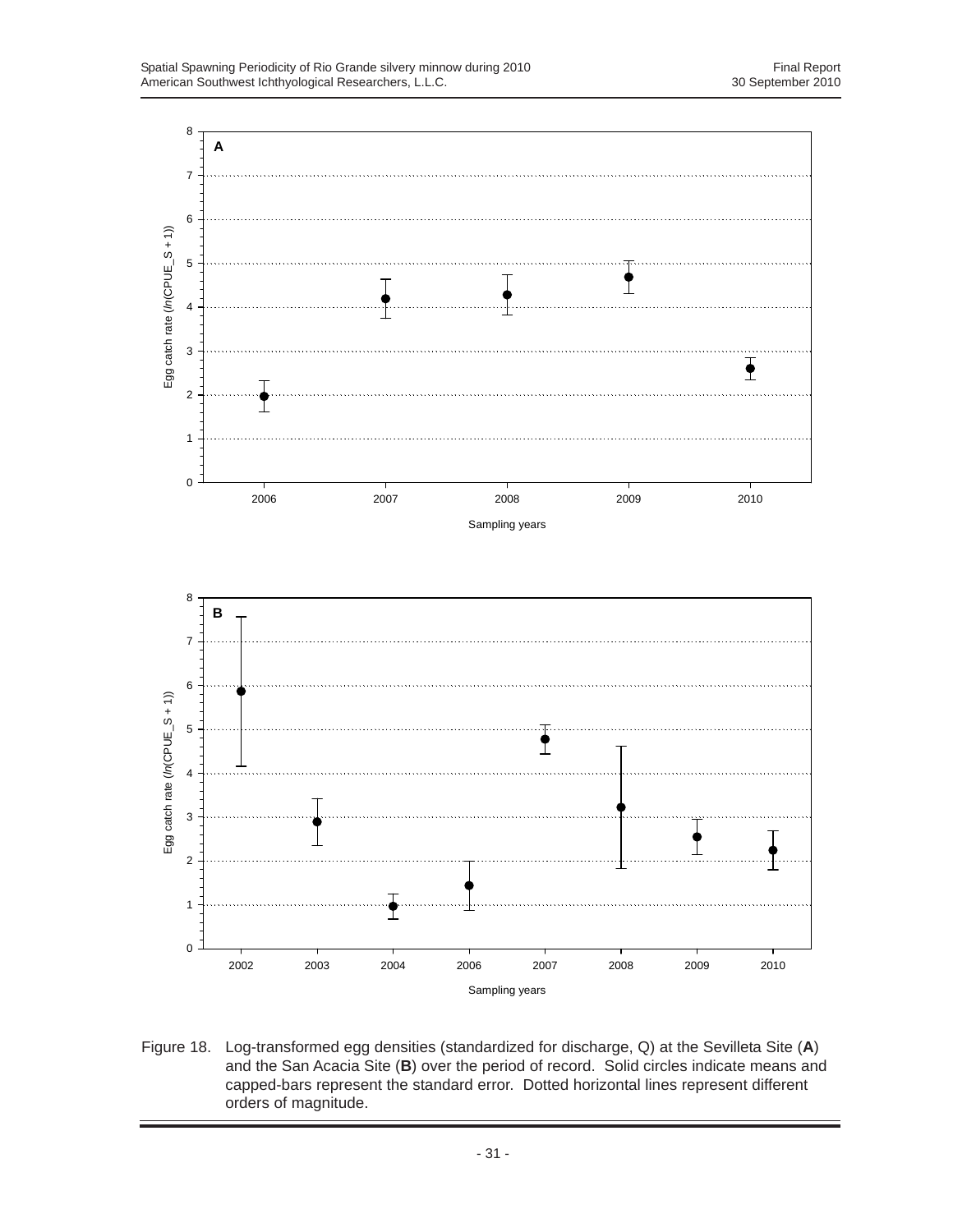

Figure 18. Log-transformed egg densities (standardized for discharge, Q) at the Sevilleta Site (**A**) and the San Acacia Site (**B**) over the period of record. Solid circles indicate means and capped-bars represent the standard error. Dotted horizontal lines represent different orders of magnitude.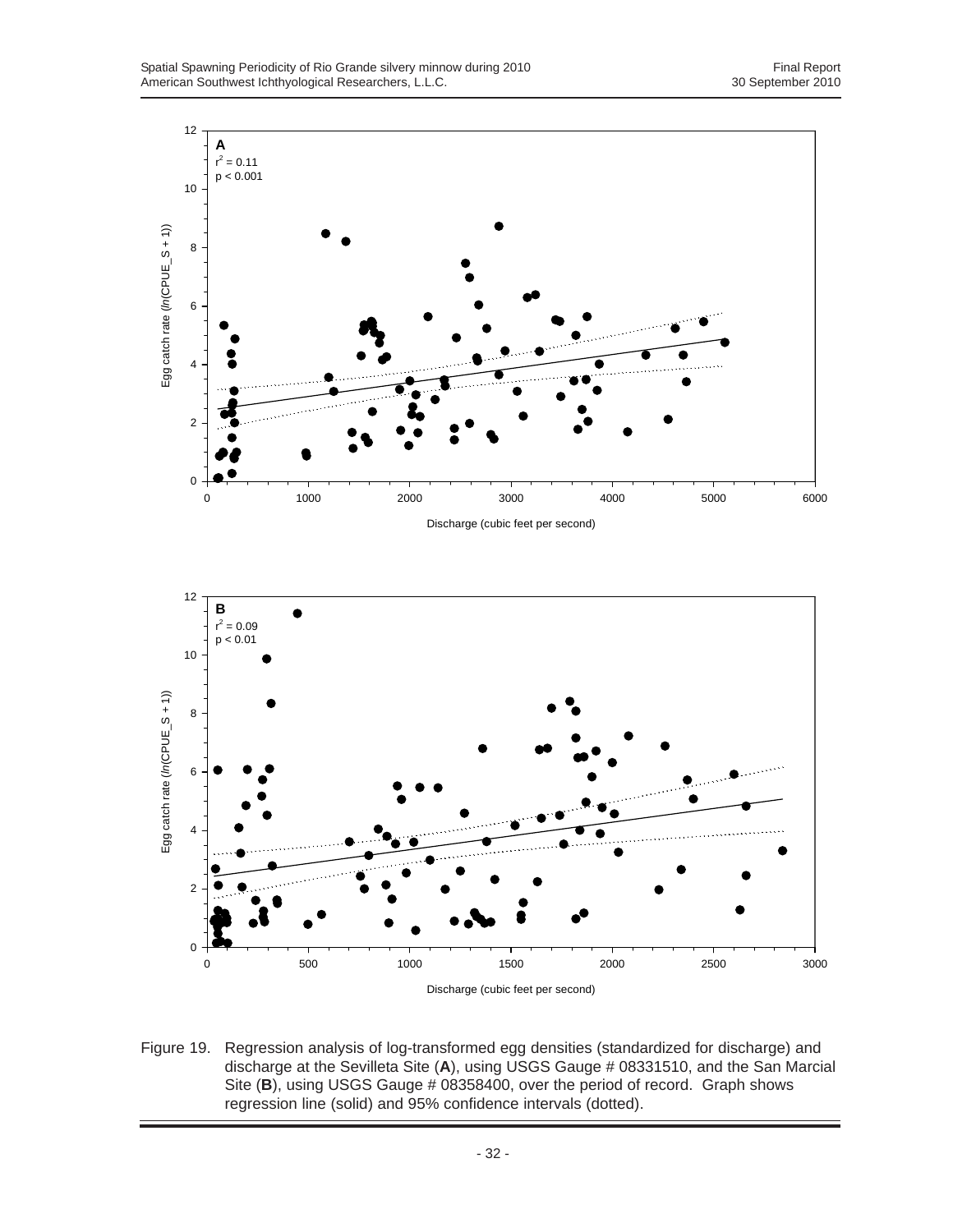

Discharge (cubic feet per second)

Figure 19. Regression analysis of log-transformed egg densities (standardized for discharge) and discharge at the Sevilleta Site (**A**), using USGS Gauge # 08331510, and the San Marcial Site (B), using USGS Gauge # 08358400, over the period of record. Graph shows regression line (solid) and 95% confidence intervals (dotted).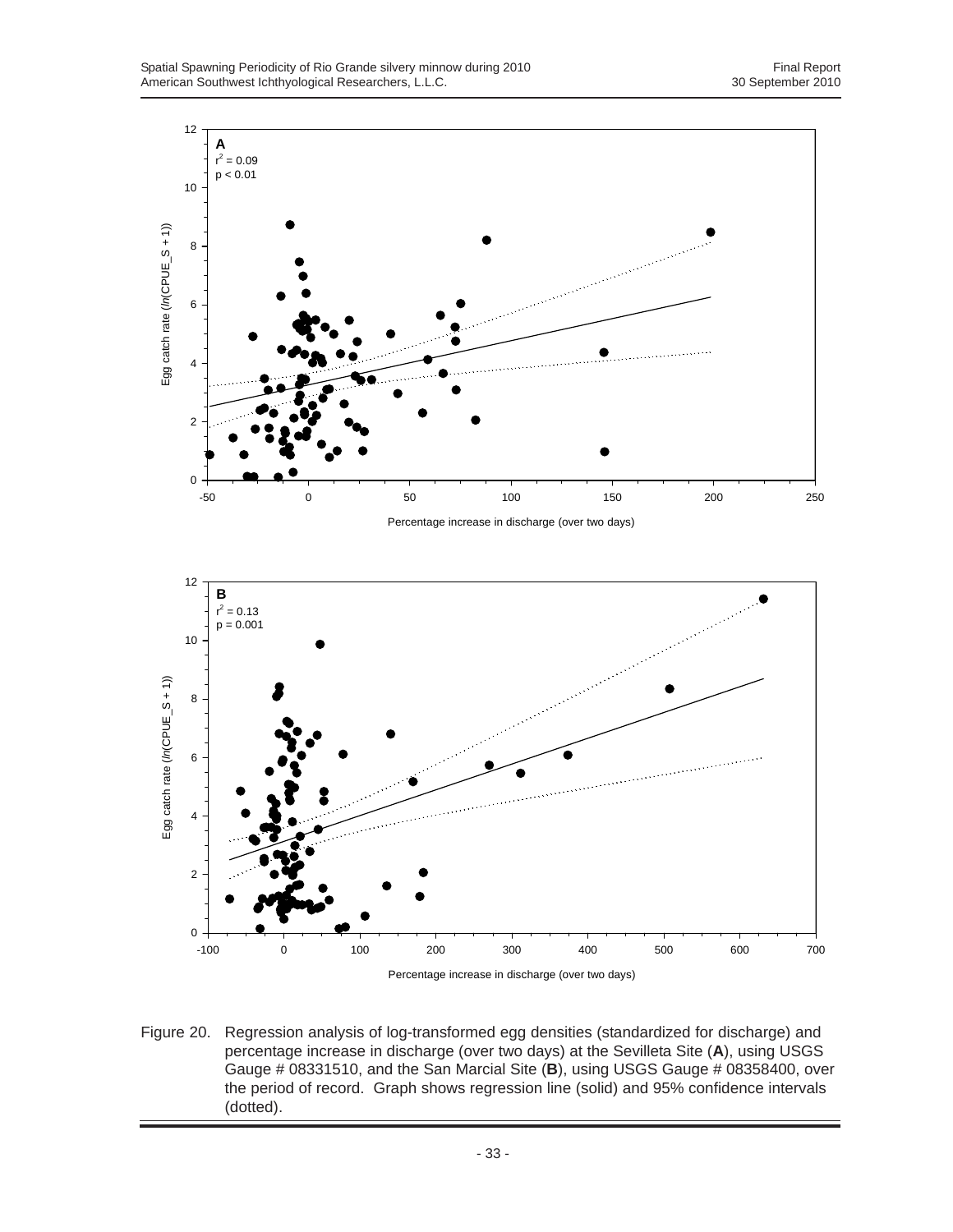



Figure 20. Regression analysis of log-transformed egg densities (standardized for discharge) and percentage increase in discharge (over two days) at the Sevilleta Site (**A**), using USGS Gauge # 08331510, and the San Marcial Site (**B**), using USGS Gauge # 08358400, over the period of record. Graph shows regression line (solid) and 95% confidence intervals (dotted).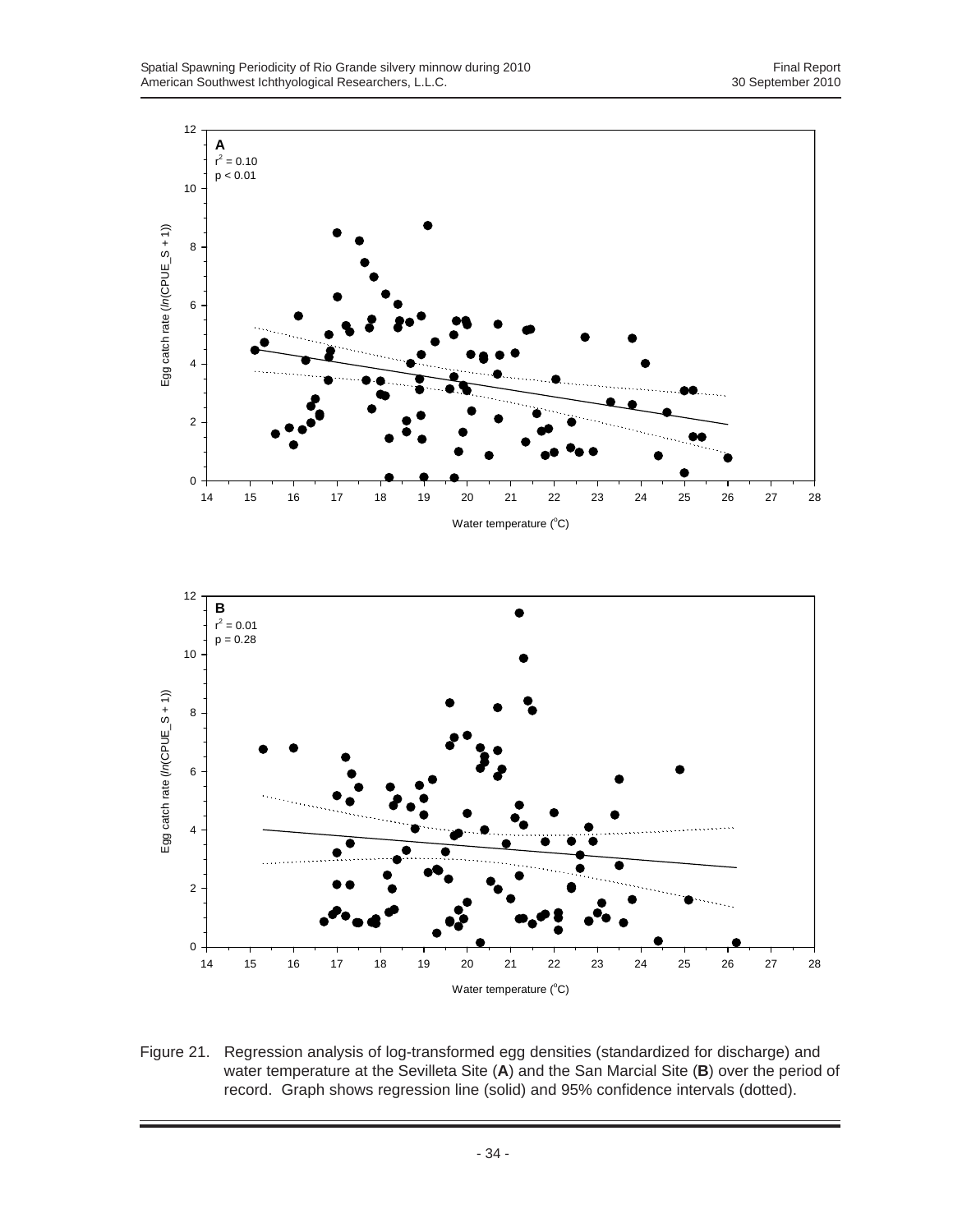

Figure 21. Regression analysis of log-transformed egg densities (standardized for discharge) and water temperature at the Sevilleta Site (**A**) and the San Marcial Site (**B**) over the period of record. Graph shows regression line (solid) and 95% confidence intervals (dotted).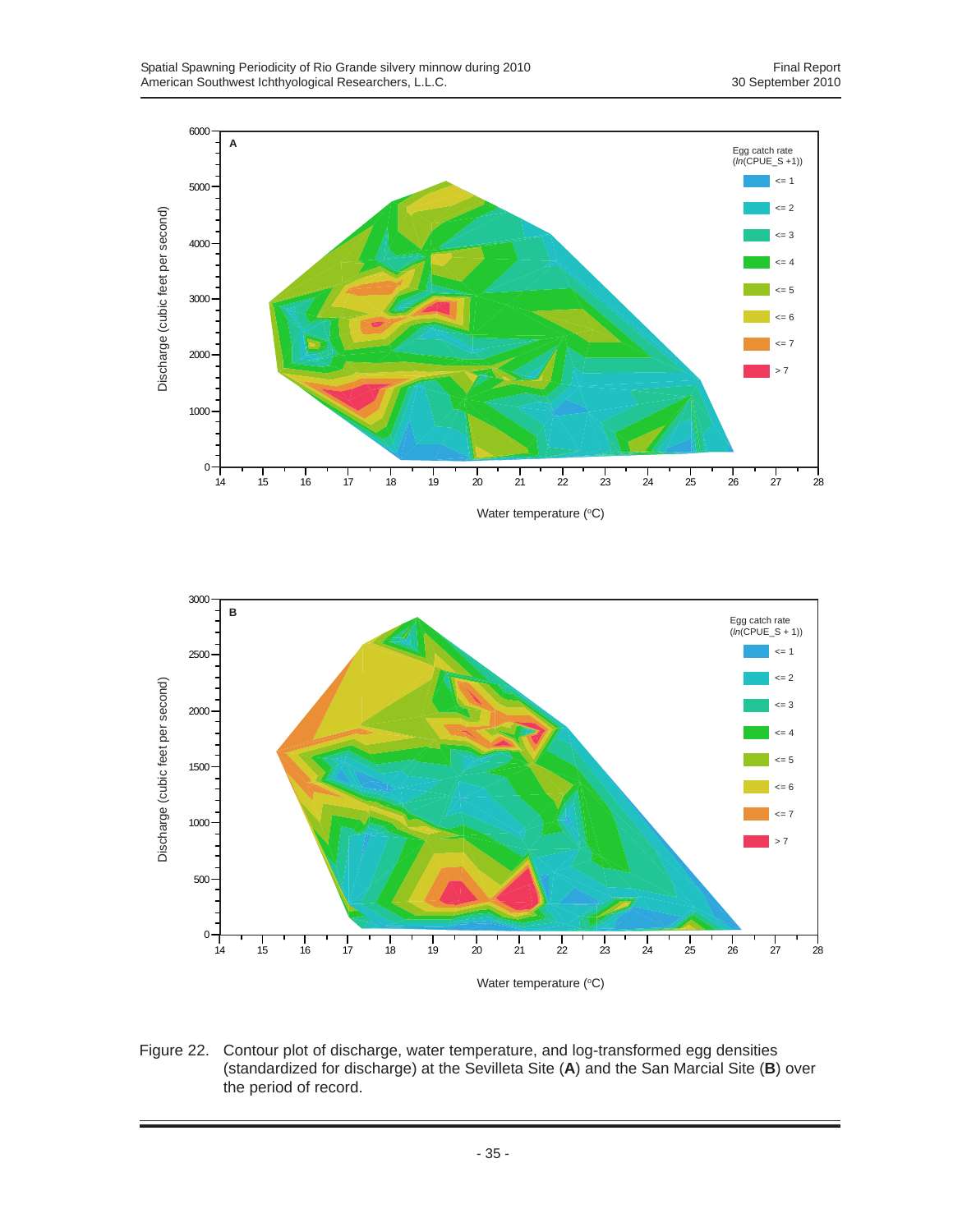



Figure 22. Contour plot of discharge, water temperature, and log-transformed egg densities (standardized for discharge) at the Sevilleta Site (**A**) and the San Marcial Site (**B**) over the period of record.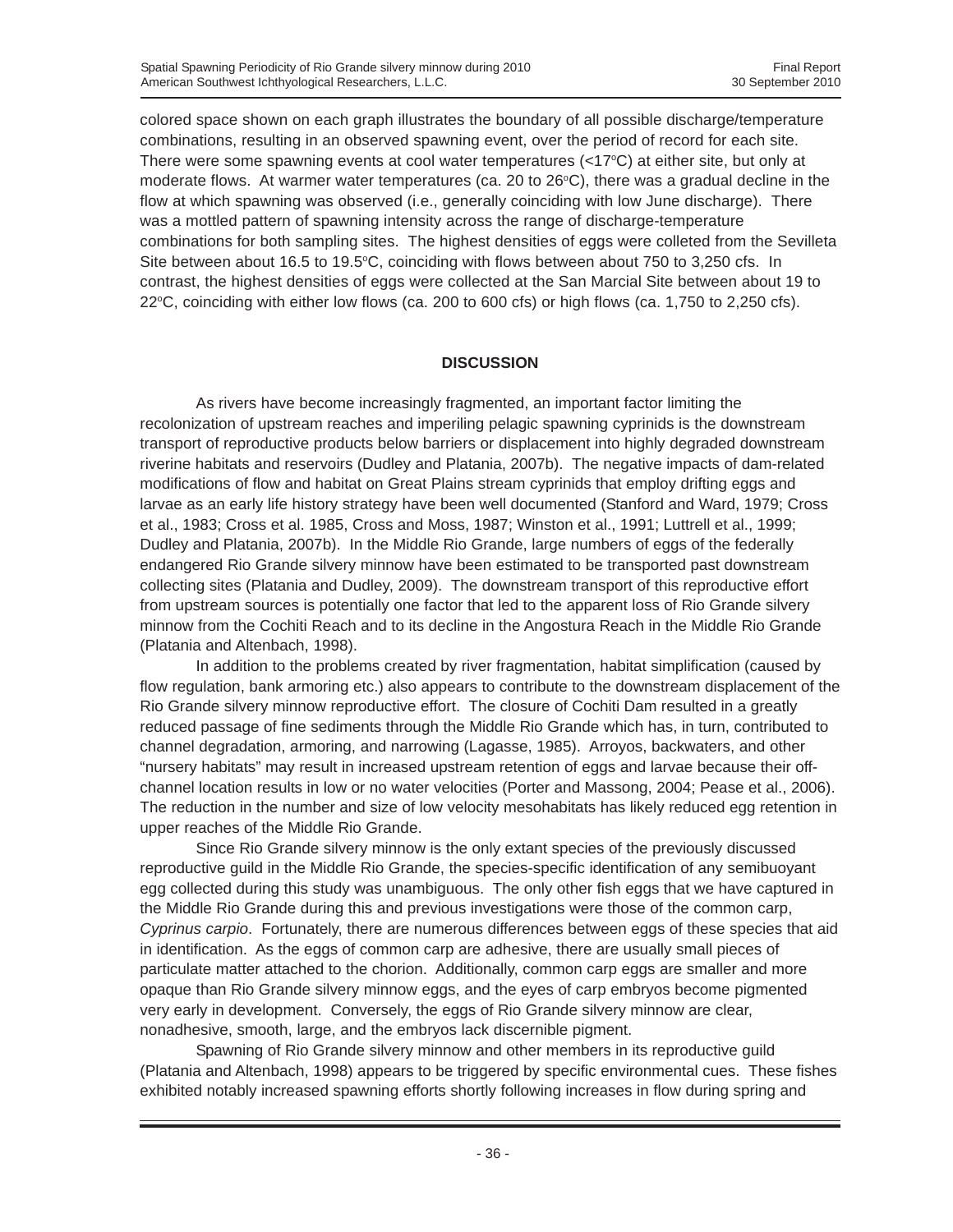colored space shown on each graph illustrates the boundary of all possible discharge/temperature combinations, resulting in an observed spawning event, over the period of record for each site. There were some spawning events at cool water temperatures (<17°C) at either site, but only at moderate flows. At warmer water temperatures (ca. 20 to 26 $\degree$ C), there was a gradual decline in the flow at which spawning was observed (i.e., generally coinciding with low June discharge). There was a mottled pattern of spawning intensity across the range of discharge-temperature combinations for both sampling sites. The highest densities of eggs were colleted from the Sevilleta Site between about 16.5 to 19.5 $\degree$ C, coinciding with flows between about 750 to 3,250 cfs. In contrast, the highest densities of eggs were collected at the San Marcial Site between about 19 to 22°C, coinciding with either low flows (ca. 200 to 600 cfs) or high flows (ca. 1,750 to 2,250 cfs).

# **DISCUSSION**

As rivers have become increasingly fragmented, an important factor limiting the recolonization of upstream reaches and imperiling pelagic spawning cyprinids is the downstream transport of reproductive products below barriers or displacement into highly degraded downstream riverine habitats and reservoirs (Dudley and Platania, 2007b). The negative impacts of dam-related modifications of flow and habitat on Great Plains stream cyprinids that employ drifting eggs and larvae as an early life history strategy have been well documented (Stanford and Ward, 1979; Cross et al., 1983; Cross et al. 1985, Cross and Moss, 1987; Winston et al., 1991; Luttrell et al., 1999; Dudley and Platania, 2007b). In the Middle Rio Grande, large numbers of eggs of the federally endangered Rio Grande silvery minnow have been estimated to be transported past downstream collecting sites (Platania and Dudley, 2009). The downstream transport of this reproductive effort from upstream sources is potentially one factor that led to the apparent loss of Rio Grande silvery minnow from the Cochiti Reach and to its decline in the Angostura Reach in the Middle Rio Grande (Platania and Altenbach, 1998).

In addition to the problems created by river fragmentation, habitat simplification (caused by flow regulation, bank armoring etc.) also appears to contribute to the downstream displacement of the Rio Grande silvery minnow reproductive effort. The closure of Cochiti Dam resulted in a greatly reduced passage of fine sediments through the Middle Rio Grande which has, in turn, contributed to channel degradation, armoring, and narrowing (Lagasse, 1985). Arroyos, backwaters, and other "nursery habitats" may result in increased upstream retention of eggs and larvae because their offchannel location results in low or no water velocities (Porter and Massong, 2004; Pease et al., 2006). The reduction in the number and size of low velocity mesohabitats has likely reduced egg retention in upper reaches of the Middle Rio Grande.

Since Rio Grande silvery minnow is the only extant species of the previously discussed reproductive guild in the Middle Rio Grande, the species-specific identification of any semibuoyant egg collected during this study was unambiguous. The only other fish eggs that we have captured in the Middle Rio Grande during this and previous investigations were those of the common carp, *Cyprinus carpio*. Fortunately, there are numerous differences between eggs of these species that aid in identification. As the eggs of common carp are adhesive, there are usually small pieces of particulate matter attached to the chorion. Additionally, common carp eggs are smaller and more opaque than Rio Grande silvery minnow eggs, and the eyes of carp embryos become pigmented very early in development. Conversely, the eggs of Rio Grande silvery minnow are clear, nonadhesive, smooth, large, and the embryos lack discernible pigment.

Spawning of Rio Grande silvery minnow and other members in its reproductive guild (Platania and Altenbach, 1998) appears to be triggered by specific environmental cues. These fishes exhibited notably increased spawning efforts shortly following increases in flow during spring and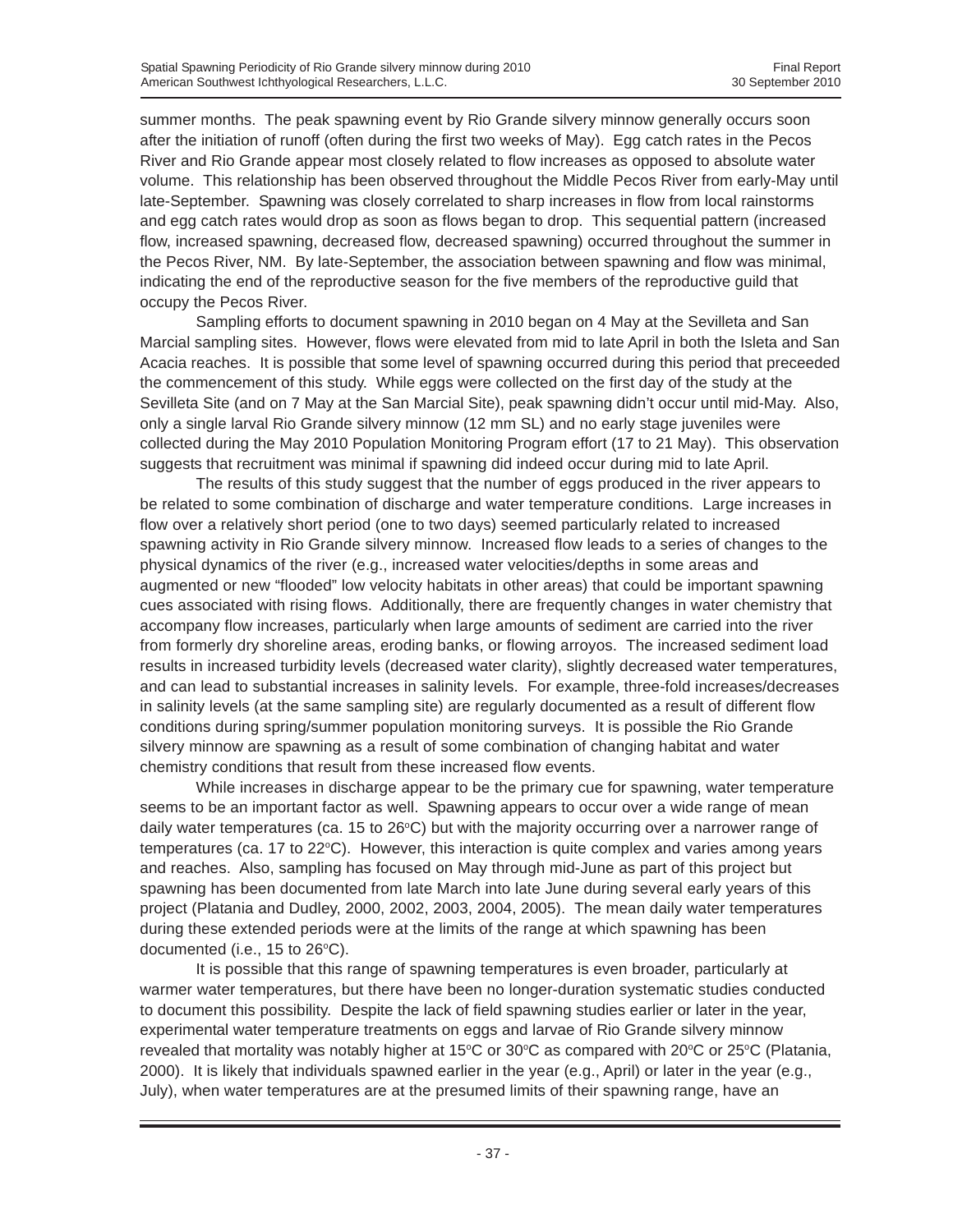summer months. The peak spawning event by Rio Grande silvery minnow generally occurs soon after the initiation of runoff (often during the first two weeks of May). Egg catch rates in the Pecos River and Rio Grande appear most closely related to flow increases as opposed to absolute water volume. This relationship has been observed throughout the Middle Pecos River from early-May until late-September. Spawning was closely correlated to sharp increases in flow from local rainstorms and egg catch rates would drop as soon as flows began to drop. This sequential pattern (increased flow, increased spawning, decreased flow, decreased spawning) occurred throughout the summer in the Pecos River, NM. By late-September, the association between spawning and flow was minimal, indicating the end of the reproductive season for the five members of the reproductive guild that occupy the Pecos River.

Sampling efforts to document spawning in 2010 began on 4 May at the Sevilleta and San Marcial sampling sites. However, flows were elevated from mid to late April in both the Isleta and San Acacia reaches. It is possible that some level of spawning occurred during this period that preceeded the commencement of this study. While eggs were collected on the first day of the study at the Sevilleta Site (and on 7 May at the San Marcial Site), peak spawning didn't occur until mid-May. Also, only a single larval Rio Grande silvery minnow (12 mm SL) and no early stage juveniles were collected during the May 2010 Population Monitoring Program effort (17 to 21 May). This observation suggests that recruitment was minimal if spawning did indeed occur during mid to late April.

The results of this study suggest that the number of eggs produced in the river appears to be related to some combination of discharge and water temperature conditions. Large increases in flow over a relatively short period (one to two days) seemed particularly related to increased spawning activity in Rio Grande silvery minnow. Increased flow leads to a series of changes to the physical dynamics of the river (e.g., increased water velocities/depths in some areas and augmented or new "flooded" low velocity habitats in other areas) that could be important spawning cues associated with rising flows. Additionally, there are frequently changes in water chemistry that accompany flow increases, particularly when large amounts of sediment are carried into the river from formerly dry shoreline areas, eroding banks, or flowing arroyos. The increased sediment load results in increased turbidity levels (decreased water clarity), slightly decreased water temperatures, and can lead to substantial increases in salinity levels. For example, three-fold increases/decreases in salinity levels (at the same sampling site) are regularly documented as a result of different flow conditions during spring/summer population monitoring surveys. It is possible the Rio Grande silvery minnow are spawning as a result of some combination of changing habitat and water chemistry conditions that result from these increased flow events.

While increases in discharge appear to be the primary cue for spawning, water temperature seems to be an important factor as well. Spawning appears to occur over a wide range of mean daily water temperatures (ca. 15 to 26°C) but with the majority occurring over a narrower range of temperatures (ca. 17 to 22°C). However, this interaction is quite complex and varies among years and reaches. Also, sampling has focused on May through mid-June as part of this project but spawning has been documented from late March into late June during several early years of this project (Platania and Dudley, 2000, 2002, 2003, 2004, 2005). The mean daily water temperatures during these extended periods were at the limits of the range at which spawning has been documented (i.e., 15 to  $26^{\circ}$ C).

It is possible that this range of spawning temperatures is even broader, particularly at warmer water temperatures, but there have been no longer-duration systematic studies conducted to document this possibility. Despite the lack of field spawning studies earlier or later in the year, experimental water temperature treatments on eggs and larvae of Rio Grande silvery minnow revealed that mortality was notably higher at 15°C or 30°C as compared with 20°C or 25°C (Platania, 2000). It is likely that individuals spawned earlier in the year (e.g., April) or later in the year (e.g., July), when water temperatures are at the presumed limits of their spawning range, have an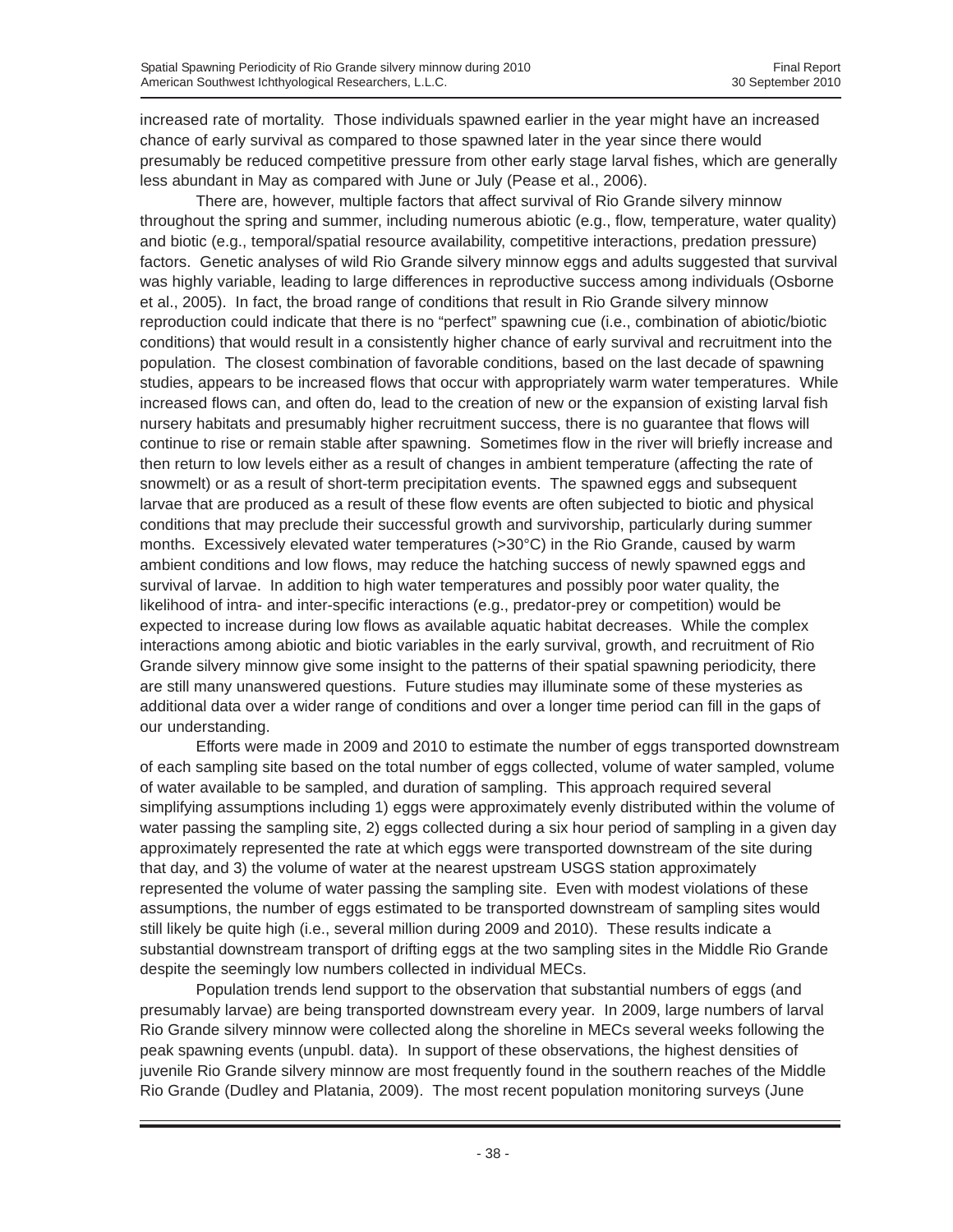increased rate of mortality. Those individuals spawned earlier in the year might have an increased chance of early survival as compared to those spawned later in the year since there would presumably be reduced competitive pressure from other early stage larval fishes, which are generally less abundant in May as compared with June or July (Pease et al., 2006).

There are, however, multiple factors that affect survival of Rio Grande silvery minnow throughout the spring and summer, including numerous abiotic (e.g., flow, temperature, water quality) and biotic (e.g., temporal/spatial resource availability, competitive interactions, predation pressure) factors. Genetic analyses of wild Rio Grande silvery minnow eggs and adults suggested that survival was highly variable, leading to large differences in reproductive success among individuals (Osborne et al., 2005). In fact, the broad range of conditions that result in Rio Grande silvery minnow reproduction could indicate that there is no "perfect" spawning cue (i.e., combination of abiotic/biotic conditions) that would result in a consistently higher chance of early survival and recruitment into the population. The closest combination of favorable conditions, based on the last decade of spawning studies, appears to be increased flows that occur with appropriately warm water temperatures. While increased flows can, and often do, lead to the creation of new or the expansion of existing larval fish nursery habitats and presumably higher recruitment success, there is no guarantee that flows will continue to rise or remain stable after spawning. Sometimes flow in the river will briefly increase and then return to low levels either as a result of changes in ambient temperature (affecting the rate of snowmelt) or as a result of short-term precipitation events. The spawned eggs and subsequent larvae that are produced as a result of these flow events are often subjected to biotic and physical conditions that may preclude their successful growth and survivorship, particularly during summer months. Excessively elevated water temperatures (>30°C) in the Rio Grande, caused by warm ambient conditions and low flows, may reduce the hatching success of newly spawned eggs and survival of larvae. In addition to high water temperatures and possibly poor water quality, the likelihood of intra- and inter-specific interactions (e.g., predator-prey or competition) would be expected to increase during low flows as available aquatic habitat decreases. While the complex interactions among abiotic and biotic variables in the early survival, growth, and recruitment of Rio Grande silvery minnow give some insight to the patterns of their spatial spawning periodicity, there are still many unanswered questions. Future studies may illuminate some of these mysteries as additional data over a wider range of conditions and over a longer time period can fill in the gaps of our understanding.

Efforts were made in 2009 and 2010 to estimate the number of eggs transported downstream of each sampling site based on the total number of eggs collected, volume of water sampled, volume of water available to be sampled, and duration of sampling. This approach required several simplifying assumptions including 1) eggs were approximately evenly distributed within the volume of water passing the sampling site, 2) eggs collected during a six hour period of sampling in a given day approximately represented the rate at which eggs were transported downstream of the site during that day, and 3) the volume of water at the nearest upstream USGS station approximately represented the volume of water passing the sampling site. Even with modest violations of these assumptions, the number of eggs estimated to be transported downstream of sampling sites would still likely be quite high (i.e., several million during 2009 and 2010). These results indicate a substantial downstream transport of drifting eggs at the two sampling sites in the Middle Rio Grande despite the seemingly low numbers collected in individual MECs.

Population trends lend support to the observation that substantial numbers of eggs (and presumably larvae) are being transported downstream every year. In 2009, large numbers of larval Rio Grande silvery minnow were collected along the shoreline in MECs several weeks following the peak spawning events (unpubl. data). In support of these observations, the highest densities of juvenile Rio Grande silvery minnow are most frequently found in the southern reaches of the Middle Rio Grande (Dudley and Platania, 2009). The most recent population monitoring surveys (June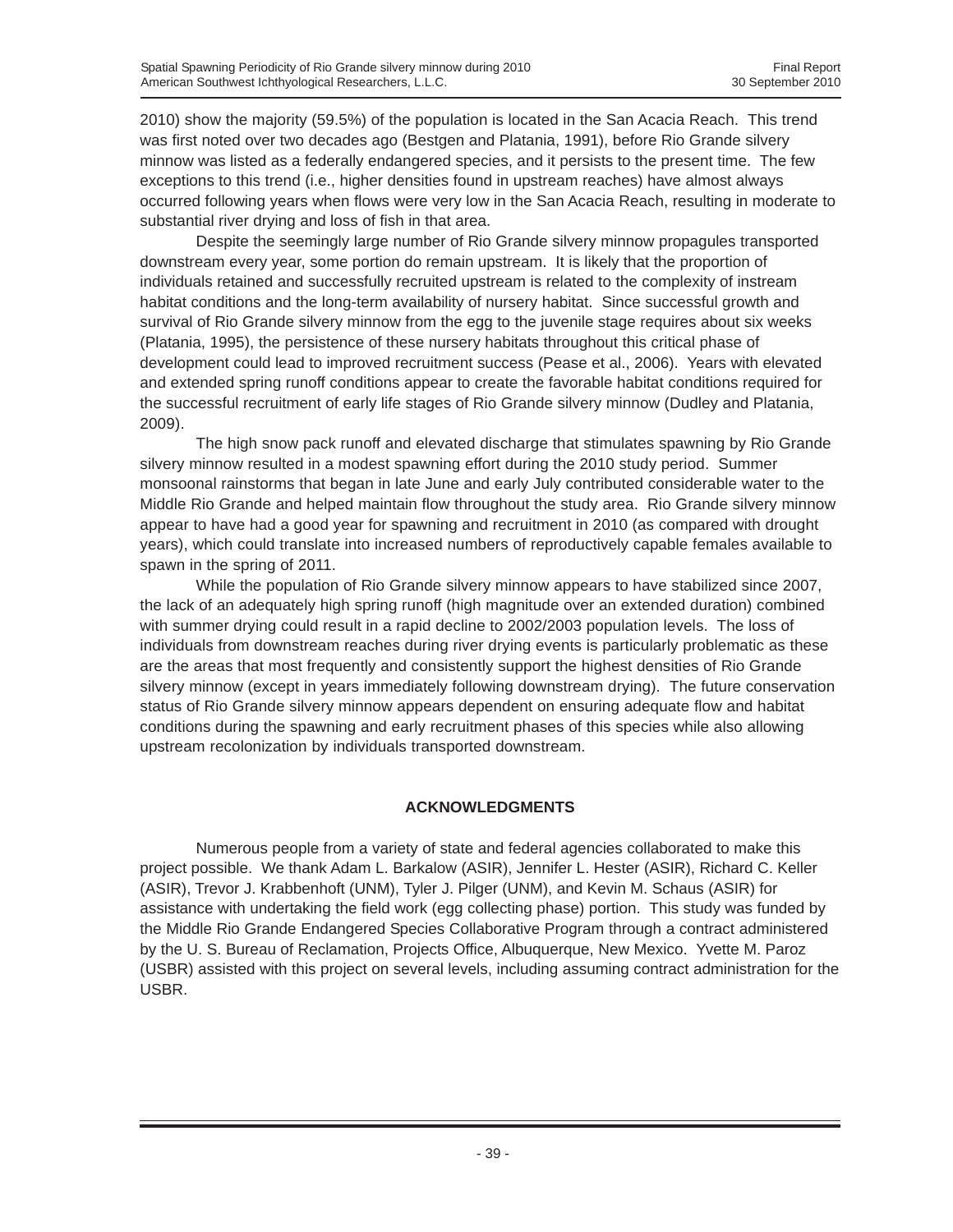2010) show the majority (59.5%) of the population is located in the San Acacia Reach. This trend was first noted over two decades ago (Bestgen and Platania, 1991), before Rio Grande silvery minnow was listed as a federally endangered species, and it persists to the present time. The few exceptions to this trend (i.e., higher densities found in upstream reaches) have almost always occurred following years when flows were very low in the San Acacia Reach, resulting in moderate to substantial river drying and loss of fish in that area.

Despite the seemingly large number of Rio Grande silvery minnow propagules transported downstream every year, some portion do remain upstream. It is likely that the proportion of individuals retained and successfully recruited upstream is related to the complexity of instream habitat conditions and the long-term availability of nursery habitat. Since successful growth and survival of Rio Grande silvery minnow from the egg to the juvenile stage requires about six weeks (Platania, 1995), the persistence of these nursery habitats throughout this critical phase of development could lead to improved recruitment success (Pease et al., 2006). Years with elevated and extended spring runoff conditions appear to create the favorable habitat conditions required for the successful recruitment of early life stages of Rio Grande silvery minnow (Dudley and Platania, 2009).

The high snow pack runoff and elevated discharge that stimulates spawning by Rio Grande silvery minnow resulted in a modest spawning effort during the 2010 study period. Summer monsoonal rainstorms that began in late June and early July contributed considerable water to the Middle Rio Grande and helped maintain flow throughout the study area. Rio Grande silvery minnow appear to have had a good year for spawning and recruitment in 2010 (as compared with drought years), which could translate into increased numbers of reproductively capable females available to spawn in the spring of 2011.

While the population of Rio Grande silvery minnow appears to have stabilized since 2007, the lack of an adequately high spring runoff (high magnitude over an extended duration) combined with summer drying could result in a rapid decline to 2002/2003 population levels. The loss of individuals from downstream reaches during river drying events is particularly problematic as these are the areas that most frequently and consistently support the highest densities of Rio Grande silvery minnow (except in years immediately following downstream drying). The future conservation status of Rio Grande silvery minnow appears dependent on ensuring adequate flow and habitat conditions during the spawning and early recruitment phases of this species while also allowing upstream recolonization by individuals transported downstream.

# **ACKNOWLEDGMENTS**

Numerous people from a variety of state and federal agencies collaborated to make this project possible. We thank Adam L. Barkalow (ASIR), Jennifer L. Hester (ASIR), Richard C. Keller (ASIR), Trevor J. Krabbenhoft (UNM), Tyler J. Pilger (UNM), and Kevin M. Schaus (ASIR) for assistance with undertaking the field work (egg collecting phase) portion. This study was funded by the Middle Rio Grande Endangered Species Collaborative Program through a contract administered by the U. S. Bureau of Reclamation, Projects Office, Albuquerque, New Mexico. Yvette M. Paroz (USBR) assisted with this project on several levels, including assuming contract administration for the USBR.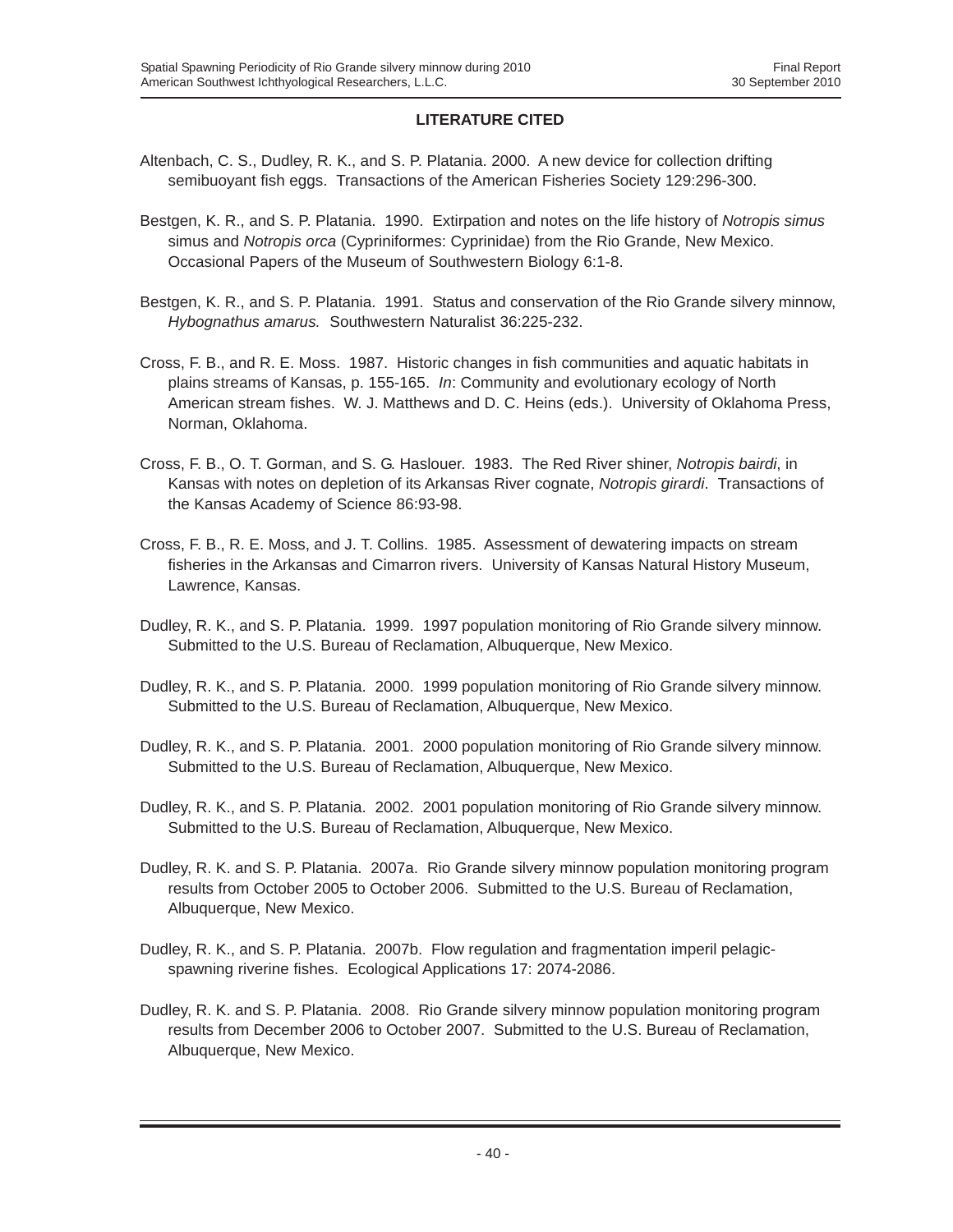# **LITERATURE CITED**

- Altenbach, C. S., Dudley, R. K., and S. P. Platania. 2000. A new device for collection drifting semibuoyant fish eggs. Transactions of the American Fisheries Society 129:296-300.
- Bestgen, K. R., and S. P. Platania. 1990. Extirpation and notes on the life history of *Notropis simus* simus and *Notropis orca* (Cypriniformes: Cyprinidae) from the Rio Grande, New Mexico. Occasional Papers of the Museum of Southwestern Biology 6:1-8.
- Bestgen, K. R., and S. P. Platania. 1991. Status and conservation of the Rio Grande silvery minnow, *Hybognathus amarus.* Southwestern Naturalist 36:225-232.
- Cross, F. B., and R. E. Moss. 1987. Historic changes in fish communities and aquatic habitats in plains streams of Kansas, p. 155-165. *In*: Community and evolutionary ecology of North American stream fishes. W. J. Matthews and D. C. Heins (eds.). University of Oklahoma Press, Norman, Oklahoma.
- Cross, F. B., O. T. Gorman, and S. G. Haslouer. 1983. The Red River shiner, *Notropis bairdi*, in Kansas with notes on depletion of its Arkansas River cognate, *Notropis girardi*. Transactions of the Kansas Academy of Science 86:93-98.
- Cross, F. B., R. E. Moss, and J. T. Collins. 1985. Assessment of dewatering impacts on stream fisheries in the Arkansas and Cimarron rivers. University of Kansas Natural History Museum, Lawrence, Kansas.
- Dudley, R. K., and S. P. Platania. 1999. 1997 population monitoring of Rio Grande silvery minnow. Submitted to the U.S. Bureau of Reclamation, Albuquerque, New Mexico.
- Dudley, R. K., and S. P. Platania. 2000. 1999 population monitoring of Rio Grande silvery minnow. Submitted to the U.S. Bureau of Reclamation, Albuquerque, New Mexico.
- Dudley, R. K., and S. P. Platania. 2001. 2000 population monitoring of Rio Grande silvery minnow. Submitted to the U.S. Bureau of Reclamation, Albuquerque, New Mexico.
- Dudley, R. K., and S. P. Platania. 2002. 2001 population monitoring of Rio Grande silvery minnow. Submitted to the U.S. Bureau of Reclamation, Albuquerque, New Mexico.
- Dudley, R. K. and S. P. Platania. 2007a. Rio Grande silvery minnow population monitoring program results from October 2005 to October 2006. Submitted to the U.S. Bureau of Reclamation, Albuquerque, New Mexico.
- Dudley, R. K., and S. P. Platania. 2007b. Flow regulation and fragmentation imperil pelagicspawning riverine fishes. Ecological Applications 17: 2074-2086.
- Dudley, R. K. and S. P. Platania. 2008. Rio Grande silvery minnow population monitoring program results from December 2006 to October 2007. Submitted to the U.S. Bureau of Reclamation, Albuquerque, New Mexico.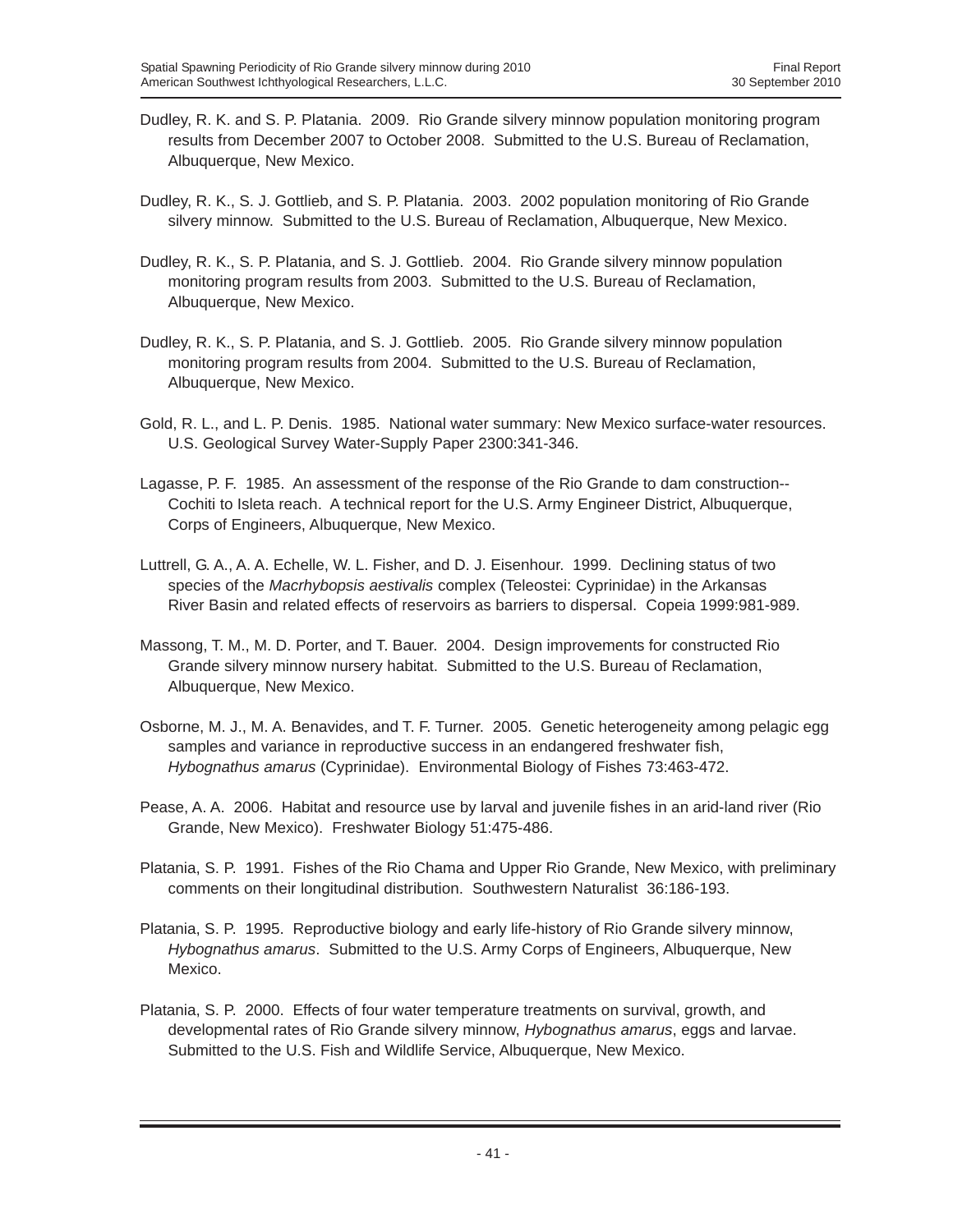- Dudley, R. K. and S. P. Platania. 2009. Rio Grande silvery minnow population monitoring program results from December 2007 to October 2008. Submitted to the U.S. Bureau of Reclamation, Albuquerque, New Mexico.
- Dudley, R. K., S. J. Gottlieb, and S. P. Platania. 2003. 2002 population monitoring of Rio Grande silvery minnow. Submitted to the U.S. Bureau of Reclamation, Albuquerque, New Mexico.
- Dudley, R. K., S. P. Platania, and S. J. Gottlieb. 2004. Rio Grande silvery minnow population monitoring program results from 2003. Submitted to the U.S. Bureau of Reclamation, Albuquerque, New Mexico.
- Dudley, R. K., S. P. Platania, and S. J. Gottlieb. 2005. Rio Grande silvery minnow population monitoring program results from 2004. Submitted to the U.S. Bureau of Reclamation, Albuquerque, New Mexico.
- Gold, R. L., and L. P. Denis. 1985. National water summary: New Mexico surface-water resources. U.S. Geological Survey Water-Supply Paper 2300:341-346.
- Lagasse, P. F. 1985. An assessment of the response of the Rio Grande to dam construction-- Cochiti to Isleta reach. A technical report for the U.S. Army Engineer District, Albuquerque, Corps of Engineers, Albuquerque, New Mexico.
- Luttrell, G. A., A. A. Echelle, W. L. Fisher, and D. J. Eisenhour. 1999. Declining status of two species of the *Macrhybopsis aestivalis* complex (Teleostei: Cyprinidae) in the Arkansas River Basin and related effects of reservoirs as barriers to dispersal. Copeia 1999:981-989.
- Massong, T. M., M. D. Porter, and T. Bauer. 2004. Design improvements for constructed Rio Grande silvery minnow nursery habitat. Submitted to the U.S. Bureau of Reclamation, Albuquerque, New Mexico.
- Osborne, M. J., M. A. Benavides, and T. F. Turner. 2005. Genetic heterogeneity among pelagic egg samples and variance in reproductive success in an endangered freshwater fish, *Hybognathus amarus* (Cyprinidae). Environmental Biology of Fishes 73:463-472.
- Pease, A. A. 2006. Habitat and resource use by larval and juvenile fishes in an arid-land river (Rio Grande, New Mexico). Freshwater Biology 51:475-486.
- Platania, S. P. 1991. Fishes of the Rio Chama and Upper Rio Grande, New Mexico, with preliminary comments on their longitudinal distribution. Southwestern Naturalist 36:186-193.
- Platania, S. P. 1995. Reproductive biology and early life-history of Rio Grande silvery minnow, *Hybognathus amarus*. Submitted to the U.S. Army Corps of Engineers, Albuquerque, New Mexico.
- Platania, S. P. 2000. Effects of four water temperature treatments on survival, growth, and developmental rates of Rio Grande silvery minnow, *Hybognathus amarus*, eggs and larvae. Submitted to the U.S. Fish and Wildlife Service, Albuquerque, New Mexico.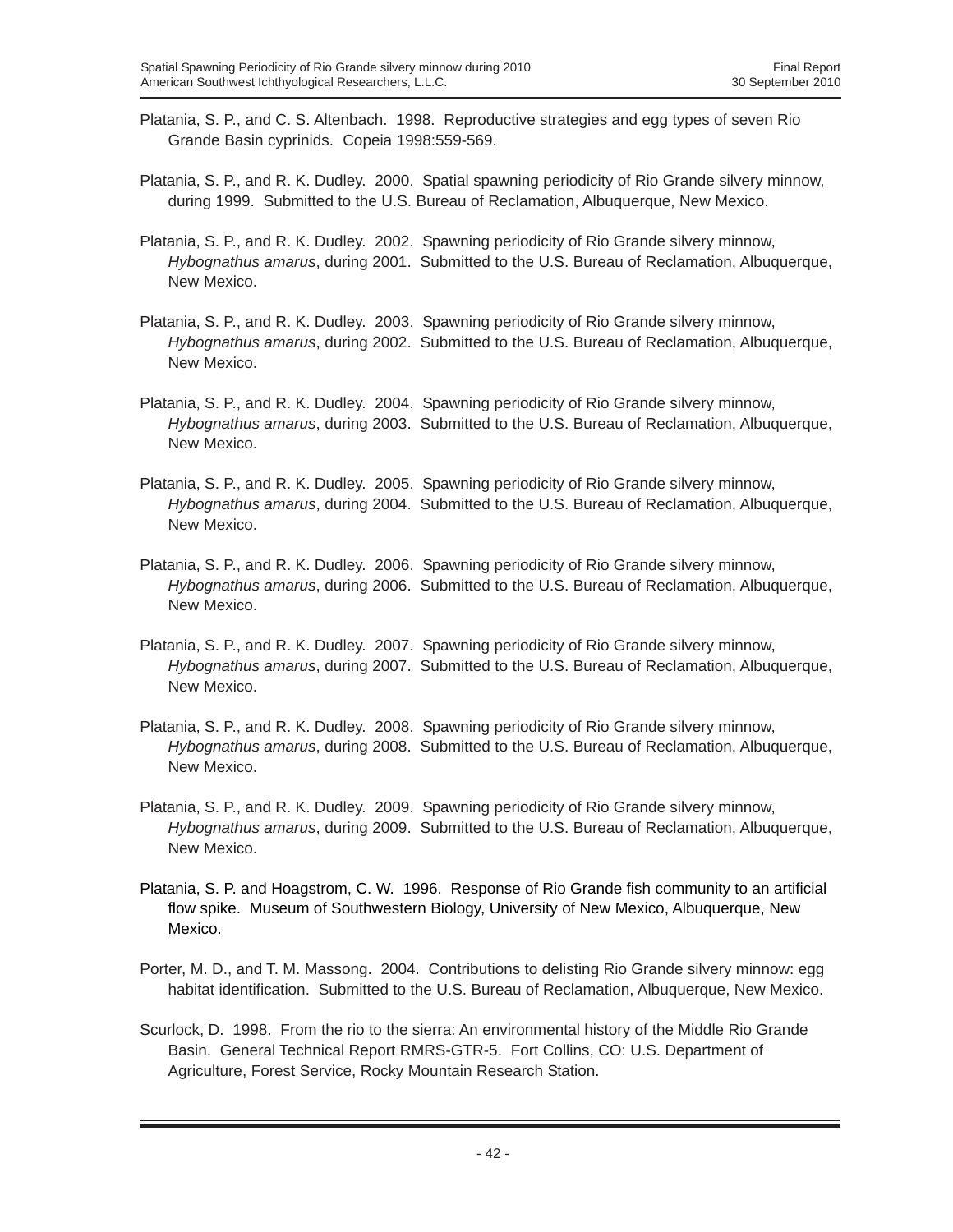- Platania, S. P., and C. S. Altenbach. 1998. Reproductive strategies and egg types of seven Rio Grande Basin cyprinids. Copeia 1998:559-569.
- Platania, S. P., and R. K. Dudley. 2000. Spatial spawning periodicity of Rio Grande silvery minnow, during 1999. Submitted to the U.S. Bureau of Reclamation, Albuquerque, New Mexico.
- Platania, S. P., and R. K. Dudley. 2002. Spawning periodicity of Rio Grande silvery minnow, *Hybognathus amarus*, during 2001. Submitted to the U.S. Bureau of Reclamation, Albuquerque, New Mexico.
- Platania, S. P., and R. K. Dudley. 2003. Spawning periodicity of Rio Grande silvery minnow, *Hybognathus amarus*, during 2002. Submitted to the U.S. Bureau of Reclamation, Albuquerque, New Mexico.
- Platania, S. P., and R. K. Dudley. 2004. Spawning periodicity of Rio Grande silvery minnow, *Hybognathus amarus*, during 2003. Submitted to the U.S. Bureau of Reclamation, Albuquerque, New Mexico.
- Platania, S. P., and R. K. Dudley. 2005. Spawning periodicity of Rio Grande silvery minnow, *Hybognathus amarus*, during 2004. Submitted to the U.S. Bureau of Reclamation, Albuquerque, New Mexico.
- Platania, S. P., and R. K. Dudley. 2006. Spawning periodicity of Rio Grande silvery minnow, *Hybognathus amarus*, during 2006. Submitted to the U.S. Bureau of Reclamation, Albuquerque, New Mexico.
- Platania, S. P., and R. K. Dudley. 2007. Spawning periodicity of Rio Grande silvery minnow, *Hybognathus amarus*, during 2007. Submitted to the U.S. Bureau of Reclamation, Albuquerque, New Mexico.
- Platania, S. P., and R. K. Dudley. 2008. Spawning periodicity of Rio Grande silvery minnow, *Hybognathus amarus*, during 2008. Submitted to the U.S. Bureau of Reclamation, Albuquerque, New Mexico.
- Platania, S. P., and R. K. Dudley. 2009. Spawning periodicity of Rio Grande silvery minnow, *Hybognathus amarus*, during 2009. Submitted to the U.S. Bureau of Reclamation, Albuquerque, New Mexico.
- Platania, S. P. and Hoagstrom, C. W. 1996. Response of Rio Grande fish community to an artificial flow spike. Museum of Southwestern Biology, University of New Mexico, Albuquerque, New Mexico.
- Porter, M. D., and T. M. Massong. 2004. Contributions to delisting Rio Grande silvery minnow: egg habitat identification. Submitted to the U.S. Bureau of Reclamation, Albuquerque, New Mexico.
- Scurlock, D. 1998. From the rio to the sierra: An environmental history of the Middle Rio Grande Basin. General Technical Report RMRS-GTR-5. Fort Collins, CO: U.S. Department of Agriculture, Forest Service, Rocky Mountain Research Station.